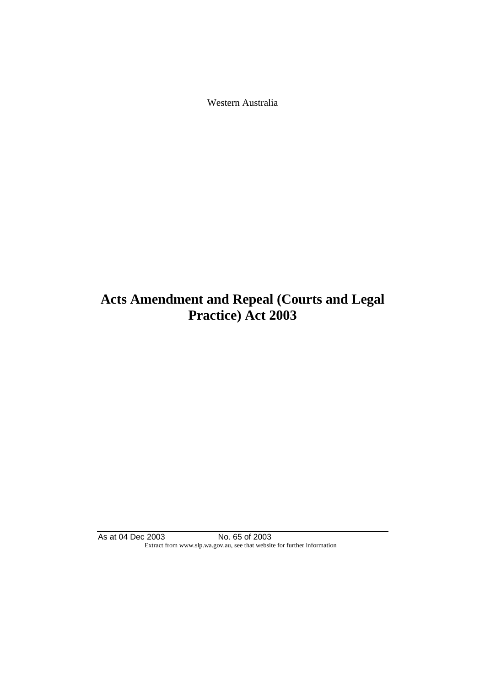Western Australia

# **Acts Amendment and Repeal (Courts and Legal Practice) Act 2003**

As at 04 Dec 2003 No. 65 of 2003 Extract from www.slp.wa.gov.au, see that website for further information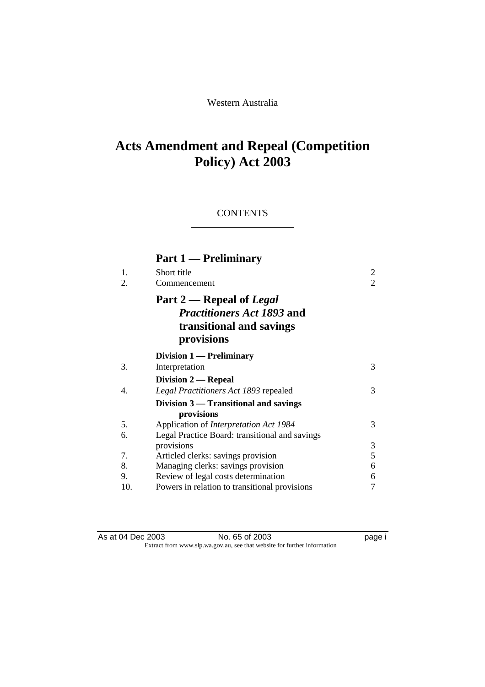Western Australia

# **Acts Amendment and Repeal (Competition Policy) Act 2003**

## **CONTENTS**

| Part 1 — Preliminary                                                                                    |                                   |
|---------------------------------------------------------------------------------------------------------|-----------------------------------|
| Short title<br>Commencement                                                                             | 2<br>$\overline{2}$               |
| Part 2 — Repeal of Legal<br><i>Practitioners Act 1893</i> and<br>transitional and savings<br>provisions |                                   |
| Division 1 — Preliminary                                                                                |                                   |
| Interpretation                                                                                          | 3                                 |
|                                                                                                         |                                   |
| Legal Practitioners Act 1893 repealed                                                                   | 3                                 |
| Division 3 — Transitional and savings                                                                   |                                   |
| Application of <i>Interpretation Act 1984</i>                                                           | 3                                 |
| Legal Practice Board: transitional and savings<br>provisions                                            | 3                                 |
| Articled clerks: savings provision                                                                      | 5                                 |
| Managing clerks: savings provision                                                                      | 6                                 |
| Review of legal costs determination                                                                     | 6                                 |
| Powers in relation to transitional provisions                                                           | 7                                 |
|                                                                                                         | Division 2 — Repeal<br>provisions |

As at 04 Dec 2003 No. 65 of 2003 page i Extract from www.slp.wa.gov.au, see that website for further information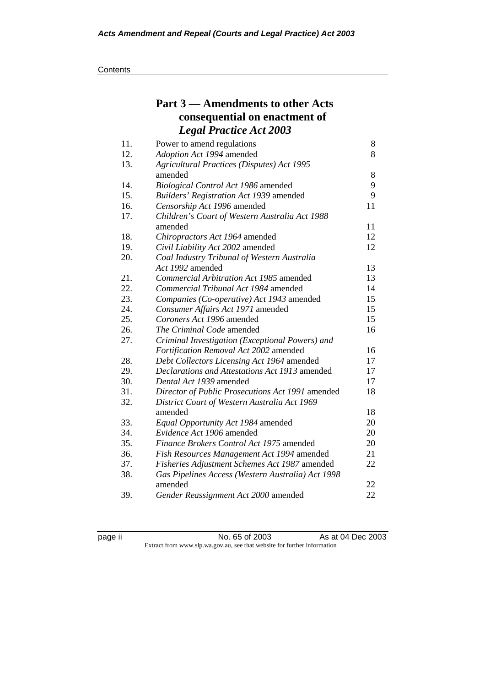|     | Part 3 – Amendments to other Acts                 |    |
|-----|---------------------------------------------------|----|
|     | consequential on enactment of                     |    |
|     | <b>Legal Practice Act 2003</b>                    |    |
| 11. | Power to amend regulations                        | 8  |
| 12. | Adoption Act 1994 amended                         | 8  |
| 13. | <b>Agricultural Practices (Disputes) Act 1995</b> |    |
|     | amended                                           | 8  |
| 14. | Biological Control Act 1986 amended               | 9  |
| 15. | Builders' Registration Act 1939 amended           | 9  |
| 16. | Censorship Act 1996 amended                       | 11 |
| 17. | Children's Court of Western Australia Act 1988    |    |
|     | amended                                           | 11 |
| 18. | Chiropractors Act 1964 amended                    | 12 |
| 19. | Civil Liability Act 2002 amended                  | 12 |
| 20. | Coal Industry Tribunal of Western Australia       |    |
|     | Act 1992 amended                                  | 13 |
| 21. | Commercial Arbitration Act 1985 amended           | 13 |
| 22. | Commercial Tribunal Act 1984 amended              | 14 |
| 23. | Companies (Co-operative) Act 1943 amended         | 15 |
| 24. | Consumer Affairs Act 1971 amended                 | 15 |
| 25. | Coroners Act 1996 amended                         | 15 |
| 26. | The Criminal Code amended                         | 16 |
| 27. | Criminal Investigation (Exceptional Powers) and   |    |
|     | Fortification Removal Act 2002 amended            | 16 |
| 28. | Debt Collectors Licensing Act 1964 amended        | 17 |
| 29. | Declarations and Attestations Act 1913 amended    | 17 |
| 30. | Dental Act 1939 amended                           | 17 |
| 31. | Director of Public Prosecutions Act 1991 amended  | 18 |
| 32. | District Court of Western Australia Act 1969      |    |
|     | amended                                           | 18 |
| 33. | Equal Opportunity Act 1984 amended                | 20 |
| 34. | Evidence Act 1906 amended                         | 20 |
| 35. | Finance Brokers Control Act 1975 amended          | 20 |
| 36. | Fish Resources Management Act 1994 amended        | 21 |
| 37. | Fisheries Adjustment Schemes Act 1987 amended     | 22 |
| 38. | Gas Pipelines Access (Western Australia) Act 1998 |    |
|     | amended                                           | 22 |
| 39. | Gender Reassignment Act 2000 amended              | 22 |

No. 65 of 2003 As at 04 Dec 2003 Extract from www.slp.wa.gov.au, see that website for further information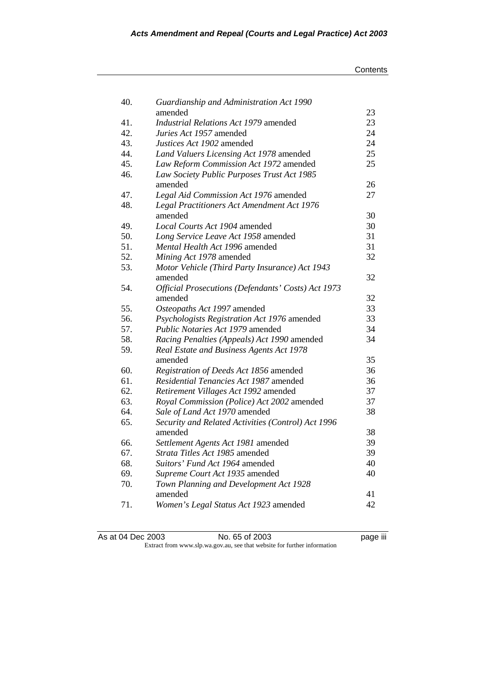#### **Contents**

| 40. | Guardianship and Administration Act 1990                      |    |
|-----|---------------------------------------------------------------|----|
|     | amended                                                       | 23 |
| 41. | <b>Industrial Relations Act 1979 amended</b>                  | 23 |
| 42. | Juries Act 1957 amended                                       | 24 |
| 43. | Justices Act 1902 amended                                     | 24 |
| 44. | Land Valuers Licensing Act 1978 amended                       | 25 |
| 45. | Law Reform Commission Act 1972 amended                        | 25 |
| 46. | Law Society Public Purposes Trust Act 1985                    |    |
|     | amended                                                       | 26 |
| 47. | Legal Aid Commission Act 1976 amended                         | 27 |
| 48. | Legal Practitioners Act Amendment Act 1976                    |    |
|     | amended                                                       | 30 |
| 49. | Local Courts Act 1904 amended                                 | 30 |
| 50. | Long Service Leave Act 1958 amended                           | 31 |
| 51. | Mental Health Act 1996 amended                                | 31 |
| 52. | Mining Act 1978 amended                                       | 32 |
| 53. | Motor Vehicle (Third Party Insurance) Act 1943                |    |
|     | amended                                                       | 32 |
| 54. | <b>Official Prosecutions (Defendants' Costs) Act 1973</b>     |    |
|     | amended                                                       | 32 |
| 55. | Osteopaths Act 1997 amended                                   | 33 |
| 56. | Psychologists Registration Act 1976 amended                   | 33 |
| 57. | Public Notaries Act 1979 amended                              | 34 |
| 58. | Racing Penalties (Appeals) Act 1990 amended                   | 34 |
| 59. | Real Estate and Business Agents Act 1978                      |    |
|     | amended                                                       | 35 |
| 60. | Registration of Deeds Act 1856 amended                        | 36 |
| 61. | Residential Tenancies Act 1987 amended                        | 36 |
| 62. | Retirement Villages Act 1992 amended                          | 37 |
| 63. | Royal Commission (Police) Act 2002 amended                    | 37 |
| 64. | Sale of Land Act 1970 amended                                 | 38 |
| 65. | Security and Related Activities (Control) Act 1996<br>amended | 38 |
| 66. | Settlement Agents Act 1981 amended                            | 39 |
| 67. | Strata Titles Act 1985 amended                                | 39 |
| 68. | Suitors' Fund Act 1964 amended                                | 40 |
| 69. | Supreme Court Act 1935 amended                                | 40 |
| 70. | Town Planning and Development Act 1928                        |    |
|     | amended                                                       | 41 |
| 71. | Women's Legal Status Act 1923 amended                         | 42 |
|     |                                                               |    |

As at 04 Dec 2003 No. 65 of 2003 page iii Extract from www.slp.wa.gov.au, see that website for further information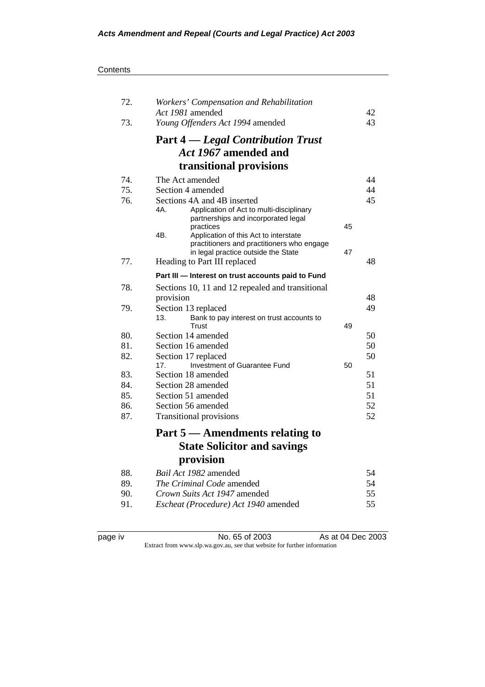| Contents |
|----------|
|----------|

| 72. | Workers' Compensation and Rehabilitation                                                   |    |    |
|-----|--------------------------------------------------------------------------------------------|----|----|
|     | Act 1981 amended                                                                           |    | 42 |
| 73. | Young Offenders Act 1994 amended                                                           |    | 43 |
|     | <b>Part 4</b> — Legal Contribution Trust                                                   |    |    |
|     | Act 1967 amended and                                                                       |    |    |
|     | transitional provisions                                                                    |    |    |
| 74. | The Act amended                                                                            |    | 44 |
| 75. | Section 4 amended                                                                          |    | 44 |
| 76. | Sections 4A and 4B inserted                                                                |    | 45 |
|     | 4A.<br>Application of Act to multi-disciplinary<br>partnerships and incorporated legal     |    |    |
|     | practices                                                                                  | 45 |    |
|     | 4B.<br>Application of this Act to interstate<br>practitioners and practitioners who engage |    |    |
|     | in legal practice outside the State                                                        | 47 |    |
| 77. | Heading to Part III replaced                                                               |    | 48 |
|     | Part III - Interest on trust accounts paid to Fund                                         |    |    |
| 78. | Sections 10, 11 and 12 repealed and transitional                                           |    |    |
|     | provision                                                                                  |    | 48 |
| 79. | Section 13 replaced                                                                        |    | 49 |
|     | 13.<br>Bank to pay interest on trust accounts to                                           |    |    |
|     | <b>Trust</b>                                                                               | 49 |    |
| 80. | Section 14 amended                                                                         |    | 50 |
| 81. | Section 16 amended                                                                         |    | 50 |
| 82. | Section 17 replaced                                                                        |    | 50 |
|     | Investment of Guarantee Fund<br>17 <sub>1</sub>                                            | 50 |    |
| 83. | Section 18 amended                                                                         |    | 51 |
| 84. | Section 28 amended                                                                         |    | 51 |
| 85. | Section 51 amended                                                                         |    | 51 |
| 86. | Section 56 amended                                                                         |    | 52 |
| 87. | <b>Transitional provisions</b>                                                             |    | 52 |
|     | Part 5 — Amendments relating to                                                            |    |    |
|     | <b>State Solicitor and savings</b>                                                         |    |    |
|     | provision                                                                                  |    |    |
| 88. | Bail Act 1982 amended                                                                      |    | 54 |
| 89. | The Criminal Code amended                                                                  |    | 54 |
| 90. | <i>Crown Suits Act 1947</i> amended                                                        |    | 55 |
| 91. |                                                                                            |    | 55 |
|     | Escheat (Procedure) Act 1940 amended                                                       |    |    |

page iv **No. 65 of 2003** As at 04 Dec 2003 Extract from www.slp.wa.gov.au, see that website for further information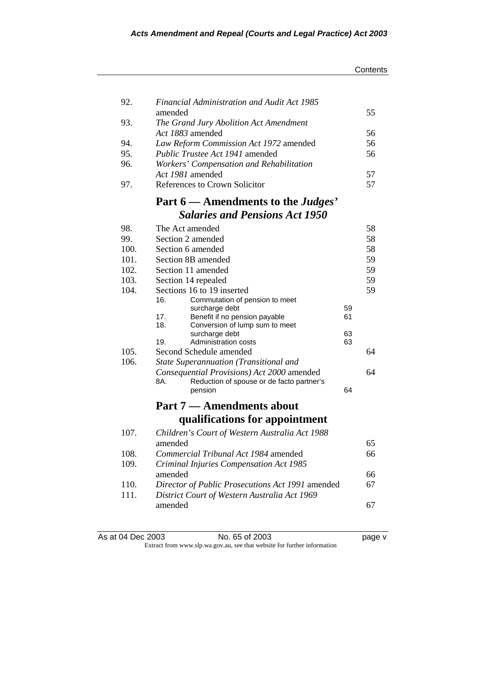|              |                                                                                                |          | Contents |
|--------------|------------------------------------------------------------------------------------------------|----------|----------|
|              |                                                                                                |          |          |
| 92.          | <b>Financial Administration and Audit Act 1985</b><br>amended                                  |          | 55       |
| 93.          | The Grand Jury Abolition Act Amendment                                                         |          |          |
|              | Act 1883 amended                                                                               |          | 56       |
| 94.          | Law Reform Commission Act 1972 amended                                                         |          | 56       |
| 95.          | <i>Public Trustee Act 1941</i> amended                                                         |          | 56       |
| 96.          | Workers' Compensation and Rehabilitation                                                       |          |          |
|              | Act 1981 amended                                                                               |          | 57       |
| 97.          | References to Crown Solicitor                                                                  |          | 57       |
|              | Part 6 — Amendments to the Judges'                                                             |          |          |
|              | <b>Salaries and Pensions Act 1950</b>                                                          |          |          |
| 98.          | The Act amended                                                                                |          | 58       |
| 99.          | Section 2 amended                                                                              |          | 58       |
| 100.         | Section 6 amended                                                                              |          | 58       |
| 101.         | Section 8B amended                                                                             |          | 59       |
| 102.         | Section 11 amended                                                                             |          | 59       |
| 103.         | Section 14 repealed                                                                            |          | 59       |
| 104.         | Sections 16 to 19 inserted                                                                     |          | 59       |
|              | 16.<br>Commutation of pension to meet                                                          |          |          |
|              | surcharge debt<br>17.<br>Benefit if no pension payable                                         | 59<br>61 |          |
|              | 18.<br>Conversion of lump sum to meet                                                          |          |          |
|              | surcharge debt                                                                                 | 63       |          |
|              | 19.<br>Administration costs                                                                    | 63       |          |
| 105.<br>106. | Second Schedule amended                                                                        |          | 64       |
|              | <b>State Superannuation (Transitional and</b>                                                  |          | 64       |
|              | Consequential Provisions) Act 2000 amended<br>8A.<br>Reduction of spouse or de facto partner's |          |          |
|              | pension                                                                                        | 64       |          |
|              | <b>Part 7 — Amendments about</b>                                                               |          |          |
|              | qualifications for appointment                                                                 |          |          |
| 107.         | Children's Court of Western Australia Act 1988                                                 |          |          |
|              | amended                                                                                        |          | 65       |
| 108.         | Commercial Tribunal Act 1984 amended                                                           |          | 66       |
| 109.         | Criminal Injuries Compensation Act 1985                                                        |          |          |
|              | amended                                                                                        |          | 66       |
| 110.         | Director of Public Prosecutions Act 1991 amended                                               |          | 67       |
| 111.         | District Court of Western Australia Act 1969                                                   |          |          |
|              | amended                                                                                        |          | 67       |
|              |                                                                                                |          |          |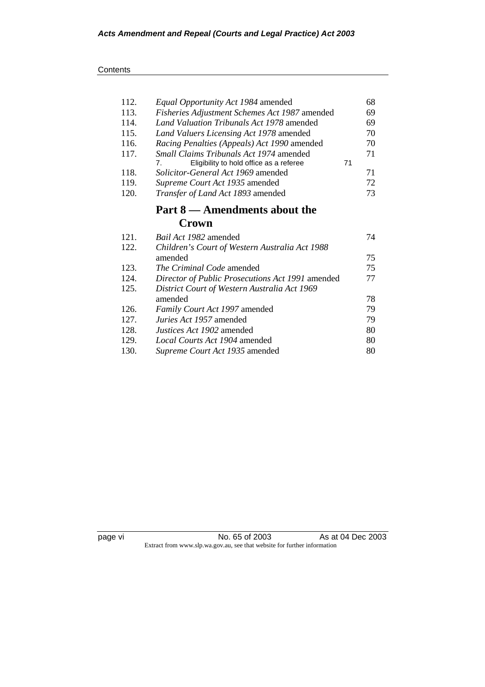## **Contents**

| 112. | Equal Opportunity Act 1984 amended               |    | 68 |
|------|--------------------------------------------------|----|----|
| 113. | Fisheries Adjustment Schemes Act 1987 amended    |    | 69 |
| 114. | Land Valuation Tribunals Act 1978 amended        |    | 69 |
| 115. | Land Valuers Licensing Act 1978 amended          |    | 70 |
| 116. | Racing Penalties (Appeals) Act 1990 amended      |    | 70 |
| 117. | <i>Small Claims Tribunals Act 1974</i> amended   |    | 71 |
|      | Eligibility to hold office as a referee<br>7.    | 71 |    |
| 118. | Solicitor-General Act 1969 amended               |    | 71 |
| 119. | Supreme Court Act 1935 amended                   |    | 72 |
| 120. | Transfer of Land Act 1893 amended                |    | 73 |
|      | Part 8 — Amendments about the                    |    |    |
|      | Crown                                            |    |    |
| 121. | <i>Bail Act 1982</i> amended                     |    | 74 |
| 122. | Children's Court of Western Australia Act 1988   |    |    |
|      | amended                                          |    | 75 |
| 123. | The Criminal Code amended                        |    | 75 |
| 124. | Director of Public Prosecutions Act 1991 amended |    | 77 |
| 125. | District Court of Western Australia Act 1969     |    |    |
|      | amended                                          |    | 78 |
| 126. | Family Court Act 1997 amended                    |    | 79 |
| 127. | <i>Juries Act 1957</i> amended                   |    | 79 |
| 128. | <i>Justices Act 1902</i> amended                 |    | 80 |
| 129. | Local Courts Act 1904 amended                    |    | 80 |
| 130. | Supreme Court Act 1935 amended                   |    | 80 |
|      |                                                  |    |    |

page vi **No. 65 of 2003** As at 04 Dec 2003 Extract from www.slp.wa.gov.au, see that website for further information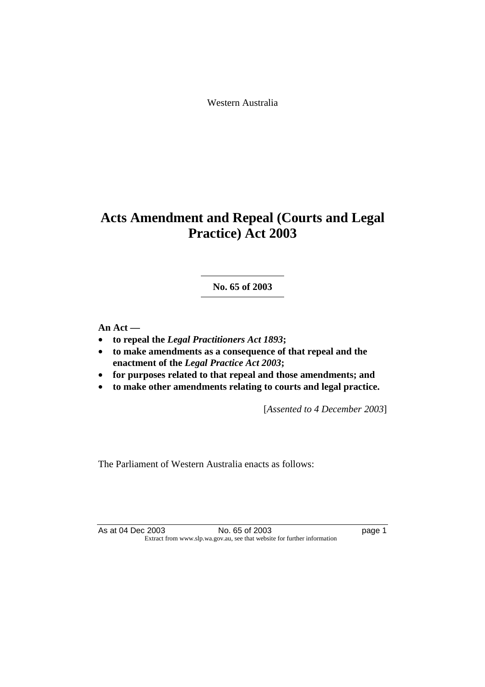Western Australia

# **Acts Amendment and Repeal (Courts and Legal Practice) Act 2003**

**No. 65 of 2003** 

**An Act —** 

- **to repeal the** *Legal Practitioners Act 1893***;**
- **to make amendments as a consequence of that repeal and the enactment of the** *Legal Practice Act 2003***;**
- **for purposes related to that repeal and those amendments; and**
- **to make other amendments relating to courts and legal practice.**

[*Assented to 4 December 2003*]

The Parliament of Western Australia enacts as follows:

As at 04 Dec 2003 No. 65 of 2003 hold and the page 1 Extract from www.slp.wa.gov.au, see that website for further information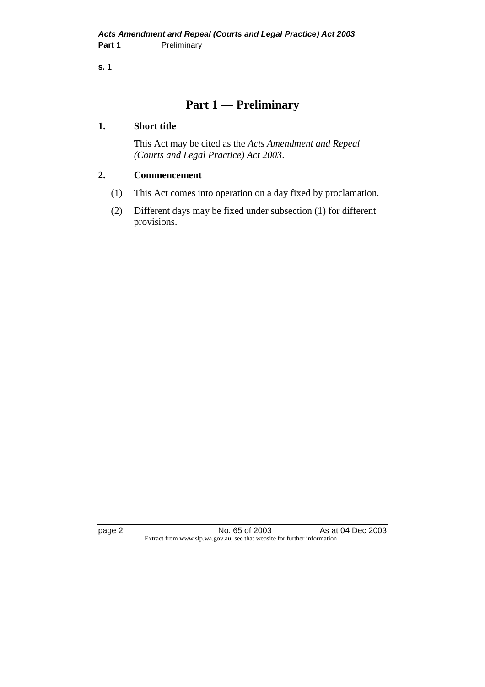## **Part 1 — Preliminary**

## **1. Short title**

 This Act may be cited as the *Acts Amendment and Repeal (Courts and Legal Practice) Act 2003*.

## **2. Commencement**

- (1) This Act comes into operation on a day fixed by proclamation.
- (2) Different days may be fixed under subsection (1) for different provisions.

page 2 **No. 65 of 2003** As at 04 Dec 2003 Extract from www.slp.wa.gov.au, see that website for further information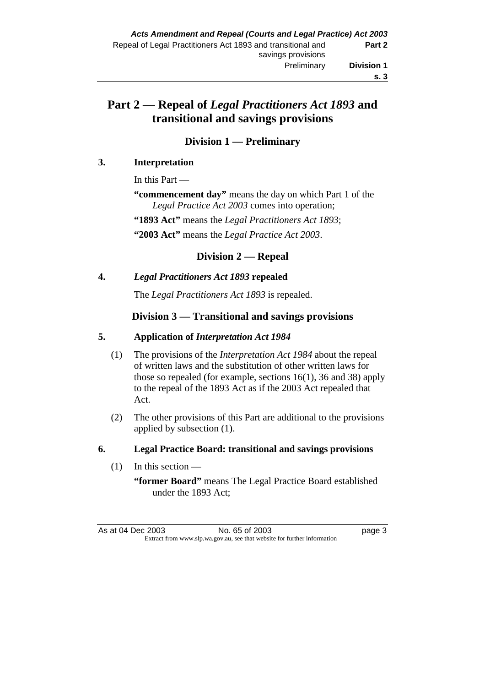# **Part 2 — Repeal of** *Legal Practitioners Act 1893* **and transitional and savings provisions**

## **Division 1 — Preliminary**

## **3. Interpretation**

In this Part —

**"commencement day"** means the day on which Part 1 of the *Legal Practice Act 2003* comes into operation;

 **"1893 Act"** means the *Legal Practitioners Act 1893*;

 **"2003 Act"** means the *Legal Practice Act 2003*.

## **Division 2 — Repeal**

## **4.** *Legal Practitioners Act 1893* **repealed**

The *Legal Practitioners Act 1893* is repealed.

## **Division 3 — Transitional and savings provisions**

## **5. Application of** *Interpretation Act 1984*

- (1) The provisions of the *Interpretation Act 1984* about the repeal of written laws and the substitution of other written laws for those so repealed (for example, sections 16(1), 36 and 38) apply to the repeal of the 1893 Act as if the 2003 Act repealed that Act.
- (2) The other provisions of this Part are additional to the provisions applied by subsection (1).

## **6. Legal Practice Board: transitional and savings provisions**

 $(1)$  In this section —

**<sup>&</sup>quot;former Board"** means The Legal Practice Board established under the 1893 Act;

As at 04 Dec 2003 No. 65 of 2003 Page 3 Extract from www.slp.wa.gov.au, see that website for further information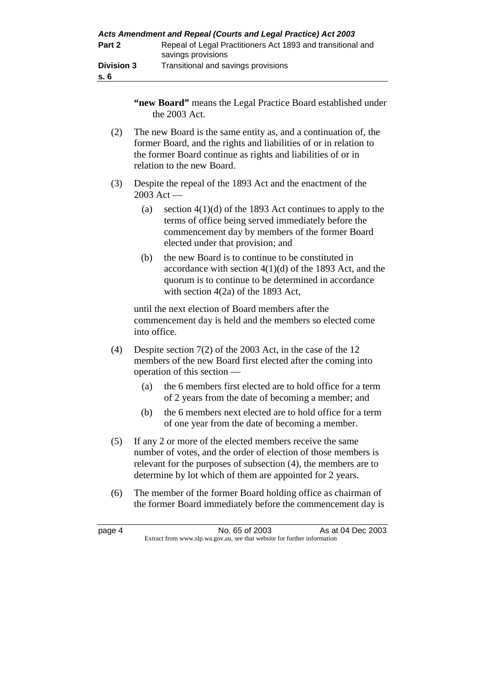|                           | Acts Amendment and Repeal (Courts and Legal Practice) Act 2003                    |
|---------------------------|-----------------------------------------------------------------------------------|
| Part 2                    | Repeal of Legal Practitioners Act 1893 and transitional and<br>savings provisions |
| <b>Division 3</b><br>s. 6 | Transitional and savings provisions                                               |

 **"new Board"** means the Legal Practice Board established under the 2003 Act.

- (2) The new Board is the same entity as, and a continuation of, the former Board, and the rights and liabilities of or in relation to the former Board continue as rights and liabilities of or in relation to the new Board.
- (3) Despite the repeal of the 1893 Act and the enactment of the 2003 Act —
	- (a) section  $4(1)(d)$  of the 1893 Act continues to apply to the terms of office being served immediately before the commencement day by members of the former Board elected under that provision; and
	- (b) the new Board is to continue to be constituted in accordance with section  $4(1)(d)$  of the 1893 Act, and the quorum is to continue to be determined in accordance with section 4(2a) of the 1893 Act,

 until the next election of Board members after the commencement day is held and the members so elected come into office.

- (4) Despite section 7(2) of the 2003 Act, in the case of the 12 members of the new Board first elected after the coming into operation of this section —
	- (a) the 6 members first elected are to hold office for a term of 2 years from the date of becoming a member; and
	- (b) the 6 members next elected are to hold office for a term of one year from the date of becoming a member.
- (5) If any 2 or more of the elected members receive the same number of votes, and the order of election of those members is relevant for the purposes of subsection (4), the members are to determine by lot which of them are appointed for 2 years.
- (6) The member of the former Board holding office as chairman of the former Board immediately before the commencement day is

page 4 **No. 65 of 2003** As at 04 Dec 2003 Extract from www.slp.wa.gov.au, see that website for further information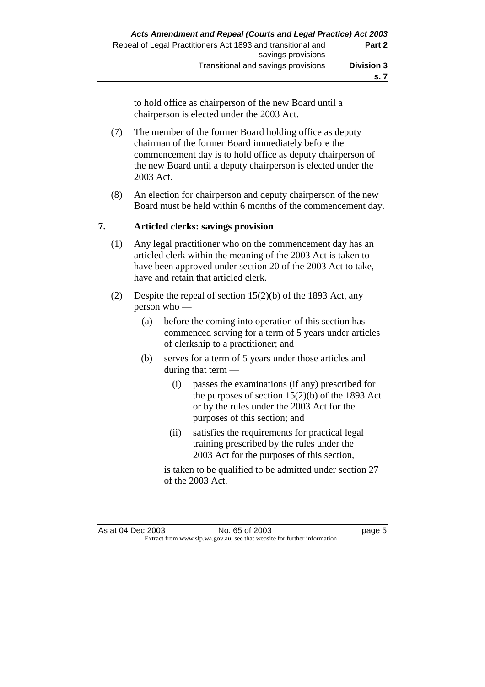to hold office as chairperson of the new Board until a chairperson is elected under the 2003 Act.

- (7) The member of the former Board holding office as deputy chairman of the former Board immediately before the commencement day is to hold office as deputy chairperson of the new Board until a deputy chairperson is elected under the 2003 Act.
- (8) An election for chairperson and deputy chairperson of the new Board must be held within 6 months of the commencement day.

## **7. Articled clerks: savings provision**

- (1) Any legal practitioner who on the commencement day has an articled clerk within the meaning of the 2003 Act is taken to have been approved under section 20 of the 2003 Act to take, have and retain that articled clerk.
- (2) Despite the repeal of section 15(2)(b) of the 1893 Act, any person who —
	- (a) before the coming into operation of this section has commenced serving for a term of 5 years under articles of clerkship to a practitioner; and
	- (b) serves for a term of 5 years under those articles and during that term —
		- (i) passes the examinations (if any) prescribed for the purposes of section  $15(2)(b)$  of the 1893 Act or by the rules under the 2003 Act for the purposes of this section; and
		- (ii) satisfies the requirements for practical legal training prescribed by the rules under the 2003 Act for the purposes of this section,

 is taken to be qualified to be admitted under section 27 of the 2003 Act.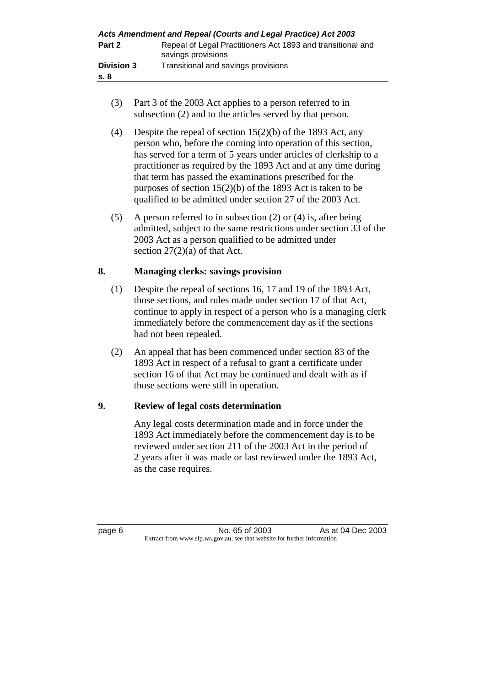|                           | Acts Amendment and Repeal (Courts and Legal Practice) Act 2003                    |
|---------------------------|-----------------------------------------------------------------------------------|
| Part 2                    | Repeal of Legal Practitioners Act 1893 and transitional and<br>savings provisions |
| <b>Division 3</b><br>s. 8 | Transitional and savings provisions                                               |

- (3) Part 3 of the 2003 Act applies to a person referred to in subsection (2) and to the articles served by that person.
- (4) Despite the repeal of section 15(2)(b) of the 1893 Act, any person who, before the coming into operation of this section, has served for a term of 5 years under articles of clerkship to a practitioner as required by the 1893 Act and at any time during that term has passed the examinations prescribed for the purposes of section 15(2)(b) of the 1893 Act is taken to be qualified to be admitted under section 27 of the 2003 Act.
- (5) A person referred to in subsection (2) or (4) is, after being admitted, subject to the same restrictions under section 33 of the 2003 Act as a person qualified to be admitted under section  $27(2)(a)$  of that Act.

## **8. Managing clerks: savings provision**

- (1) Despite the repeal of sections 16, 17 and 19 of the 1893 Act, those sections, and rules made under section 17 of that Act, continue to apply in respect of a person who is a managing clerk immediately before the commencement day as if the sections had not been repealed.
- (2) An appeal that has been commenced under section 83 of the 1893 Act in respect of a refusal to grant a certificate under section 16 of that Act may be continued and dealt with as if those sections were still in operation.

## **9. Review of legal costs determination**

 Any legal costs determination made and in force under the 1893 Act immediately before the commencement day is to be reviewed under section 211 of the 2003 Act in the period of 2 years after it was made or last reviewed under the 1893 Act, as the case requires.

page 6 No. 65 of 2003 As at 04 Dec 2003 Extract from www.slp.wa.gov.au, see that website for further information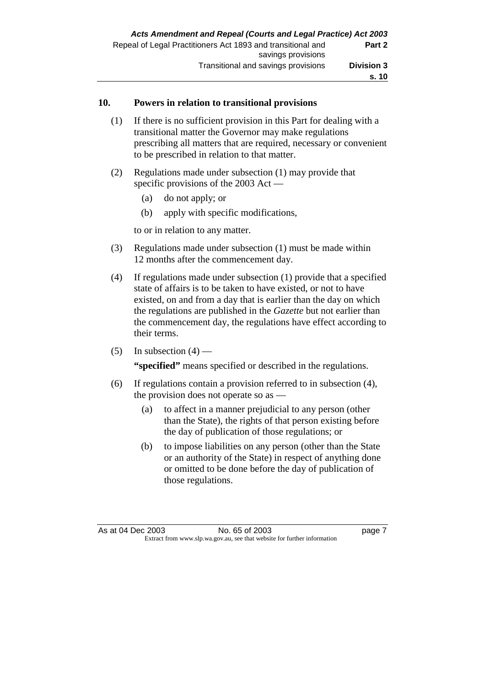## **10. Powers in relation to transitional provisions**

- (1) If there is no sufficient provision in this Part for dealing with a transitional matter the Governor may make regulations prescribing all matters that are required, necessary or convenient to be prescribed in relation to that matter.
- (2) Regulations made under subsection (1) may provide that specific provisions of the 2003 Act —
	- (a) do not apply; or
	- (b) apply with specific modifications,

to or in relation to any matter.

- (3) Regulations made under subsection (1) must be made within 12 months after the commencement day.
- (4) If regulations made under subsection (1) provide that a specified state of affairs is to be taken to have existed, or not to have existed, on and from a day that is earlier than the day on which the regulations are published in the *Gazette* but not earlier than the commencement day, the regulations have effect according to their terms.
- (5) In subsection  $(4)$  —

 **"specified"** means specified or described in the regulations.

- (6) If regulations contain a provision referred to in subsection (4), the provision does not operate so as —
	- (a) to affect in a manner prejudicial to any person (other than the State), the rights of that person existing before the day of publication of those regulations; or
	- (b) to impose liabilities on any person (other than the State or an authority of the State) in respect of anything done or omitted to be done before the day of publication of those regulations.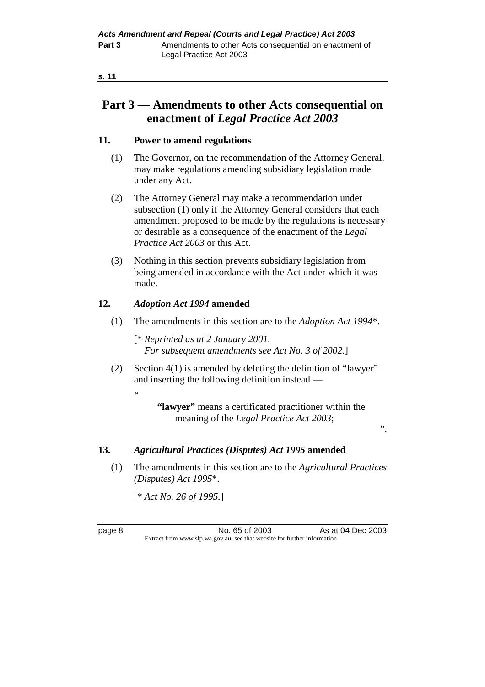# **Part 3 — Amendments to other Acts consequential on enactment of** *Legal Practice Act 2003*

## **11. Power to amend regulations**

- (1) The Governor, on the recommendation of the Attorney General, may make regulations amending subsidiary legislation made under any Act.
- (2) The Attorney General may make a recommendation under subsection (1) only if the Attorney General considers that each amendment proposed to be made by the regulations is necessary or desirable as a consequence of the enactment of the *Legal Practice Act 2003* or this Act.
- (3) Nothing in this section prevents subsidiary legislation from being amended in accordance with the Act under which it was made.

## **12.** *Adoption Act 1994* **amended**

(1) The amendments in this section are to the *Adoption Act 1994*\*.

 [\* *Reprinted as at 2 January 2001. For subsequent amendments see Act No. 3 of 2002.*]

 (2) Section 4(1) is amended by deleting the definition of "lawyer" and inserting the following definition instead —

> **"lawyer"** means a certificated practitioner within the meaning of the *Legal Practice Act 2003*;

".

## **13.** *Agricultural Practices (Disputes) Act 1995* **amended**

 (1) The amendments in this section are to the *Agricultural Practices (Disputes) Act 1995*\*.

[\* *Act No. 26 of 1995.*]

"

page 8 No. 65 of 2003 As at 04 Dec 2003 Extract from www.slp.wa.gov.au, see that website for further information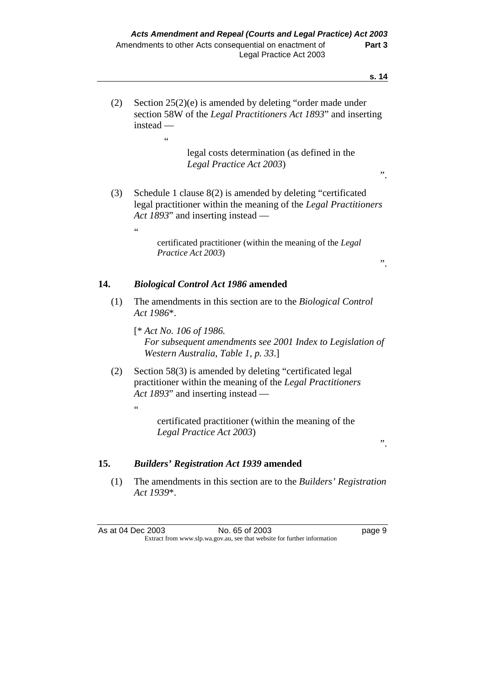".

".

 (2) Section 25(2)(e) is amended by deleting "order made under section 58W of the *Legal Practitioners Act 1893*" and inserting instead —

> legal costs determination (as defined in the *Legal Practice Act 2003*)

- (3) Schedule 1 clause 8(2) is amended by deleting "certificated legal practitioner within the meaning of the *Legal Practitioners Act 1893*" and inserting instead —
	- "

.<br>"

 $\alpha$ 

 certificated practitioner (within the meaning of the *Legal Practice Act 2003*)

## **14.** *Biological Control Act 1986* **amended**

- (1) The amendments in this section are to the *Biological Control Act 1986*\*.
	- [\* *Act No. 106 of 1986. For subsequent amendments see 2001 Index to Legislation of Western Australia, Table 1, p. 33*.]
- (2) Section 58(3) is amended by deleting "certificated legal practitioner within the meaning of the *Legal Practitioners Act 1893*" and inserting instead —

 certificated practitioner (within the meaning of the *Legal Practice Act 2003*)

".

## **15.** *Builders' Registration Act 1939* **amended**

 (1) The amendments in this section are to the *Builders' Registration Act 1939*\*.

As at 04 Dec 2003 No. 65 of 2003 Page 9 Extract from www.slp.wa.gov.au, see that website for further information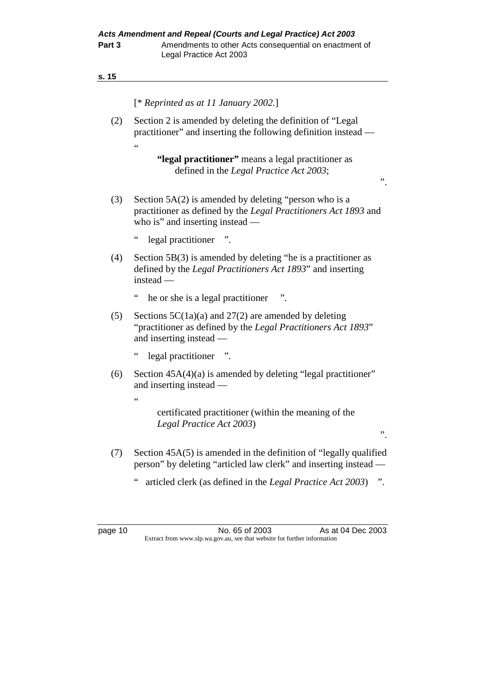|     | [* Reprinted as at 11 January 2002.]                                                                                                                            |
|-----|-----------------------------------------------------------------------------------------------------------------------------------------------------------------|
| (2) | Section 2 is amended by deleting the definition of "Legal"<br>practitioner" and inserting the following definition instead —                                    |
|     | $\epsilon$                                                                                                                                                      |
|     | "legal practitioner" means a legal practitioner as<br>defined in the Legal Practice Act 2003;                                                                   |
|     | ,,                                                                                                                                                              |
| (3) | Section $5A(2)$ is amended by deleting "person who is a<br>practitioner as defined by the Legal Practitioners Act 1893 and<br>who is" and inserting instead $-$ |
|     | $\zeta$ $\zeta$<br>legal practitioner                                                                                                                           |
| (4) | Section $5B(3)$ is amended by deleting "he is a practitioner as<br>defined by the Legal Practitioners Act 1893" and inserting<br>instead —                      |
|     | $\epsilon$<br>he or she is a legal practitioner<br>".                                                                                                           |
| (5) | Sections $5C(1a)(a)$ and $27(2)$ are amended by deleting<br>"practitioner as defined by the Legal Practitioners Act 1893"<br>and inserting instead -            |
|     | $\epsilon$<br>legal practitioner<br>$\cdot$                                                                                                                     |
| (6) | Section 45A(4)(a) is amended by deleting "legal practitioner"<br>and inserting instead —                                                                        |
|     | $\leq$                                                                                                                                                          |
|     | certificated practitioner (within the meaning of the<br>Legal Practice Act 2003)                                                                                |

- (7) Section 45A(5) is amended in the definition of "legally qualified person" by deleting "articled law clerk" and inserting instead —
	- " articled clerk (as defined in the *Legal Practice Act 2003*) ".

".

page 10 **No. 65 of 2003** As at 04 Dec 2003 Extract from www.slp.wa.gov.au, see that website for further information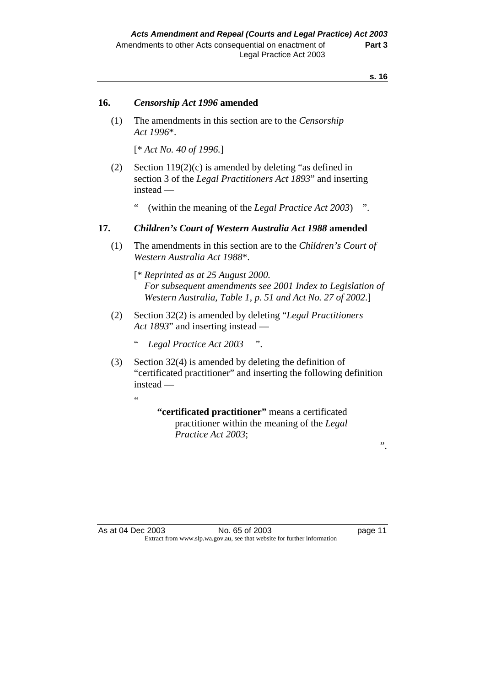#### **16.** *Censorship Act 1996* **amended**

 (1) The amendments in this section are to the *Censorship Act 1996*\*.

[\* *Act No. 40 of 1996.*]

- (2) Section 119(2)(c) is amended by deleting "as defined in section 3 of the *Legal Practitioners Act 1893*" and inserting instead —
	- (within the meaning of the *Legal Practice Act 2003*) ".

## **17.** *Children's Court of Western Australia Act 1988* **amended**

- (1) The amendments in this section are to the *Children's Court of Western Australia Act 1988*\*.
	- [\* *Reprinted as at 25 August 2000. For subsequent amendments see 2001 Index to Legislation of Western Australia, Table 1, p. 51 and Act No. 27 of 2002*.]
- (2) Section 32(2) is amended by deleting "*Legal Practitioners Act 1893*" and inserting instead —
	- " *Legal Practice Act 2003* ".
- (3) Section 32(4) is amended by deleting the definition of "certificated practitioner" and inserting the following definition instead —

.<br>"

 **"certificated practitioner"** means a certificated practitioner within the meaning of the *Legal Practice Act 2003*;

As at 04 Dec 2003 No. 65 of 2003 hold and the page 11 Extract from www.slp.wa.gov.au, see that website for further information

".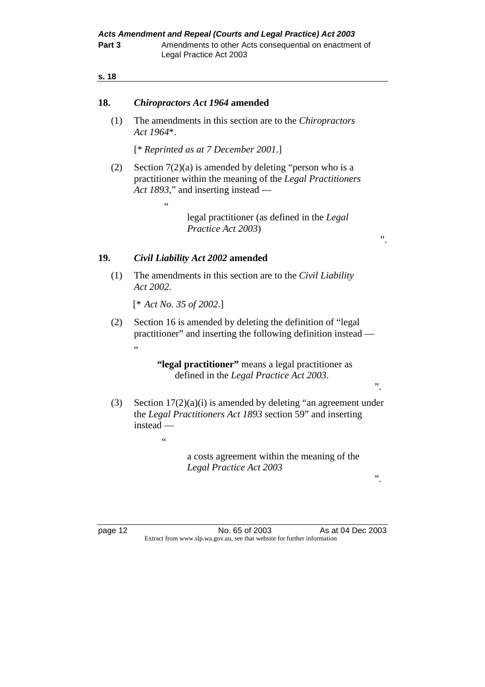#### **18.** *Chiropractors Act 1964* **amended**

 (1) The amendments in this section are to the *Chiropractors Act 1964*\*.

[\* *Reprinted as at 7 December 2001.*]

 (2) Section 7(2)(a) is amended by deleting "person who is a practitioner within the meaning of the *Legal Practitioners Act 1893*," and inserting instead —

> legal practitioner (as defined in the *Legal Practice Act 2003*)

## **19.** *Civil Liability Act 2002* **amended**

 $\epsilon$ 

 (1) The amendments in this section are to the *Civil Liability Act 2002*.

[\* *Act No. 35 of 2002*.]

 $\epsilon$ 

 (2) Section 16 is amended by deleting the definition of "legal practitioner" and inserting the following definition instead — "

> **"legal practitioner"** means a legal practitioner as defined in the *Legal Practice Act 2003*.

 (3) Section 17(2)(a)(i) is amended by deleting "an agreement under the *Legal Practitioners Act 1893* section 59" and inserting instead —

> a costs agreement within the meaning of the *Legal Practice Act 2003*

".

".

".

page 12 No. 65 of 2003 As at 04 Dec 2003 Extract from www.slp.wa.gov.au, see that website for further information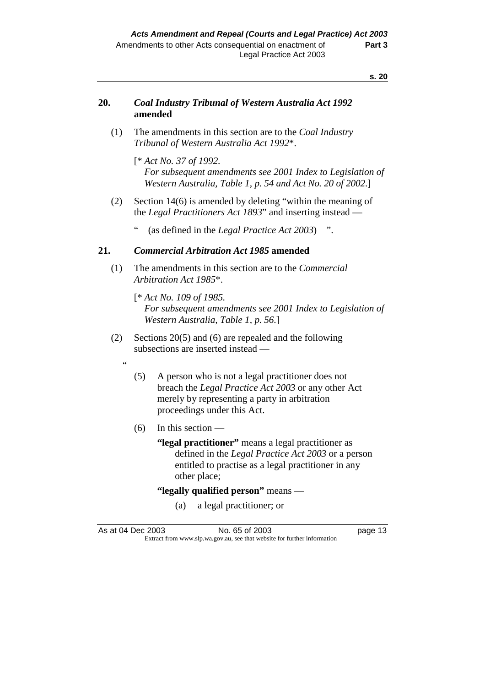## **20.** *Coal Industry Tribunal of Western Australia Act 1992*  **amended**

 (1) The amendments in this section are to the *Coal Industry Tribunal of Western Australia Act 1992*\*.

 [\* *Act No. 37 of 1992. For subsequent amendments see 2001 Index to Legislation of Western Australia, Table 1, p. 54 and Act No. 20 of 2002*.]

- (2) Section 14(6) is amended by deleting "within the meaning of the *Legal Practitioners Act 1893*" and inserting instead —
	- (as defined in the *Legal Practice Act 2003*) ".

#### **21.** *Commercial Arbitration Act 1985* **amended**

- (1) The amendments in this section are to the *Commercial Arbitration Act 1985*\*.
	- [\* *Act No. 109 of 1985. For subsequent amendments see 2001 Index to Legislation of Western Australia, Table 1, p. 56*.]
- (2) Sections 20(5) and (6) are repealed and the following subsections are inserted instead —
	- "
- (5) A person who is not a legal practitioner does not breach the *Legal Practice Act 2003* or any other Act merely by representing a party in arbitration proceedings under this Act.
- $(6)$  In this section
	- **"legal practitioner"** means a legal practitioner as defined in the *Legal Practice Act 2003* or a person entitled to practise as a legal practitioner in any other place;

## **"legally qualified person"** means —

(a) a legal practitioner; or

As at 04 Dec 2003 No. 65 of 2003 had been appeared to the page 13 Extract from www.slp.wa.gov.au, see that website for further information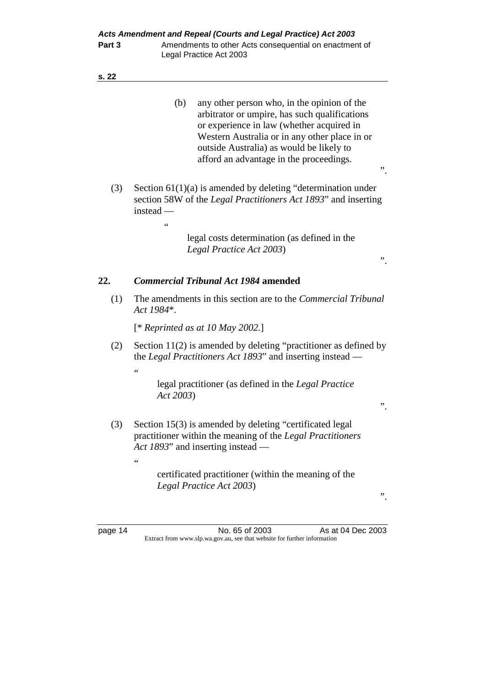| ٧ |
|---|
|---|

|     | (b)<br>any other person who, in the opinion of the<br>arbitrator or umpire, has such qualifications<br>or experience in law (whether acquired in<br>Western Australia or in any other place in or<br>outside Australia) as would be likely to<br>afford an advantage in the proceedings.<br>,, |  |
|-----|------------------------------------------------------------------------------------------------------------------------------------------------------------------------------------------------------------------------------------------------------------------------------------------------|--|
| (3) | Section $61(1)(a)$ is amended by deleting "determination under<br>section 58W of the <i>Legal Practitioners Act 1893</i> " and inserting<br>instead $-$<br>66                                                                                                                                  |  |
|     | legal costs determination (as defined in the<br>Legal Practice Act 2003)<br>"                                                                                                                                                                                                                  |  |
| 22. | <b>Commercial Tribunal Act 1984 amended</b>                                                                                                                                                                                                                                                    |  |
| (1) | The amendments in this section are to the <i>Commercial Tribunal</i><br>Act 1984*.                                                                                                                                                                                                             |  |
|     | [* Reprinted as at 10 May 2002.]                                                                                                                                                                                                                                                               |  |
| (2) | Section $11(2)$ is amended by deleting "practitioner as defined by<br>the Legal Practitioners Act 1893" and inserting instead —<br>66                                                                                                                                                          |  |
|     | legal practitioner (as defined in the Legal Practice<br>Act 2003)<br>,,                                                                                                                                                                                                                        |  |
| (3) | Section 15(3) is amended by deleting "certificated legal<br>practitioner within the meaning of the Legal Practitioners<br>Act 1893" and inserting instead —<br>$\zeta$ $\zeta$                                                                                                                 |  |
|     | certificated practitioner (within the meaning of the<br>Legal Practice Act 2003)                                                                                                                                                                                                               |  |

page 14 **No. 65 of 2003** As at 04 Dec 2003 Extract from www.slp.wa.gov.au, see that website for further information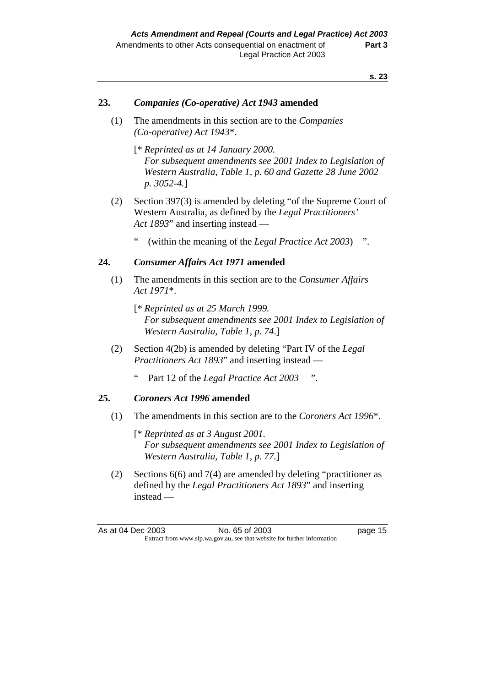#### **23.** *Companies (Co-operative) Act 1943* **amended**

- (1) The amendments in this section are to the *Companies (Co-operative) Act 1943*\*.
	- [\* *Reprinted as at 14 January 2000. For subsequent amendments see 2001 Index to Legislation of Western Australia, Table 1, p. 60 and Gazette 28 June 2002 p. 3052-4.*]
- (2) Section 397(3) is amended by deleting "of the Supreme Court of Western Australia, as defined by the *Legal Practitioners' Act 1893*" and inserting instead —
	- " (within the meaning of the *Legal Practice Act 2003*) ".

#### **24.** *Consumer Affairs Act 1971* **amended**

- (1) The amendments in this section are to the *Consumer Affairs Act 1971*\*.
	- [\* *Reprinted as at 25 March 1999. For subsequent amendments see 2001 Index to Legislation of Western Australia, Table 1, p. 74*.]
- (2) Section 4(2b) is amended by deleting "Part IV of the *Legal Practitioners Act 1893*" and inserting instead —
	- " Part 12 of the *Legal Practice Act 2003* ".

#### **25.** *Coroners Act 1996* **amended**

- (1) The amendments in this section are to the *Coroners Act 1996*\*.
	- [\* *Reprinted as at 3 August 2001. For subsequent amendments see 2001 Index to Legislation of Western Australia, Table 1, p. 77*.]
- (2) Sections 6(6) and 7(4) are amended by deleting "practitioner as defined by the *Legal Practitioners Act 1893*" and inserting instead —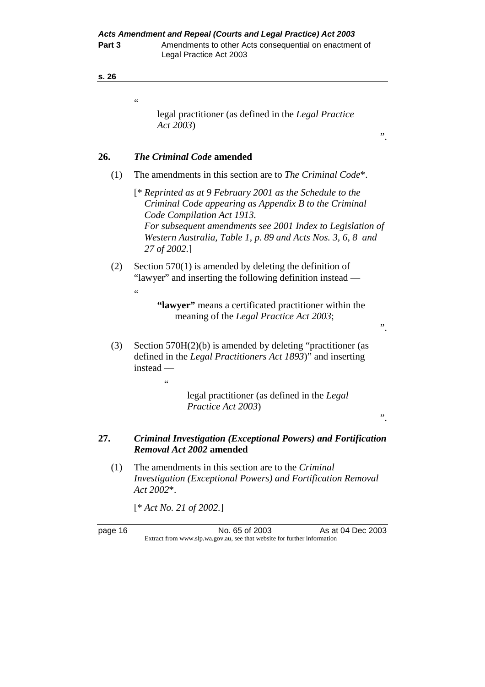**Part 3** Amendments to other Acts consequential on enactment of Legal Practice Act 2003

| ×<br>$-$<br>$-$ |
|-----------------|
|-----------------|

.<br>.

"

## legal practitioner (as defined in the *Legal Practice Act 2003*)

## **26.** *The Criminal Code* **amended**

- (1) The amendments in this section are to *The Criminal Code*\*.
	- [\* *Reprinted as at 9 February 2001 as the Schedule to the Criminal Code appearing as Appendix B to the Criminal Code Compilation Act 1913. For subsequent amendments see 2001 Index to Legislation of Western Australia, Table 1, p. 89 and Acts Nos. 3, 6, 8 and 27 of 2002.*]
- (2) Section 570(1) is amended by deleting the definition of "lawyer" and inserting the following definition instead —

## **"lawyer"** means a certificated practitioner within the meaning of the *Legal Practice Act 2003*;

".

".

 (3) Section 570H(2)(b) is amended by deleting "practitioner (as defined in the *Legal Practitioners Act 1893*)" and inserting instead —

> legal practitioner (as defined in the *Legal Practice Act 2003*)

".

## **27.** *Criminal Investigation (Exceptional Powers) and Fortification Removal Act 2002* **amended**

 (1) The amendments in this section are to the *Criminal Investigation (Exceptional Powers) and Fortification Removal Act 2002*\*.

[\* *Act No. 21 of 2002.*]

 $\epsilon$ 

page 16 No. 65 of 2003 As at 04 Dec 2003 Extract from www.slp.wa.gov.au, see that website for further information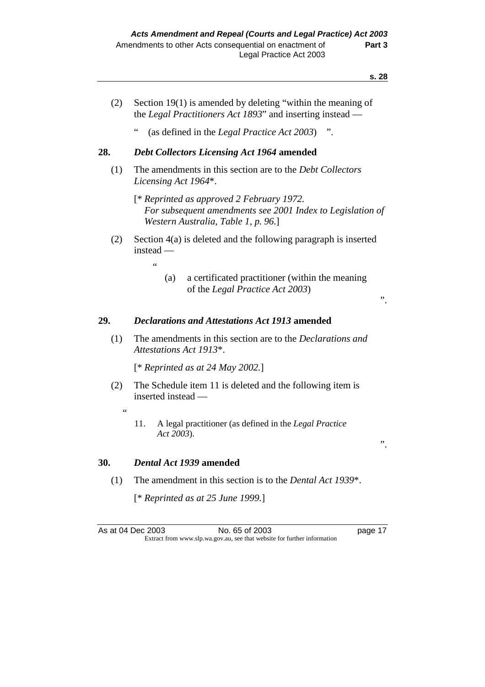- (2) Section 19(1) is amended by deleting "within the meaning of the *Legal Practitioners Act 1893*" and inserting instead —
	- " (as defined in the *Legal Practice Act 2003*) ".

## **28.** *Debt Collectors Licensing Act 1964* **amended**

- (1) The amendments in this section are to the *Debt Collectors Licensing Act 1964*\*.
	- [\* *Reprinted as approved 2 February 1972. For subsequent amendments see 2001 Index to Legislation of Western Australia, Table 1, p. 96*.]
- (2) Section 4(a) is deleted and the following paragraph is inserted instead —
	- (a) a certificated practitioner (within the meaning of the *Legal Practice Act 2003*)

## ".

".

#### **29.** *Declarations and Attestations Act 1913* **amended**

 (1) The amendments in this section are to the *Declarations and Attestations Act 1913*\*.

[\* *Reprinted as at 24 May 2002.*]

- (2) The Schedule item 11 is deleted and the following item is inserted instead —
	- $\overline{a}$
- 11. A legal practitioner (as defined in the *Legal Practice Act 2003*).

#### **30.** *Dental Act 1939* **amended**

 $\epsilon$ 

(1) The amendment in this section is to the *Dental Act 1939*\*.

[\* *Reprinted as at 25 June 1999.*]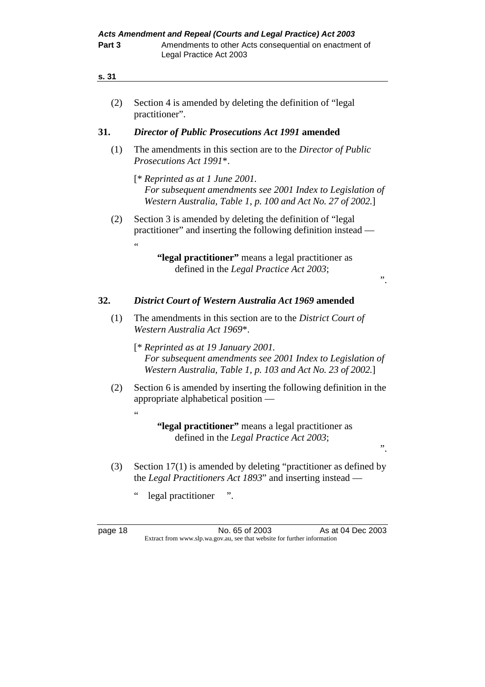| s. 31 |  |  |  |
|-------|--|--|--|
|       |  |  |  |
|       |  |  |  |

| Section 4 is amended by deleting the definition of "legal" |
|------------------------------------------------------------|
| practitioner".                                             |

## **31.** *Director of Public Prosecutions Act 1991* **amended**

- (1) The amendments in this section are to the *Director of Public Prosecutions Act 1991*\*.
	- [\* *Reprinted as at 1 June 2001. For subsequent amendments see 2001 Index to Legislation of Western Australia, Table 1, p. 100 and Act No. 27 of 2002.*]
- (2) Section 3 is amended by deleting the definition of "legal practitioner" and inserting the following definition instead — .<br>"

".

".

## **32.** *District Court of Western Australia Act 1969* **amended**

- (1) The amendments in this section are to the *District Court of Western Australia Act 1969*\*.
	- [\* *Reprinted as at 19 January 2001. For subsequent amendments see 2001 Index to Legislation of Western Australia, Table 1, p. 103 and Act No. 23 of 2002.*]
- (2) Section 6 is amended by inserting the following definition in the appropriate alphabetical position —

- (3) Section 17(1) is amended by deleting "practitioner as defined by the *Legal Practitioners Act 1893*" and inserting instead —
	- " legal practitioner ".

"

page 18 No. 65 of 2003 As at 04 Dec 2003 Extract from www.slp.wa.gov.au, see that website for further information

 **<sup>&</sup>quot;legal practitioner"** means a legal practitioner as defined in the *Legal Practice Act 2003*;

 **<sup>&</sup>quot;legal practitioner"** means a legal practitioner as defined in the *Legal Practice Act 2003*;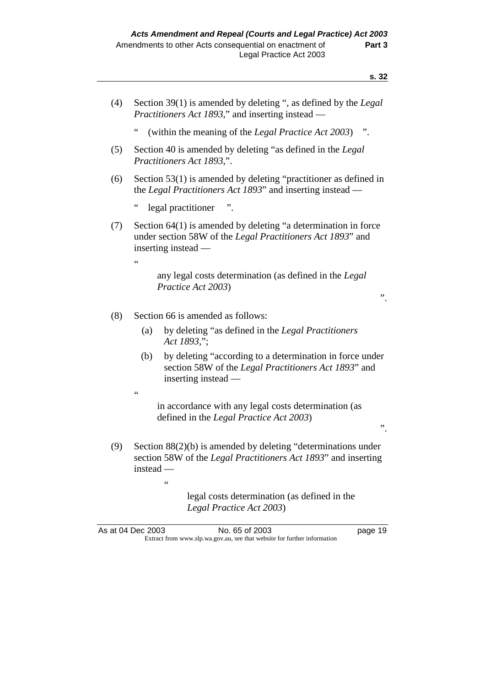- (4) Section 39(1) is amended by deleting ", as defined by the *Legal Practitioners Act 1893*," and inserting instead —
	- (within the meaning of the *Legal Practice Act 2003*) ".
- (5) Section 40 is amended by deleting "as defined in the *Legal Practitioners Act 1893*,".
- (6) Section 53(1) is amended by deleting "practitioner as defined in the *Legal Practitioners Act 1893*" and inserting instead
	- legal practitioner ".
- (7) Section 64(1) is amended by deleting "a determination in force under section 58W of the *Legal Practitioners Act 1893*" and inserting instead —

 any legal costs determination (as defined in the *Legal Practice Act 2003*)

".

".

- (8) Section 66 is amended as follows:
	- (a) by deleting "as defined in the *Legal Practitioners Act 1893*,";
	- (b) by deleting "according to a determination in force under section 58W of the *Legal Practitioners Act 1893*" and inserting instead —
	- $\epsilon$

 $\epsilon$ 

"

 in accordance with any legal costs determination (as defined in the *Legal Practice Act 2003*)

 (9) Section 88(2)(b) is amended by deleting "determinations under section 58W of the *Legal Practitioners Act 1893*" and inserting instead —

> legal costs determination (as defined in the *Legal Practice Act 2003*)

As at 04 Dec 2003 No. 65 of 2003 has at 04 Dec 2003 Extract from www.slp.wa.gov.au, see that website for further information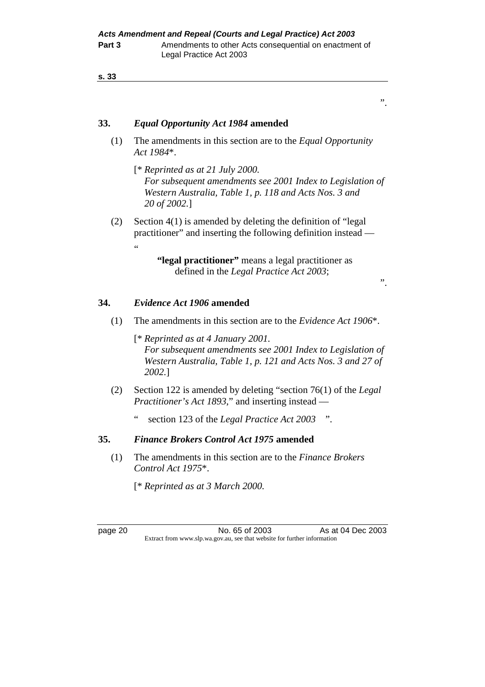## **33.** *Equal Opportunity Act 1984* **amended**

- (1) The amendments in this section are to the *Equal Opportunity Act 1984*\*.
	- [\* *Reprinted as at 21 July 2000. For subsequent amendments see 2001 Index to Legislation of Western Australia, Table 1, p. 118 and Acts Nos. 3 and 20 of 2002.*]
- (2) Section 4(1) is amended by deleting the definition of "legal practitioner" and inserting the following definition instead — "

 **"legal practitioner"** means a legal practitioner as defined in the *Legal Practice Act 2003*;

".

".

## **34.** *Evidence Act 1906* **amended**

(1) The amendments in this section are to the *Evidence Act 1906*\*.

 [\* *Reprinted as at 4 January 2001. For subsequent amendments see 2001 Index to Legislation of Western Australia, Table 1, p. 121 and Acts Nos. 3 and 27 of 2002.*]

- (2) Section 122 is amended by deleting "section 76(1) of the *Legal Practitioner's Act 1893*," and inserting instead
	- section 123 of the *Legal Practice Act 2003* ".

#### **35.** *Finance Brokers Control Act 1975* **amended**

 (1) The amendments in this section are to the *Finance Brokers Control Act 1975*\*.

[\* *Reprinted as at 3 March 2000.* 

page 20 No. 65 of 2003 As at 04 Dec 2003 Extract from www.slp.wa.gov.au, see that website for further information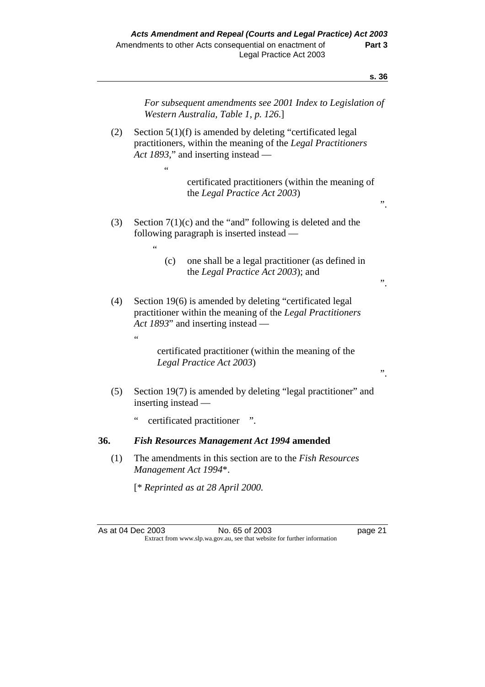*For subsequent amendments see 2001 Index to Legislation of Western Australia, Table 1, p. 126*.] (2) Section 5(1)(f) is amended by deleting "certificated legal practitioners, within the meaning of the *Legal Practitioners Act 1893*," and inserting instead —  $\epsilon$  certificated practitioners (within the meaning of the *Legal Practice Act 2003*) ". (3) Section  $7(1)(c)$  and the "and" following is deleted and the following paragraph is inserted instead — " (c) one shall be a legal practitioner (as defined in the *Legal Practice Act 2003*); and ". (4) Section 19(6) is amended by deleting "certificated legal practitioner within the meaning of the *Legal Practitioners Act 1893*" and inserting instead — " certificated practitioner (within the meaning of the *Legal Practice Act 2003*) ". (5) Section 19(7) is amended by deleting "legal practitioner" and inserting instead certificated practitioner ". **36.** *Fish Resources Management Act 1994* **amended**  (1) The amendments in this section are to the *Fish Resources Management Act 1994*\*. [\* *Reprinted as at 28 April 2000.* 

As at 04 Dec 2003 No. 65 of 2003 page 21 Extract from www.slp.wa.gov.au, see that website for further information

**s. 36**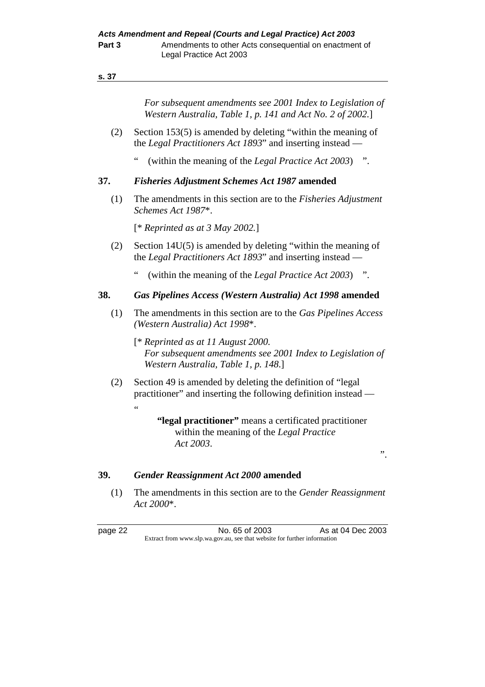*For subsequent amendments see 2001 Index to Legislation of Western Australia, Table 1, p. 141 and Act No. 2 of 2002.*]

- (2) Section 153(5) is amended by deleting "within the meaning of the *Legal Practitioners Act 1893*" and inserting instead —
	- " (within the meaning of the *Legal Practice Act 2003*) ".

#### **37.** *Fisheries Adjustment Schemes Act 1987* **amended**

 (1) The amendments in this section are to the *Fisheries Adjustment Schemes Act 1987*\*.

[\* *Reprinted as at 3 May 2002.*]

- (2) Section 14U(5) is amended by deleting "within the meaning of the *Legal Practitioners Act 1893*" and inserting instead —
	- " (within the meaning of the *Legal Practice Act 2003*) ".

#### **38.** *Gas Pipelines Access (Western Australia) Act 1998* **amended**

- (1) The amendments in this section are to the *Gas Pipelines Access (Western Australia) Act 1998*\*.
	- [\* *Reprinted as at 11 August 2000. For subsequent amendments see 2001 Index to Legislation of Western Australia, Table 1, p. 148*.]
- (2) Section 49 is amended by deleting the definition of "legal practitioner" and inserting the following definition instead —

## **"legal practitioner"** means a certificated practitioner within the meaning of the *Legal Practice Act 2003*.

".

#### **39.** *Gender Reassignment Act 2000* **amended**

 (1) The amendments in this section are to the *Gender Reassignment Act 2000*\*.

.<br>..

page 22 No. 65 of 2003 As at 04 Dec 2003 Extract from www.slp.wa.gov.au, see that website for further information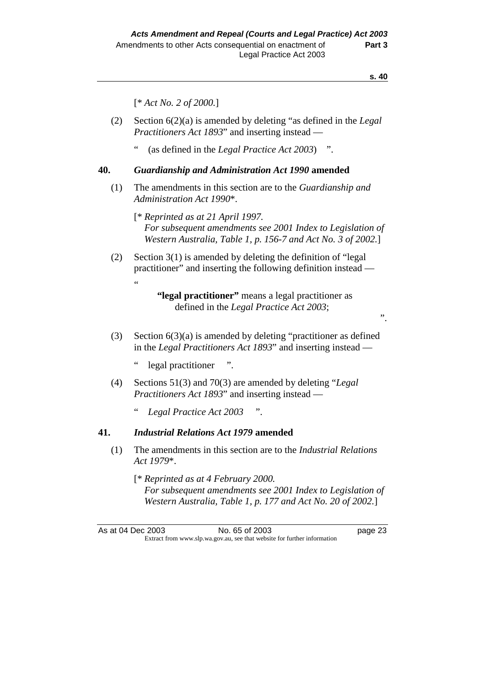".

[\* *Act No. 2 of 2000.*]

- (2) Section 6(2)(a) is amended by deleting "as defined in the *Legal Practitioners Act 1893*" and inserting instead —
	- " (as defined in the *Legal Practice Act 2003*) ".

#### **40.** *Guardianship and Administration Act 1990* **amended**

- (1) The amendments in this section are to the *Guardianship and Administration Act 1990*\*.
	- [\* *Reprinted as at 21 April 1997. For subsequent amendments see 2001 Index to Legislation of Western Australia, Table 1, p. 156-7 and Act No. 3 of 2002.*]
- (2) Section 3(1) is amended by deleting the definition of "legal practitioner" and inserting the following definition instead — "

- (3) Section 6(3)(a) is amended by deleting "practitioner as defined in the *Legal Practitioners Act 1893*" and inserting instead
	- legal practitioner ".
- (4) Sections 51(3) and 70(3) are amended by deleting "*Legal Practitioners Act 1893*" and inserting instead —
	- " *Legal Practice Act 2003* ".

#### **41.** *Industrial Relations Act 1979* **amended**

- (1) The amendments in this section are to the *Industrial Relations Act 1979*\*.
	- [\* *Reprinted as at 4 February 2000. For subsequent amendments see 2001 Index to Legislation of Western Australia, Table 1, p. 177 and Act No. 20 of 2002.*]

 **<sup>&</sup>quot;legal practitioner"** means a legal practitioner as defined in the *Legal Practice Act 2003*;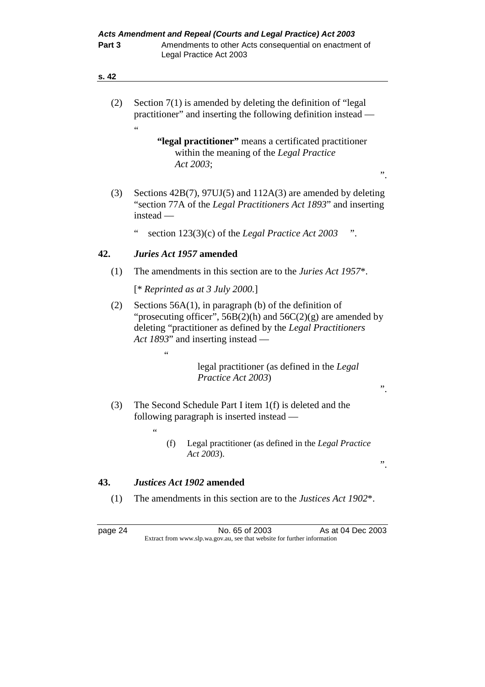| (2)     | Section $7(1)$ is amended by deleting the definition of "legal"<br>practitioner" and inserting the following definition instead —                                                                                                   |  |  |  |  |
|---------|-------------------------------------------------------------------------------------------------------------------------------------------------------------------------------------------------------------------------------------|--|--|--|--|
|         | 66<br>"legal practitioner" means a certificated practitioner<br>within the meaning of the Legal Practice<br>Act 2003;                                                                                                               |  |  |  |  |
|         | "                                                                                                                                                                                                                                   |  |  |  |  |
| (3)     | Sections $42B(7)$ , $97UJ(5)$ and $112A(3)$ are amended by deleting<br>"section 77A of the Legal Practitioners Act 1893" and inserting<br>instead —                                                                                 |  |  |  |  |
|         | $\zeta$ $\zeta$<br>section $123(3)(c)$ of the <i>Legal Practice Act</i> 2003                                                                                                                                                        |  |  |  |  |
| 42.     | Juries Act 1957 amended                                                                                                                                                                                                             |  |  |  |  |
| (1)     | The amendments in this section are to the <i>Juries Act 1957<sup>*</sup></i> .                                                                                                                                                      |  |  |  |  |
|         | [* Reprinted as at 3 July 2000.]                                                                                                                                                                                                    |  |  |  |  |
| (2)     | Sections $56A(1)$ , in paragraph (b) of the definition of<br>"prosecuting officer", $56B(2)(h)$ and $56C(2)(g)$ are amended by<br>deleting "practitioner as defined by the Legal Practitioners<br>Act 1893" and inserting instead — |  |  |  |  |
|         | $\leq$                                                                                                                                                                                                                              |  |  |  |  |
|         | legal practitioner (as defined in the Legal<br>Practice Act 2003)<br>,,                                                                                                                                                             |  |  |  |  |
| (3)     | The Second Schedule Part I item 1(f) is deleted and the<br>following paragraph is inserted instead —                                                                                                                                |  |  |  |  |
|         | 66<br>Legal practitioner (as defined in the Legal Practice<br>(f)<br>Act 2003).<br>,,                                                                                                                                               |  |  |  |  |
|         |                                                                                                                                                                                                                                     |  |  |  |  |
| 43.     | Justices Act 1902 amended                                                                                                                                                                                                           |  |  |  |  |
| (1)     | The amendments in this section are to the <i>Justices Act 1902<sup>*</sup></i> .                                                                                                                                                    |  |  |  |  |
| page 24 | No. 65 of 2003<br>As at 04 Dec 2003<br>Extract from www.slp.wa.gov.au, see that website for further information                                                                                                                     |  |  |  |  |
|         |                                                                                                                                                                                                                                     |  |  |  |  |
|         |                                                                                                                                                                                                                                     |  |  |  |  |
|         |                                                                                                                                                                                                                                     |  |  |  |  |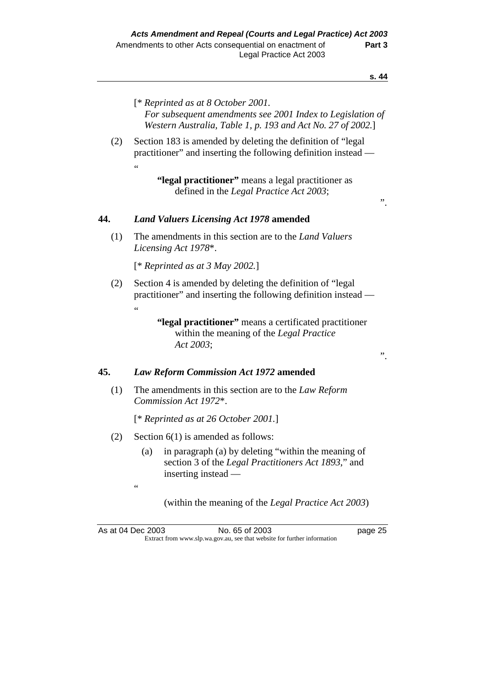- [\* *Reprinted as at 8 October 2001. For subsequent amendments see 2001 Index to Legislation of Western Australia, Table 1, p. 193 and Act No. 27 of 2002.*]
- (2) Section 183 is amended by deleting the definition of "legal practitioner" and inserting the following definition instead — .<br>..

".

".

## **44.** *Land Valuers Licensing Act 1978* **amended**

 (1) The amendments in this section are to the *Land Valuers Licensing Act 1978*\*.

[\* *Reprinted as at 3 May 2002.*]

 (2) Section 4 is amended by deleting the definition of "legal practitioner" and inserting the following definition instead — "

> **"legal practitioner"** means a certificated practitioner within the meaning of the *Legal Practice Act 2003*;

#### **45.** *Law Reform Commission Act 1972* **amended**

 (1) The amendments in this section are to the *Law Reform Commission Act 1972*\*.

[\* *Reprinted as at 26 October 2001.*]

(2) Section 6(1) is amended as follows:

"

 (a) in paragraph (a) by deleting "within the meaning of section 3 of the *Legal Practitioners Act 1893*," and inserting instead —

(within the meaning of the *Legal Practice Act 2003*)

As at 04 Dec 2003 No. 65 of 2003 page 25 Extract from www.slp.wa.gov.au, see that website for further information

 **<sup>&</sup>quot;legal practitioner"** means a legal practitioner as defined in the *Legal Practice Act 2003*;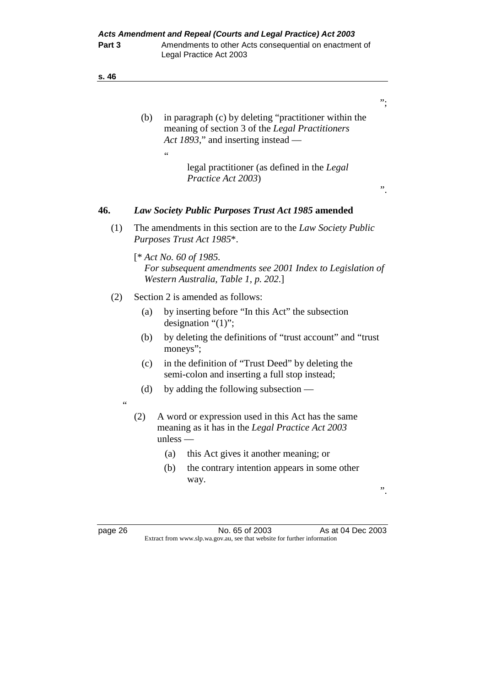- (b) in paragraph (c) by deleting "practitioner within the meaning of section 3 of the *Legal Practitioners Act 1893*," and inserting instead
	- legal practitioner (as defined in the *Legal Practice Act 2003*)

## **46.** *Law Society Public Purposes Trust Act 1985* **amended**

 (1) The amendments in this section are to the *Law Society Public Purposes Trust Act 1985*\*.

 [\* *Act No. 60 of 1985. For subsequent amendments see 2001 Index to Legislation of Western Australia, Table 1, p. 202*.]

(2) Section 2 is amended as follows:

 $\epsilon$ 

- (a) by inserting before "In this Act" the subsection designation "(1)";
- (b) by deleting the definitions of "trust account" and "trust moneys";
- (c) in the definition of "Trust Deed" by deleting the semi-colon and inserting a full stop instead;
- (d) by adding the following subsection —
- "
- (2) A word or expression used in this Act has the same meaning as it has in the *Legal Practice Act 2003* unless —
	- (a) this Act gives it another meaning; or
	- (b) the contrary intention appears in some other way.

".

";

".

page 26 **No. 65 of 2003** As at 04 Dec 2003 Extract from www.slp.wa.gov.au, see that website for further information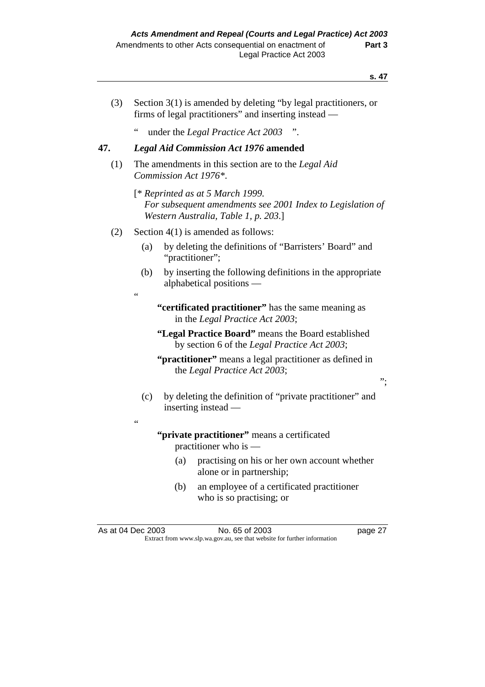- (3) Section 3(1) is amended by deleting "by legal practitioners, or firms of legal practitioners" and inserting instead —
	- " under the *Legal Practice Act 2003* ".

## **47.** *Legal Aid Commission Act 1976* **amended**

- (1) The amendments in this section are to the *Legal Aid Commission Act 1976\**.
	- [\* *Reprinted as at 5 March 1999. For subsequent amendments see 2001 Index to Legislation of Western Australia, Table 1, p. 203*.]
- (2) Section 4(1) is amended as follows:

"

"

- (a) by deleting the definitions of "Barristers' Board" and "practitioner";
- (b) by inserting the following definitions in the appropriate alphabetical positions —
	- **"certificated practitioner"** has the same meaning as in the *Legal Practice Act 2003*;
	- **"Legal Practice Board"** means the Board established by section 6 of the *Legal Practice Act 2003*;
	- **"practitioner"** means a legal practitioner as defined in the *Legal Practice Act 2003*;
- (c) by deleting the definition of "private practitioner" and inserting instead —

 **"private practitioner"** means a certificated practitioner who is —

- (a) practising on his or her own account whether alone or in partnership;
- (b) an employee of a certificated practitioner who is so practising; or

";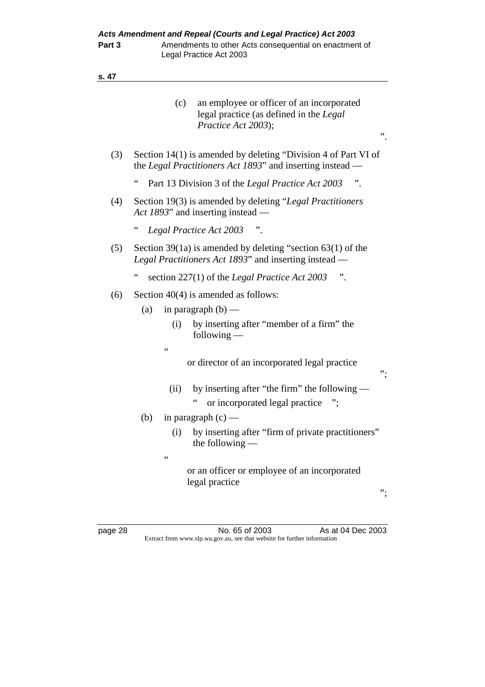|         |                 | (c)             | an employee or officer of an incorporated<br>legal practice (as defined in the Legal<br>Practice Act 2003);                 | ,,                |
|---------|-----------------|-----------------|-----------------------------------------------------------------------------------------------------------------------------|-------------------|
| (3)     |                 |                 | Section 14(1) is amended by deleting "Division 4 of Part VI of<br>the Legal Practitioners Act 1893" and inserting instead — |                   |
|         | $\zeta$ $\zeta$ |                 | Part 13 Division 3 of the Legal Practice Act 2003                                                                           |                   |
| (4)     |                 |                 | Section 19(3) is amended by deleting "Legal Practitioners"<br>Act 1893" and inserting instead —                             |                   |
|         | $\zeta$ $\zeta$ |                 | Legal Practice Act 2003                                                                                                     |                   |
| (5)     |                 |                 | Section 39(1a) is amended by deleting "section $63(1)$ of the<br>Legal Practitioners Act 1893" and inserting instead -      |                   |
|         | $\zeta$ $\zeta$ |                 | section $227(1)$ of the <i>Legal Practice Act</i> 2003                                                                      |                   |
| (6)     |                 |                 | Section $40(4)$ is amended as follows:                                                                                      |                   |
|         | (a)             |                 | in paragraph $(b)$ —                                                                                                        |                   |
|         |                 | (i)             | by inserting after "member of a firm" the<br>following $-$                                                                  |                   |
|         |                 | $\zeta$ $\zeta$ | or director of an incorporated legal practice                                                                               | ".                |
|         |                 | (ii)            | by inserting after "the firm" the following —                                                                               |                   |
|         |                 |                 | or incorporated legal practice                                                                                              |                   |
|         | (b)             |                 | in paragraph $(c)$ —                                                                                                        |                   |
|         |                 | (i)             | by inserting after "firm of private practitioners"<br>the following                                                         |                   |
|         |                 | $\zeta$ $\zeta$ | or an officer or employee of an incorporated<br>legal practice                                                              | ".                |
| nage 28 |                 |                 | No. 65 of 2003                                                                                                              | As at 04 Dec 2003 |

page 28 **No. 65 of 2003** As at 04 Dec 2003 Extract from www.slp.wa.gov.au, see that website for further information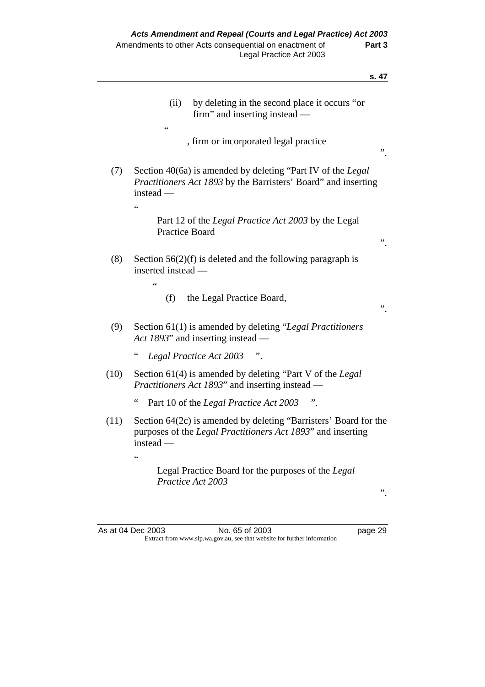|      | by deleting in the second place it occurs "or<br>(ii)<br>firm" and inserting instead —<br>$\zeta$ $\zeta$                                                               |    |
|------|-------------------------------------------------------------------------------------------------------------------------------------------------------------------------|----|
|      | , firm or incorporated legal practice                                                                                                                                   | ,, |
| (7)  | Section 40(6a) is amended by deleting "Part IV of the Legal"<br><i>Practitioners Act 1893</i> by the Barristers' Board" and inserting<br>$instead -$<br>$\zeta$ $\zeta$ |    |
|      | Part 12 of the <i>Legal Practice Act 2003</i> by the Legal<br><b>Practice Board</b>                                                                                     | ,, |
| (8)  | Section $56(2)(f)$ is deleted and the following paragraph is<br>inserted instead -<br>66                                                                                |    |
|      | the Legal Practice Board,<br>(f)                                                                                                                                        | ,, |
| (9)  | Section 61(1) is amended by deleting "Legal Practitioners"<br>Act 1893" and inserting instead —                                                                         |    |
|      | $\epsilon$<br>Legal Practice Act 2003                                                                                                                                   |    |
| (10) | Section 61(4) is amended by deleting "Part V of the Legal"<br><i>Practitioners Act 1893</i> " and inserting instead —                                                   |    |
|      | $\zeta$ $\zeta$<br>Part 10 of the Legal Practice Act 2003<br>$\ddot{\phantom{a}}$ .                                                                                     |    |
| (11) | Section 64(2c) is amended by deleting "Barristers' Board for the<br>purposes of the <i>Legal Practitioners Act 1893</i> " and inserting<br>$instead -$                  |    |
|      | $\zeta$ $\zeta$<br>Legal Practice Board for the purposes of the Legal                                                                                                   |    |
|      | Practice Act 2003                                                                                                                                                       | ,, |
|      |                                                                                                                                                                         |    |

As at 04 Dec 2003 No. 65 of 2003 page 29 Extract from www.slp.wa.gov.au, see that website for further information

**s. 47**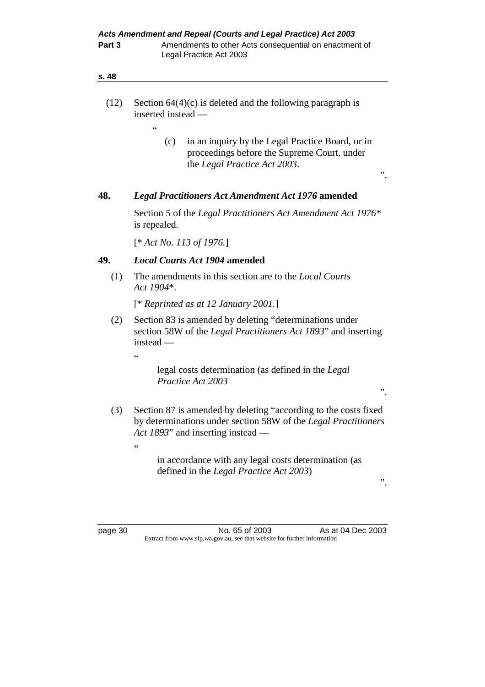| s. 48 |                                                                                                                                                                        |  |  |  |  |
|-------|------------------------------------------------------------------------------------------------------------------------------------------------------------------------|--|--|--|--|
| (12)  | Section $64(4)(c)$ is deleted and the following paragraph is<br>inserted instead -                                                                                     |  |  |  |  |
|       | $\epsilon$<br>in an inquiry by the Legal Practice Board, or in<br>(c)<br>proceedings before the Supreme Court, under<br>the Legal Practice Act 2003.<br>,,             |  |  |  |  |
| 48.   | <b>Legal Practitioners Act Amendment Act 1976 amended</b>                                                                                                              |  |  |  |  |
|       | Section 5 of the Legal Practitioners Act Amendment Act 1976*<br>is repealed.                                                                                           |  |  |  |  |
|       | $[*Act No. 113 of 1976.]$                                                                                                                                              |  |  |  |  |
| 49.   | <b>Local Courts Act 1904 amended</b>                                                                                                                                   |  |  |  |  |
| (1)   | The amendments in this section are to the <i>Local Courts</i><br>Act 1904*.                                                                                            |  |  |  |  |
|       | $[$ * Reprinted as at 12 January 2001.]                                                                                                                                |  |  |  |  |
| (2)   | Section 83 is amended by deleting "determinations under<br>section 58W of the <i>Legal Practitioners Act 1893</i> " and inserting<br>$instead -$                       |  |  |  |  |
|       | $\epsilon$                                                                                                                                                             |  |  |  |  |
|       | legal costs determination (as defined in the Legal<br>Practice Act 2003<br>,,                                                                                          |  |  |  |  |
| (3)   | Section 87 is amended by deleting "according to the costs fixed<br>by determinations under section 58W of the Legal Practitioners<br>Act 1893" and inserting instead — |  |  |  |  |
|       | 66                                                                                                                                                                     |  |  |  |  |
|       | in accordance with any legal costs determination (as                                                                                                                   |  |  |  |  |

".

page 30 **No. 65 of 2003** As at 04 Dec 2003 Extract from www.slp.wa.gov.au, see that website for further information

defined in the *Legal Practice Act 2003*)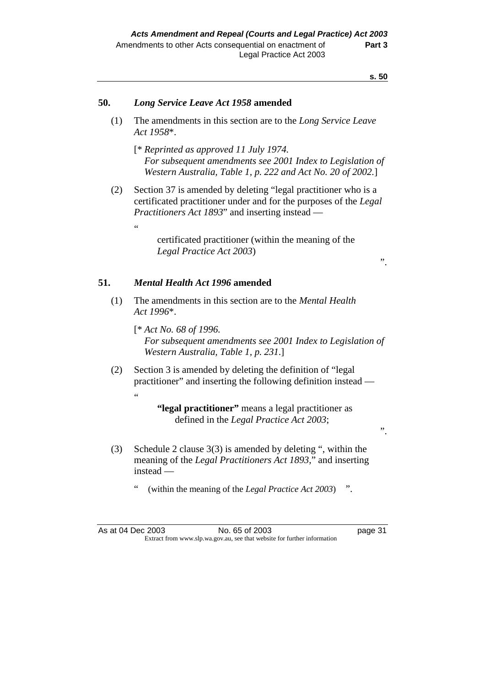".

".

#### **50.** *Long Service Leave Act 1958* **amended**

- (1) The amendments in this section are to the *Long Service Leave Act 1958*\*.
	- [\* *Reprinted as approved 11 July 1974. For subsequent amendments see 2001 Index to Legislation of Western Australia, Table 1, p. 222 and Act No. 20 of 2002.*]
- (2) Section 37 is amended by deleting "legal practitioner who is a certificated practitioner under and for the purposes of the *Legal Practitioners Act 1893*" and inserting instead
	- certificated practitioner (within the meaning of the *Legal Practice Act 2003*)

## **51.** *Mental Health Act 1996* **amended**

.<br>44

- (1) The amendments in this section are to the *Mental Health Act 1996*\*.
	- [\* *Act No. 68 of 1996. For subsequent amendments see 2001 Index to Legislation of Western Australia, Table 1, p. 231*.]
- (2) Section 3 is amended by deleting the definition of "legal practitioner" and inserting the following definition instead — "

## **"legal practitioner"** means a legal practitioner as defined in the *Legal Practice Act 2003*;

- (3) Schedule 2 clause 3(3) is amended by deleting ", within the meaning of the *Legal Practitioners Act 1893*," and inserting instead —
	- " (within the meaning of the *Legal Practice Act 2003*) ".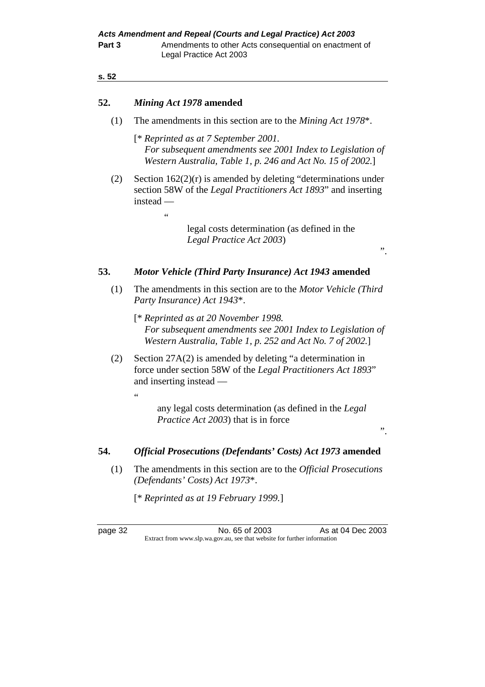## **52.** *Mining Act 1978* **amended**

 $\epsilon$ 

(1) The amendments in this section are to the *Mining Act 1978*\*.

 [\* *Reprinted as at 7 September 2001. For subsequent amendments see 2001 Index to Legislation of Western Australia, Table 1, p. 246 and Act No. 15 of 2002.*]

 (2) Section 162(2)(r) is amended by deleting "determinations under section 58W of the *Legal Practitioners Act 1893*" and inserting instead —

> legal costs determination (as defined in the *Legal Practice Act 2003*)

".

## **53.** *Motor Vehicle (Third Party Insurance) Act 1943* **amended**

- (1) The amendments in this section are to the *Motor Vehicle (Third Party Insurance) Act 1943*\*.
	- [\* *Reprinted as at 20 November 1998. For subsequent amendments see 2001 Index to Legislation of Western Australia, Table 1, p. 252 and Act No. 7 of 2002.*]
- (2) Section 27A(2) is amended by deleting "a determination in force under section 58W of the *Legal Practitioners Act 1893*" and inserting instead —

 any legal costs determination (as defined in the *Legal Practice Act 2003*) that is in force

".

## **54.** *Official Prosecutions (Defendants' Costs) Act 1973* **amended**

 (1) The amendments in this section are to the *Official Prosecutions (Defendants' Costs) Act 1973*\*.

[\* *Reprinted as at 19 February 1999.*]

"

page 32 No. 65 of 2003 As at 04 Dec 2003 Extract from www.slp.wa.gov.au, see that website for further information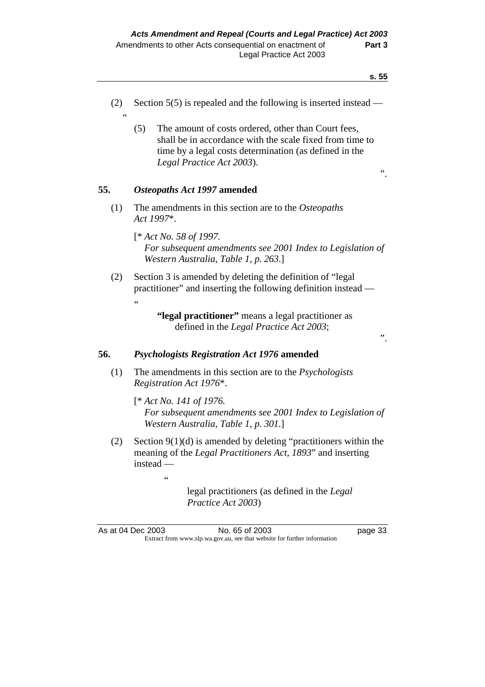- (2) Section 5(5) is repealed and the following is inserted instead "
	- (5) The amount of costs ordered, other than Court fees, shall be in accordance with the scale fixed from time to time by a legal costs determination (as defined in the *Legal Practice Act 2003*).

".

".

## **55.** *Osteopaths Act 1997* **amended**

- (1) The amendments in this section are to the *Osteopaths Act 1997*\*.
	- [\* *Act No. 58 of 1997. For subsequent amendments see 2001 Index to Legislation of Western Australia, Table 1, p. 263*.]
- (2) Section 3 is amended by deleting the definition of "legal practitioner" and inserting the following definition instead — "

 **"legal practitioner"** means a legal practitioner as defined in the *Legal Practice Act 2003*;

## **56.** *Psychologists Registration Act 1976* **amended**

 $\overline{a}$ 

- (1) The amendments in this section are to the *Psychologists Registration Act 1976*\*.
	- [\* *Act No. 141 of 1976. For subsequent amendments see 2001 Index to Legislation of Western Australia, Table 1, p. 301*.]
- (2) Section  $9(1)(d)$  is amended by deleting "practitioners within the meaning of the *Legal Practitioners Act, 1893*" and inserting instead —

 legal practitioners (as defined in the *Legal Practice Act 2003*)

As at 04 Dec 2003 No. 65 of 2003 page 33 Extract from www.slp.wa.gov.au, see that website for further information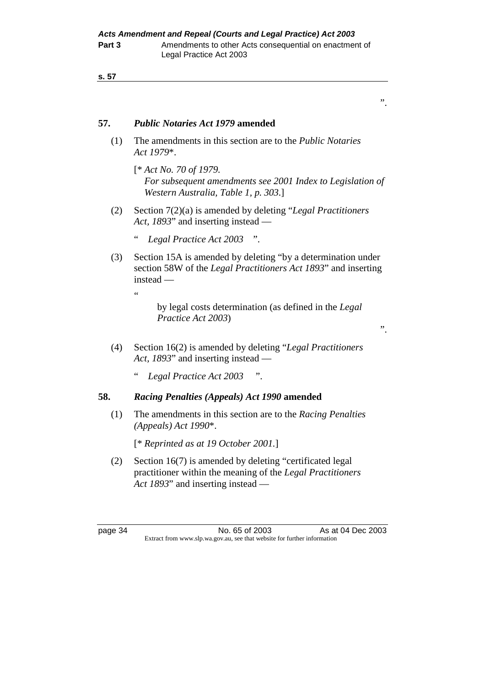## **57.** *Public Notaries Act 1979* **amended**

- (1) The amendments in this section are to the *Public Notaries Act 1979*\*.
	- [\* *Act No. 70 of 1979. For subsequent amendments see 2001 Index to Legislation of Western Australia, Table 1, p. 303*.]
- (2) Section 7(2)(a) is amended by deleting "*Legal Practitioners Act, 1893*" and inserting instead —
	- " *Legal Practice Act 2003* ".
- (3) Section 15A is amended by deleting "by a determination under section 58W of the *Legal Practitioners Act 1893*" and inserting instead —
	- "

 by legal costs determination (as defined in the *Legal Practice Act 2003*)

- (4) Section 16(2) is amended by deleting "*Legal Practitioners Act, 1893*" and inserting instead —
	- " *Legal Practice Act 2003* ".

## **58.** *Racing Penalties (Appeals) Act 1990* **amended**

 (1) The amendments in this section are to the *Racing Penalties (Appeals) Act 1990*\*.

[\* *Reprinted as at 19 October 2001.*]

 (2) Section 16(7) is amended by deleting "certificated legal practitioner within the meaning of the *Legal Practitioners Act 1893*" and inserting instead —

page 34 No. 65 of 2003 As at 04 Dec 2003 Extract from www.slp.wa.gov.au, see that website for further information

".

".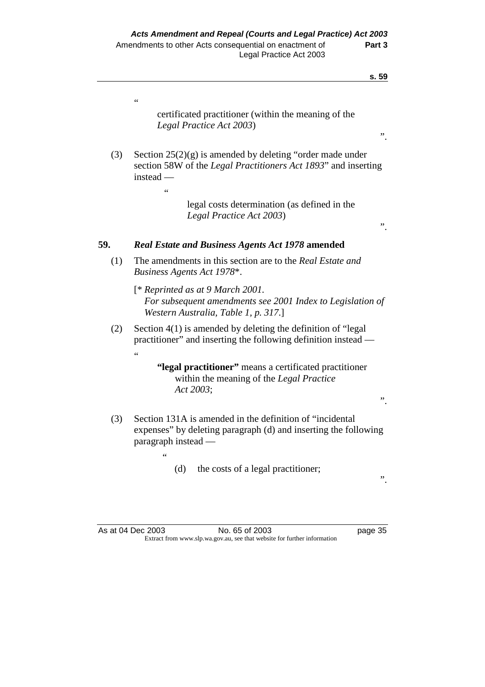|     | S. 59                                                                                                                                                              |
|-----|--------------------------------------------------------------------------------------------------------------------------------------------------------------------|
|     | $\epsilon$<br>certificated practitioner (within the meaning of the<br>Legal Practice Act 2003)                                                                     |
| (3) | $\ddot{\phantom{0}}$<br>Section $25(2)(g)$ is amended by deleting "order made under<br>section 58W of the Legal Practitioners Act 1893" and inserting<br>instead - |
|     | $\zeta$ $\zeta$<br>legal costs determination (as defined in the<br>Legal Practice Act 2003)<br>,,                                                                  |
| 59. | <b>Real Estate and Business Agents Act 1978 amended</b>                                                                                                            |
| (1) | The amendments in this section are to the Real Estate and<br>Business Agents Act 1978*.                                                                            |
|     | [* Reprinted as at 9 March 2001.<br>For subsequent amendments see 2001 Index to Legislation of<br>Western Australia, Table 1, p. 317.]                             |
| (2) | Section $4(1)$ is amended by deleting the definition of "legal"<br>practitioner" and inserting the following definition instead -                                  |
|     | $\epsilon$<br>"legal practitioner" means a certificated practitioner<br>within the meaning of the Legal Practice<br>Act 2003;<br>,,                                |
| (3) | Section 131A is amended in the definition of "incidental"<br>expenses" by deleting paragraph (d) and inserting the following<br>paragraph instead -                |
|     | 66<br>(d)<br>the costs of a legal practitioner;<br>,,                                                                                                              |

As at 04 Dec 2003 No. 65 of 2003 page 35 Extract from www.slp.wa.gov.au, see that website for further information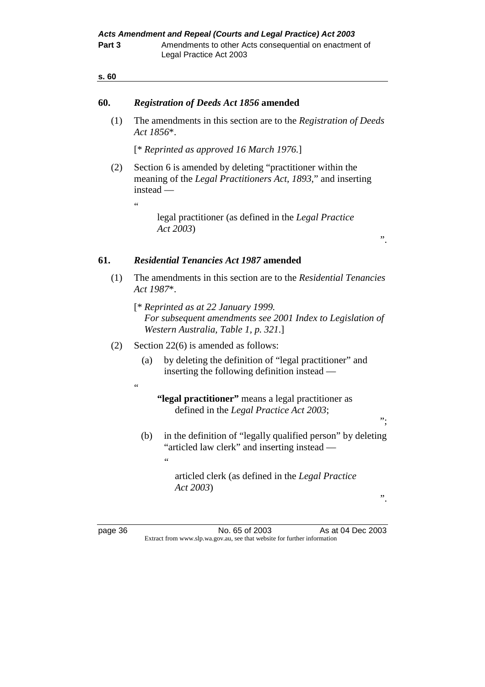## **60.** *Registration of Deeds Act 1856* **amended**

 (1) The amendments in this section are to the *Registration of Deeds Act 1856*\*.

[\* *Reprinted as approved 16 March 1976.*]

 (2) Section 6 is amended by deleting "practitioner within the meaning of the *Legal Practitioners Act, 1893*," and inserting instead —

"

 $\epsilon$ 

 $\epsilon$ 

 legal practitioner (as defined in the *Legal Practice Act 2003*)

#### **61.** *Residential Tenancies Act 1987* **amended**

- (1) The amendments in this section are to the *Residential Tenancies Act 1987*\*.
	- [\* *Reprinted as at 22 January 1999. For subsequent amendments see 2001 Index to Legislation of Western Australia, Table 1, p. 321*.]
- (2) Section 22(6) is amended as follows:
	- (a) by deleting the definition of "legal practitioner" and inserting the following definition instead —
		- **"legal practitioner"** means a legal practitioner as defined in the *Legal Practice Act 2003*;
	- (b) in the definition of "legally qualified person" by deleting "articled law clerk" and inserting instead —

 articled clerk (as defined in the *Legal Practice Act 2003*)

".

 $\cdot$ ";

".

page 36 No. 65 of 2003 As at 04 Dec 2003 Extract from www.slp.wa.gov.au, see that website for further information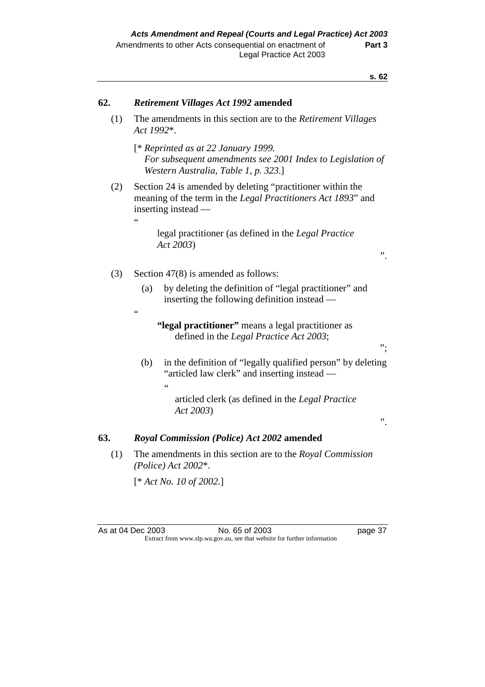| 62. | <b>Retirement Villages Act 1992 amended</b>                                                                                                             |  |  |  |
|-----|---------------------------------------------------------------------------------------------------------------------------------------------------------|--|--|--|
| (1) | The amendments in this section are to the <i>Retirement Villages</i><br>Act 1992*.                                                                      |  |  |  |
|     | $[$ * Reprinted as at 22 January 1999.<br>For subsequent amendments see 2001 Index to Legislation of<br>Western Australia, Table 1, p. 323.]            |  |  |  |
| (2) | Section 24 is amended by deleting "practitioner within the<br>meaning of the term in the Legal Practitioners Act 1893" and<br>inserting instead —<br>66 |  |  |  |
|     | legal practitioner (as defined in the Legal Practice<br>Act 2003)<br>"                                                                                  |  |  |  |
| (3) | Section $47(8)$ is amended as follows:                                                                                                                  |  |  |  |
|     | by deleting the definition of "legal practitioner" and<br>(a)<br>inserting the following definition instead —<br>66                                     |  |  |  |
|     | "legal practitioner" means a legal practitioner as<br>defined in the <i>Legal Practice Act 2003</i> ;<br>".                                             |  |  |  |
|     | in the definition of "legally qualified person" by deleting<br>(b)<br>"articled law clerk" and inserting instead —<br>$\leq$                            |  |  |  |
|     | articled clerk (as defined in the Legal Practice<br>Act 2003)                                                                                           |  |  |  |

## ".

## **63.** *Royal Commission (Police) Act 2002* **amended**

 (1) The amendments in this section are to the *Royal Commission (Police) Act 2002*\*.

[\* *Act No. 10 of 2002.*]

**s. 62**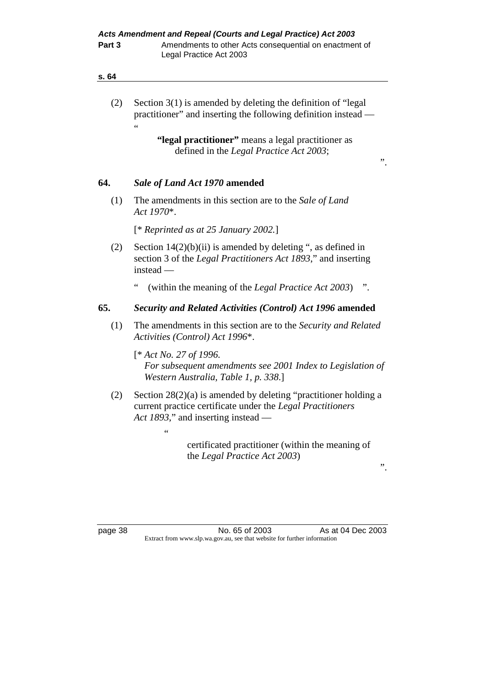| s. 64 |                                                                                                                                                                                                                                                                          |
|-------|--------------------------------------------------------------------------------------------------------------------------------------------------------------------------------------------------------------------------------------------------------------------------|
| (2)   | Section $3(1)$ is amended by deleting the definition of "legal"<br>practitioner" and inserting the following definition instead -<br>$\epsilon$<br>"legal practitioner" means a legal practitioner as<br>defined in the Legal Practice Act 2003;<br>$\ddot{\phantom{0}}$ |
| 64.   | Sale of Land Act 1970 amended                                                                                                                                                                                                                                            |
| (1)   | The amendments in this section are to the Sale of Land<br>Act 1970*.                                                                                                                                                                                                     |
|       | [* Reprinted as at 25 January 2002.]                                                                                                                                                                                                                                     |
| (2)   | Section $14(2)(b)(ii)$ is amended by deleting ", as defined in<br>section 3 of the <i>Legal Practitioners Act 1893</i> ," and inserting<br>instead —                                                                                                                     |
|       | 66<br>(within the meaning of the <i>Legal Practice Act 2003</i> )                                                                                                                                                                                                        |
| 65.   | <b>Security and Related Activities (Control) Act 1996 amended</b>                                                                                                                                                                                                        |
| (1)   | The amendments in this section are to the Security and Related<br>Activities (Control) Act 1996*.                                                                                                                                                                        |
|       | $[*Act No. 27 of 1996.]$<br>For subsequent amendments see 2001 Index to Legislation of<br>Western Australia, Table 1, p. 338.]                                                                                                                                           |
| (2)   | Section $28(2)(a)$ is amended by deleting "practitioner holding a<br>current practice certificate under the Legal Practitioners<br>Act 1893," and inserting instead —                                                                                                    |
|       | $\epsilon$                                                                                                                                                                                                                                                               |
|       | certificated practitioner (within the meaning of<br>the Legal Practice Act 2003)                                                                                                                                                                                         |

".

page 38 **No. 65 of 2003** As at 04 Dec 2003 Extract from www.slp.wa.gov.au, see that website for further information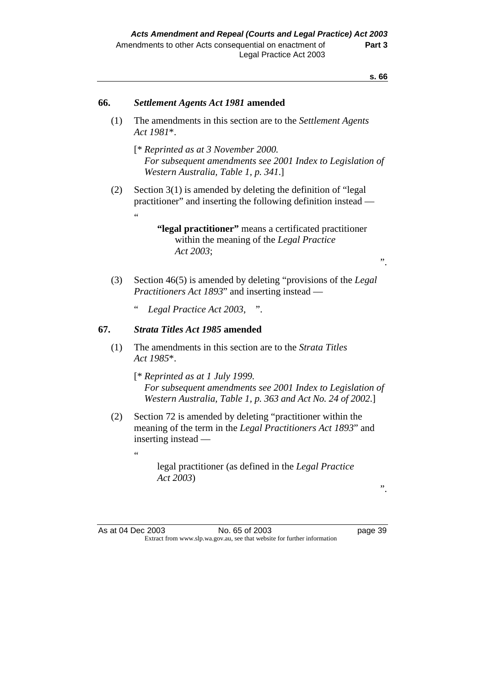| 66. | Settlement Agents Act 1981 amended                                                                                                                           |  |  |  |  |  |
|-----|--------------------------------------------------------------------------------------------------------------------------------------------------------------|--|--|--|--|--|
| (1) | The amendments in this section are to the Settlement Agents<br>Act 1981*.                                                                                    |  |  |  |  |  |
|     | [* Reprinted as at 3 November 2000.<br>For subsequent amendments see 2001 Index to Legislation of<br>Western Australia, Table 1, p. 341.]                    |  |  |  |  |  |
| (2) | Section $3(1)$ is amended by deleting the definition of "legal"<br>practitioner" and inserting the following definition instead —<br>$\epsilon$              |  |  |  |  |  |
|     | "legal practitioner" means a certificated practitioner<br>within the meaning of the Legal Practice<br>Act 2003;<br>, ,                                       |  |  |  |  |  |
| (3) | Section 46(5) is amended by deleting "provisions of the Legal<br><i>Practitioners Act 1893</i> " and inserting instead —                                     |  |  |  |  |  |
|     | 66<br>Legal Practice Act 2003, ".                                                                                                                            |  |  |  |  |  |
| 67. | <b>Strata Titles Act 1985 amended</b>                                                                                                                        |  |  |  |  |  |
| (1) | The amendments in this section are to the Strata Titles<br>Act 1985*.                                                                                        |  |  |  |  |  |
|     | [* Reprinted as at 1 July 1999.<br>For subsequent amendments see 2001 Index to Legislation of<br>Western Australia, Table 1, p. 363 and Act No. 24 of 2002.] |  |  |  |  |  |
| (2) | Section 72 is amended by deleting "practitioner within the<br>meaning of the term in the <i>Legal Practitioners Act 1893</i> " and<br>inserting instead —    |  |  |  |  |  |
|     | 66<br>legal practitioner (as defined in the Legal Practice<br>Act 2003)<br>,,                                                                                |  |  |  |  |  |
|     |                                                                                                                                                              |  |  |  |  |  |
|     | As at 04 Dec 2003<br>No. 65 of 2003<br>page 39<br>Extract from www.slp.wa.gov.au, see that website for further information                                   |  |  |  |  |  |
|     |                                                                                                                                                              |  |  |  |  |  |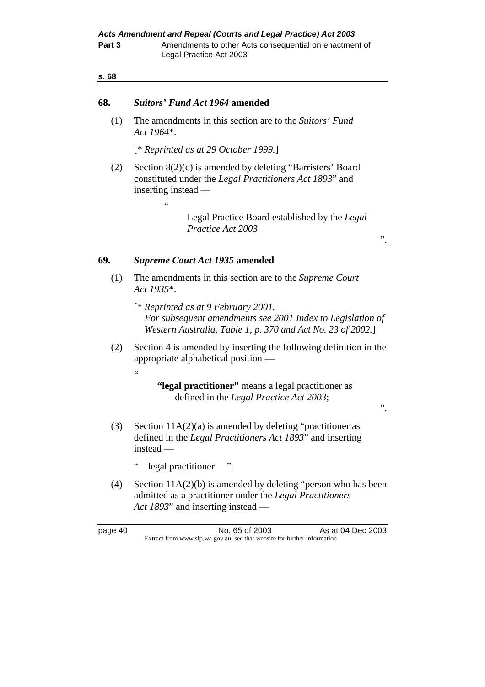#### **68.** *Suitors' Fund Act 1964* **amended**

 (1) The amendments in this section are to the *Suitors' Fund Act 1964*\*.

[\* *Reprinted as at 29 October 1999.*]

 (2) Section 8(2)(c) is amended by deleting "Barristers' Board constituted under the *Legal Practitioners Act 1893*" and inserting instead —

> Legal Practice Board established by the *Legal Practice Act 2003*

".

".

## **69.** *Supreme Court Act 1935* **amended**

.<br>..

"

- (1) The amendments in this section are to the *Supreme Court Act 1935*\*.
	- [\* *Reprinted as at 9 February 2001. For subsequent amendments see 2001 Index to Legislation of Western Australia, Table 1, p. 370 and Act No. 23 of 2002.*]
- (2) Section 4 is amended by inserting the following definition in the appropriate alphabetical position —
	- **"legal practitioner"** means a legal practitioner as defined in the *Legal Practice Act 2003*;
- (3) Section  $11A(2)(a)$  is amended by deleting "practitioner as defined in the *Legal Practitioners Act 1893*" and inserting instead —
	- " legal practitioner ".
- (4) Section 11A(2)(b) is amended by deleting "person who has been admitted as a practitioner under the *Legal Practitioners Act 1893*" and inserting instead —

page 40 **No. 65 of 2003** As at 04 Dec 2003 Extract from www.slp.wa.gov.au, see that website for further information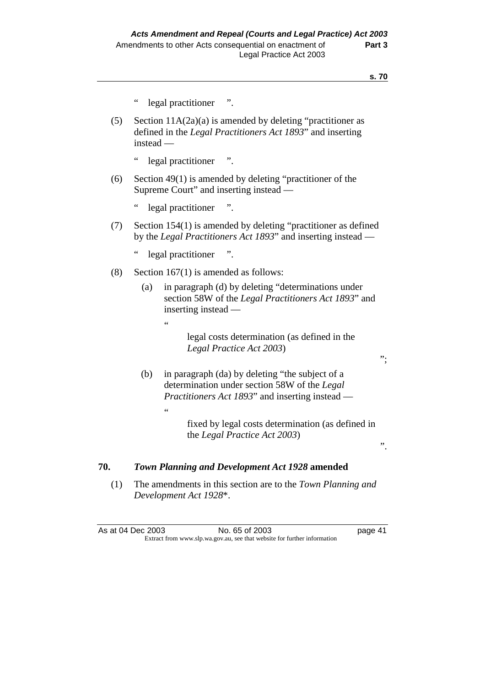|     | $\zeta$ $\zeta$                                                                                                                                                         |
|-----|-------------------------------------------------------------------------------------------------------------------------------------------------------------------------|
|     | legal practitioner ".                                                                                                                                                   |
| (5) | Section $11A(2a)(a)$ is amended by deleting "practitioner as<br>defined in the Legal Practitioners Act 1893" and inserting<br>$instead -$                               |
|     | $\zeta$ $\zeta$<br>legal practitioner ".                                                                                                                                |
| (6) | Section 49(1) is amended by deleting "practitioner of the<br>Supreme Court" and inserting instead —                                                                     |
|     | $\epsilon$<br>legal practitioner<br>$\ddot{\phantom{1}}$                                                                                                                |
| (7) | Section 154(1) is amended by deleting "practitioner as defined<br>by the Legal Practitioners Act 1893" and inserting instead —                                          |
|     | $\epsilon$<br>legal practitioner<br>$\ddot{\phantom{a}}$ .                                                                                                              |
| (8) | Section $167(1)$ is amended as follows:                                                                                                                                 |
|     | in paragraph (d) by deleting "determinations under<br>(a)<br>section 58W of the Legal Practitioners Act 1893" and<br>inserting instead -                                |
|     | $\epsilon$<br>legal costs determination (as defined in the<br>Legal Practice Act 2003)<br>".                                                                            |
|     | in paragraph (da) by deleting "the subject of a<br>(b)<br>determination under section 58W of the Legal<br>Practitioners Act 1893" and inserting instead —<br>$\epsilon$ |
|     | fixed by legal costs determination (as defined in<br>the Legal Practice Act 2003)<br>,,                                                                                 |
| 70. | Town Planning and Development Act 1928 amended                                                                                                                          |
| (1) | The amendments in this section are to the Town Planning and<br>Development Act 1928*.                                                                                   |

As at 04 Dec 2003 No. 65 of 2003 Page 41 Extract from www.slp.wa.gov.au, see that website for further information

".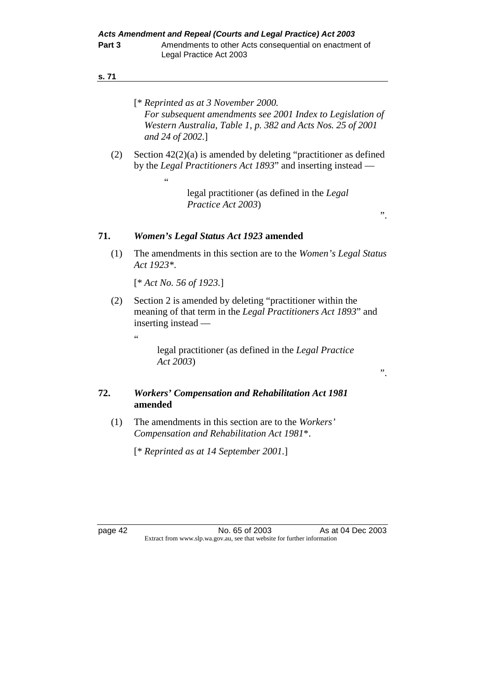- [\* *Reprinted as at 3 November 2000. For subsequent amendments see 2001 Index to Legislation of Western Australia, Table 1, p. 382 and Acts Nos. 25 of 2001 and 24 of 2002*.]
- (2) Section 42(2)(a) is amended by deleting "practitioner as defined by the *Legal Practitioners Act 1893*" and inserting instead —

 legal practitioner (as defined in the *Legal Practice Act 2003*)

".

".

#### **71.** *Women's Legal Status Act 1923* **amended**

 (1) The amendments in this section are to the *Women's Legal Status Act 1923\**.

[\* *Act No. 56 of 1923.*]

"

 (2) Section 2 is amended by deleting "practitioner within the meaning of that term in the *Legal Practitioners Act 1893*" and inserting instead —

.<br>"

 legal practitioner (as defined in the *Legal Practice Act 2003*)

## **72.** *Workers' Compensation and Rehabilitation Act 1981* **amended**

 (1) The amendments in this section are to the *Workers' Compensation and Rehabilitation Act 1981*\*.

[\* *Reprinted as at 14 September 2001.*]

page 42 No. 65 of 2003 As at 04 Dec 2003 Extract from www.slp.wa.gov.au, see that website for further information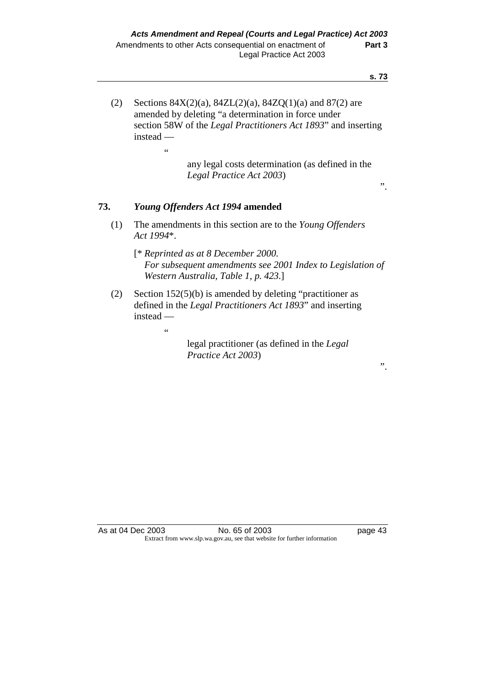(2) Sections  $84X(2)(a)$ ,  $84ZL(2)(a)$ ,  $84ZQ(1)(a)$  and  $87(2)$  are amended by deleting "a determination in force under section 58W of the *Legal Practitioners Act 1893*" and inserting instead —

> any legal costs determination (as defined in the *Legal Practice Act 2003*)

#### ".

".

## **73.** *Young Offenders Act 1994* **amended**

 $\alpha$ 

 $\epsilon$ 

 (1) The amendments in this section are to the *Young Offenders Act 1994*\*.

 [\* *Reprinted as at 8 December 2000. For subsequent amendments see 2001 Index to Legislation of Western Australia, Table 1, p. 423*.]

 (2) Section 152(5)(b) is amended by deleting "practitioner as defined in the *Legal Practitioners Act 1893*" and inserting instead —

> legal practitioner (as defined in the *Legal Practice Act 2003*)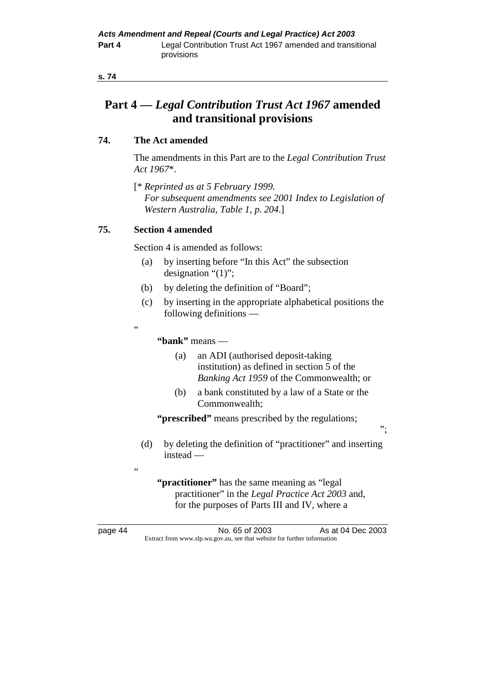# **Part 4 —** *Legal Contribution Trust Act 1967* **amended and transitional provisions**

## **74. The Act amended**

 The amendments in this Part are to the *Legal Contribution Trust Act 1967*\*.

 [\* *Reprinted as at 5 February 1999. For subsequent amendments see 2001 Index to Legislation of Western Australia, Table 1, p. 204*.]

## **75. Section 4 amended**

.<br>44

<u>،</u>

Section 4 is amended as follows:

- (a) by inserting before "In this Act" the subsection designation "(1)";
- (b) by deleting the definition of "Board";
- (c) by inserting in the appropriate alphabetical positions the following definitions —

 **"bank"** means —

- (a) an ADI (authorised deposit-taking institution) as defined in section 5 of the *Banking Act 1959* of the Commonwealth; or
- (b) a bank constituted by a law of a State or the Commonwealth;

";

**"prescribed"** means prescribed by the regulations;

 (d) by deleting the definition of "practitioner" and inserting instead —

**"practitioner"** has the same meaning as "legal practitioner" in the *Legal Practice Act 2003* and, for the purposes of Parts III and IV, where a

page 44 **No. 65 of 2003** As at 04 Dec 2003 Extract from www.slp.wa.gov.au, see that website for further information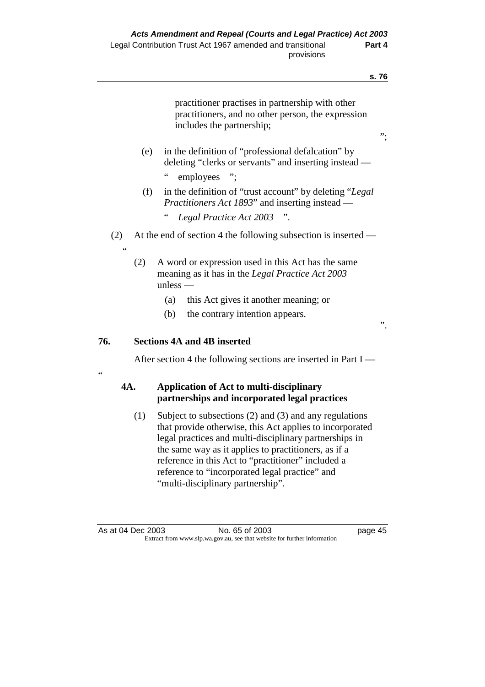$\overline{a}$ 

|           |     |                                                                                                                                     | S. 70 |
|-----------|-----|-------------------------------------------------------------------------------------------------------------------------------------|-------|
|           |     | practitioner practises in partnership with other<br>practitioners, and no other person, the expression<br>includes the partnership; | ".    |
|           | (e) | in the definition of "professional defalcation" by<br>deleting "clerks or servants" and inserting instead —<br>66<br>employees ";   |       |
|           | (f) | in the definition of "trust account" by deleting "Legal"<br>Practitioners Act 1893" and inserting instead —                         |       |
|           |     | $\epsilon$<br>Legal Practice Act 2003 ".                                                                                            |       |
| (2)<br>66 |     | At the end of section 4 the following subsection is inserted —                                                                      |       |
|           | (2) | A word or expression used in this Act has the same<br>meaning as it has in the Legal Practice Act 2003<br>$unless -$                |       |
|           |     | this Act gives it another meaning; or<br>(a)                                                                                        |       |
|           |     | (b)<br>the contrary intention appears.                                                                                              | ,,    |
| 76.       |     | <b>Sections 4A and 4B inserted</b>                                                                                                  |       |
| $\leq$    |     | After section 4 the following sections are inserted in Part $I$ —                                                                   |       |
| 4A.       |     | <b>Application of Act to multi-disciplinary</b><br>partnerships and incorporated legal practices                                    |       |
|           |     |                                                                                                                                     |       |

 (1) Subject to subsections (2) and (3) and any regulations that provide otherwise, this Act applies to incorporated legal practices and multi-disciplinary partnerships in the same way as it applies to practitioners, as if a reference in this Act to "practitioner" included a reference to "incorporated legal practice" and "multi-disciplinary partnership".

As at 04 Dec 2003 No. 65 of 2003 page 45 Extract from www.slp.wa.gov.au, see that website for further information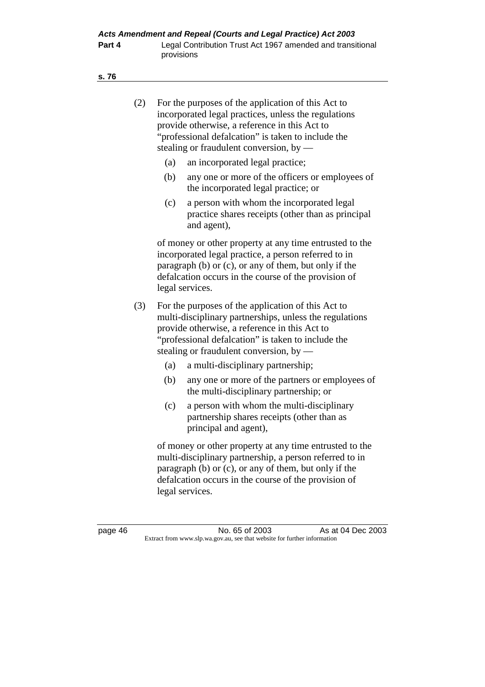|--|

| (2) | For the purposes of the application of this Act to<br>incorporated legal practices, unless the regulations<br>provide otherwise, a reference in this Act to<br>"professional defalcation" is taken to include the<br>stealing or fraudulent conversion, by $-$    |  |  |  |  |
|-----|-------------------------------------------------------------------------------------------------------------------------------------------------------------------------------------------------------------------------------------------------------------------|--|--|--|--|
|     | an incorporated legal practice;<br>(a)                                                                                                                                                                                                                            |  |  |  |  |
|     | (b)<br>any one or more of the officers or employees of<br>the incorporated legal practice; or                                                                                                                                                                     |  |  |  |  |
|     | a person with whom the incorporated legal<br>(c)<br>practice shares receipts (other than as principal<br>and agent),                                                                                                                                              |  |  |  |  |
|     | of money or other property at any time entrusted to the<br>incorporated legal practice, a person referred to in<br>paragraph (b) or (c), or any of them, but only if the<br>defalcation occurs in the course of the provision of<br>legal services.               |  |  |  |  |
| (3) | For the purposes of the application of this Act to<br>multi-disciplinary partnerships, unless the regulations<br>provide otherwise, a reference in this Act to<br>"professional defalcation" is taken to include the<br>stealing or fraudulent conversion, by $-$ |  |  |  |  |
|     | (a)<br>a multi-disciplinary partnership;                                                                                                                                                                                                                          |  |  |  |  |
|     | (b)<br>any one or more of the partners or employees of<br>the multi-disciplinary partnership; or                                                                                                                                                                  |  |  |  |  |
|     | (c)<br>a person with whom the multi-disciplinary<br>partnership shares receipts (other than as<br>principal and agent),                                                                                                                                           |  |  |  |  |
|     | of money or other property at any time entrusted to the<br>multi-disciplinary partnership, a person referred to in<br>paragraph (b) or (c), or any of them, but only if the<br>defalcation occurs in the course of the provision of<br>legal services.            |  |  |  |  |

page 46 **No. 65 of 2003** As at 04 Dec 2003 Extract from www.slp.wa.gov.au, see that website for further information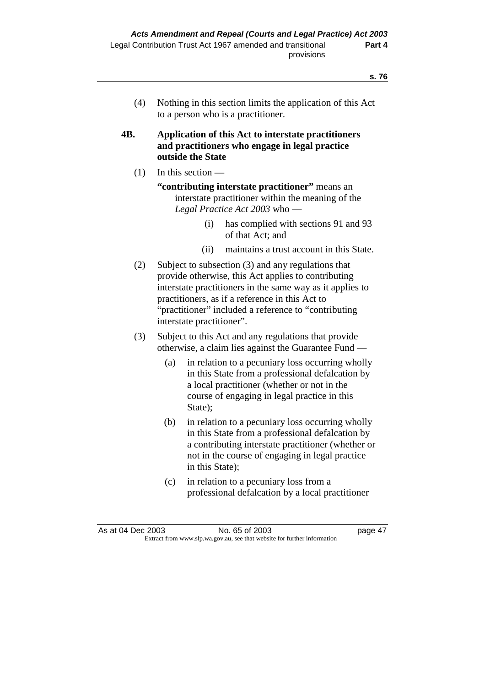(4) Nothing in this section limits the application of this Act to a person who is a practitioner.

## **4B. Application of this Act to interstate practitioners and practitioners who engage in legal practice outside the State**

- $(1)$  In this section
	- **"contributing interstate practitioner"** means an interstate practitioner within the meaning of the *Legal Practice Act 2003* who —
		- (i) has complied with sections 91 and 93 of that Act; and
		- (ii) maintains a trust account in this State.
- (2) Subject to subsection (3) and any regulations that provide otherwise, this Act applies to contributing interstate practitioners in the same way as it applies to practitioners, as if a reference in this Act to "practitioner" included a reference to "contributing interstate practitioner".
- (3) Subject to this Act and any regulations that provide otherwise, a claim lies against the Guarantee Fund —
	- (a) in relation to a pecuniary loss occurring wholly in this State from a professional defalcation by a local practitioner (whether or not in the course of engaging in legal practice in this State):
	- (b) in relation to a pecuniary loss occurring wholly in this State from a professional defalcation by a contributing interstate practitioner (whether or not in the course of engaging in legal practice in this State);
	- (c) in relation to a pecuniary loss from a professional defalcation by a local practitioner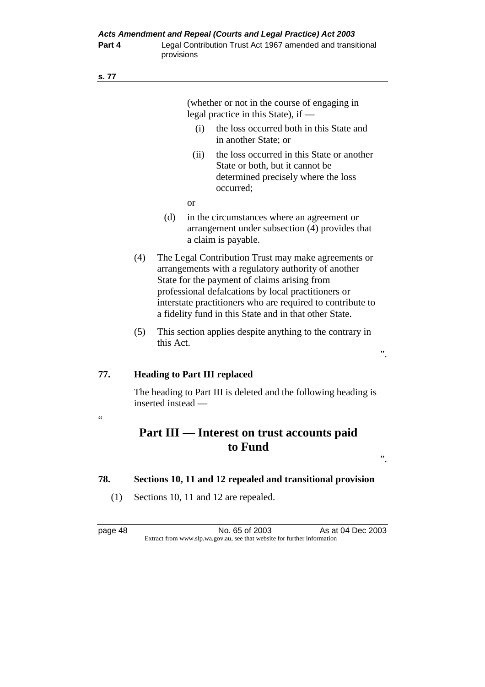|                 | (whether or not in the course of engaging in<br>legal practice in this State), if —   |                                                                                                                                                                                                                                                                                                                                           |           |                                                                                                                                   |    |  |
|-----------------|---------------------------------------------------------------------------------------|-------------------------------------------------------------------------------------------------------------------------------------------------------------------------------------------------------------------------------------------------------------------------------------------------------------------------------------------|-----------|-----------------------------------------------------------------------------------------------------------------------------------|----|--|
|                 |                                                                                       |                                                                                                                                                                                                                                                                                                                                           | (i)       | the loss occurred both in this State and<br>in another State; or                                                                  |    |  |
|                 |                                                                                       |                                                                                                                                                                                                                                                                                                                                           | (ii)      | the loss occurred in this State or another<br>State or both, but it cannot be<br>determined precisely where the loss<br>occurred; |    |  |
|                 |                                                                                       |                                                                                                                                                                                                                                                                                                                                           | <b>or</b> |                                                                                                                                   |    |  |
|                 |                                                                                       | (d)                                                                                                                                                                                                                                                                                                                                       |           | in the circumstances where an agreement or<br>arrangement under subsection (4) provides that<br>a claim is payable.               |    |  |
|                 | (4)                                                                                   | The Legal Contribution Trust may make agreements or<br>arrangements with a regulatory authority of another<br>State for the payment of claims arising from<br>professional defalcations by local practitioners or<br>interstate practitioners who are required to contribute to<br>a fidelity fund in this State and in that other State. |           |                                                                                                                                   |    |  |
|                 | (5)<br>This section applies despite anything to the contrary in<br>this Act.          |                                                                                                                                                                                                                                                                                                                                           |           |                                                                                                                                   | ,, |  |
|                 |                                                                                       |                                                                                                                                                                                                                                                                                                                                           |           |                                                                                                                                   |    |  |
| 77.             |                                                                                       |                                                                                                                                                                                                                                                                                                                                           |           | <b>Heading to Part III replaced</b>                                                                                               |    |  |
|                 | The heading to Part III is deleted and the following heading is<br>inserted instead — |                                                                                                                                                                                                                                                                                                                                           |           |                                                                                                                                   |    |  |
| $\zeta$ $\zeta$ |                                                                                       |                                                                                                                                                                                                                                                                                                                                           |           |                                                                                                                                   |    |  |

# **Part III — Interest on trust accounts paid to Fund**

".

- **78. Sections 10, 11 and 12 repealed and transitional provision** 
	- (1) Sections 10, 11 and 12 are repealed.

page 48 No. 65 of 2003 As at 04 Dec 2003 Extract from www.slp.wa.gov.au, see that website for further information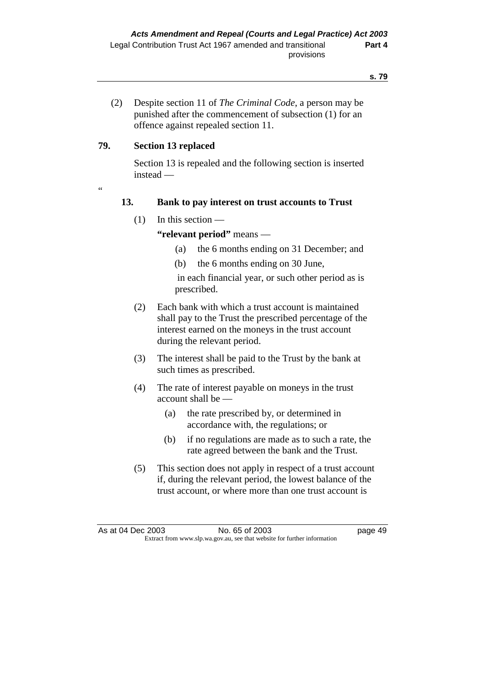(2) Despite section 11 of *The Criminal Code*, a person may be punished after the commencement of subsection (1) for an offence against repealed section 11.

## **79. Section 13 replaced**

 Section 13 is repealed and the following section is inserted instead —

"

# **13. Bank to pay interest on trust accounts to Trust**

(1) In this section —

 **"relevant period"** means —

- (a) the 6 months ending on 31 December; and
- (b) the 6 months ending on 30 June,

 in each financial year, or such other period as is prescribed.

- (2) Each bank with which a trust account is maintained shall pay to the Trust the prescribed percentage of the interest earned on the moneys in the trust account during the relevant period.
- (3) The interest shall be paid to the Trust by the bank at such times as prescribed.
- (4) The rate of interest payable on moneys in the trust account shall be —
	- (a) the rate prescribed by, or determined in accordance with, the regulations; or
	- (b) if no regulations are made as to such a rate, the rate agreed between the bank and the Trust.
- (5) This section does not apply in respect of a trust account if, during the relevant period, the lowest balance of the trust account, or where more than one trust account is

As at 04 Dec 2003 No. 65 of 2003 page 49 Extract from www.slp.wa.gov.au, see that website for further information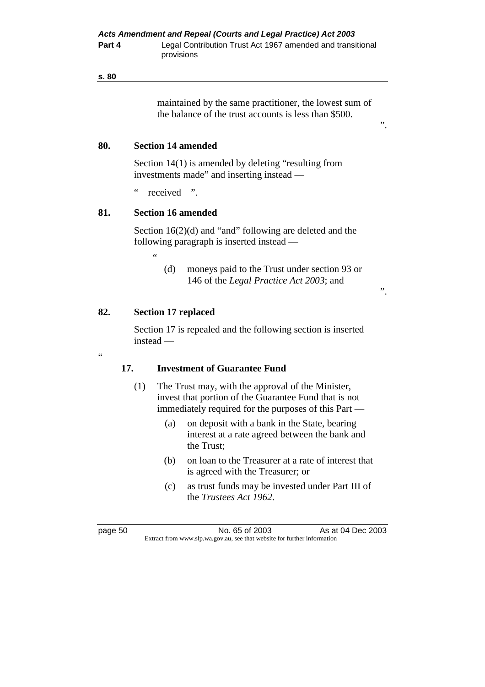maintained by the same practitioner, the lowest sum of the balance of the trust accounts is less than \$500.

#### **80. Section 14 amended**

 Section 14(1) is amended by deleting "resulting from investments made" and inserting instead —

" received ".

#### **81. Section 16 amended**

 $\ddot{\phantom{0}}$ 

Section 16(2)(d) and "and" following are deleted and the following paragraph is inserted instead —

".

".

#### **82. Section 17 replaced**

 Section 17 is repealed and the following section is inserted instead —

.<br>"

#### **17. Investment of Guarantee Fund**

- (1) The Trust may, with the approval of the Minister, invest that portion of the Guarantee Fund that is not immediately required for the purposes of this Part —
	- (a) on deposit with a bank in the State, bearing interest at a rate agreed between the bank and the Trust;
	- (b) on loan to the Treasurer at a rate of interest that is agreed with the Treasurer; or
	- (c) as trust funds may be invested under Part III of the *Trustees Act 1962*.

page 50 No. 65 of 2003 As at 04 Dec 2003 Extract from www.slp.wa.gov.au, see that website for further information

 <sup>(</sup>d) moneys paid to the Trust under section 93 or 146 of the *Legal Practice Act 2003*; and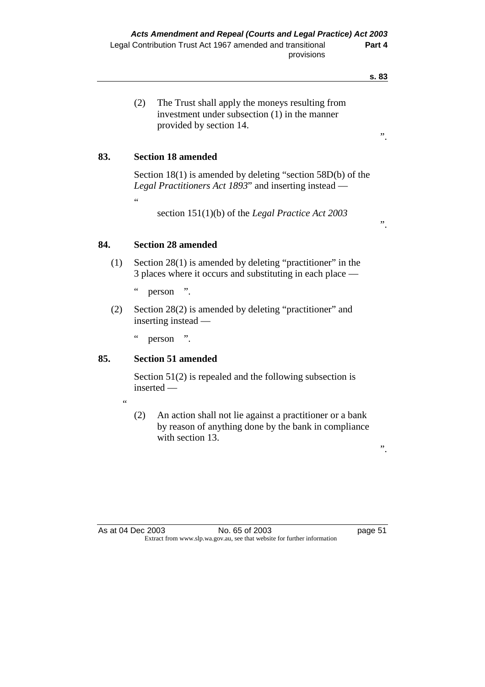(2) The Trust shall apply the moneys resulting from investment under subsection (1) in the manner provided by section 14.

# **83. Section 18 amended**

"

 Section 18(1) is amended by deleting "section 58D(b) of the *Legal Practitioners Act 1893*" and inserting instead —

section 151(1)(b) of the *Legal Practice Act 2003* 

".

# **84. Section 28 amended**

 (1) Section 28(1) is amended by deleting "practitioner" in the 3 places where it occurs and substituting in each place —

" person ".

 (2) Section 28(2) is amended by deleting "practitioner" and inserting instead —

" person ".

## **85. Section 51 amended**

 Section 51(2) is repealed and the following subsection is inserted —

.<br>44

 (2) An action shall not lie against a practitioner or a bank by reason of anything done by the bank in compliance with section 13.

".

As at 04 Dec 2003 No. 65 of 2003 page 51 Extract from www.slp.wa.gov.au, see that website for further information

**s. 83**

".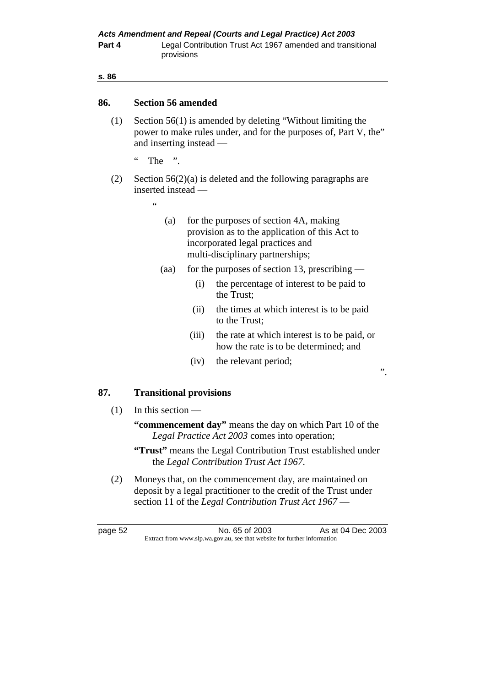#### **86. Section 56 amended**

- (1) Section 56(1) is amended by deleting "Without limiting the power to make rules under, and for the purposes of, Part V, the" and inserting instead —
	- $\lq$  The  $\lq$
- (2) Section 56(2)(a) is deleted and the following paragraphs are inserted instead —
	- .<br>..
- (a) for the purposes of section 4A, making provision as to the application of this Act to incorporated legal practices and multi-disciplinary partnerships;
- (aa) for the purposes of section 13, prescribing
	- (i) the percentage of interest to be paid to the Trust;
	- (ii) the times at which interest is to be paid to the Trust;
	- (iii) the rate at which interest is to be paid, or how the rate is to be determined; and

".

(iv) the relevant period;

## **87. Transitional provisions**

(1) In this section —

 **"commencement day"** means the day on which Part 10 of the *Legal Practice Act 2003* comes into operation;

- **"Trust"** means the Legal Contribution Trust established under the *Legal Contribution Trust Act 1967*.
- (2) Moneys that, on the commencement day, are maintained on deposit by a legal practitioner to the credit of the Trust under section 11 of the *Legal Contribution Trust Act 1967* —

page 52 No. 65 of 2003 As at 04 Dec 2003 Extract from www.slp.wa.gov.au, see that website for further information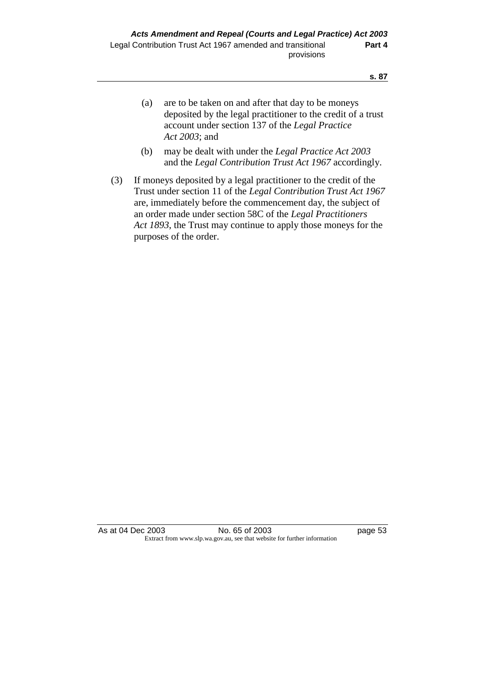- (a) are to be taken on and after that day to be moneys deposited by the legal practitioner to the credit of a trust account under section 137 of the *Legal Practice Act 2003*; and
- (b) may be dealt with under the *Legal Practice Act 2003* and the *Legal Contribution Trust Act 1967* accordingly.
- (3) If moneys deposited by a legal practitioner to the credit of the Trust under section 11 of the *Legal Contribution Trust Act 1967*  are, immediately before the commencement day, the subject of an order made under section 58C of the *Legal Practitioners Act 1893*, the Trust may continue to apply those moneys for the purposes of the order.

As at 04 Dec 2003 No. 65 of 2003 page 53 Extract from www.slp.wa.gov.au, see that website for further information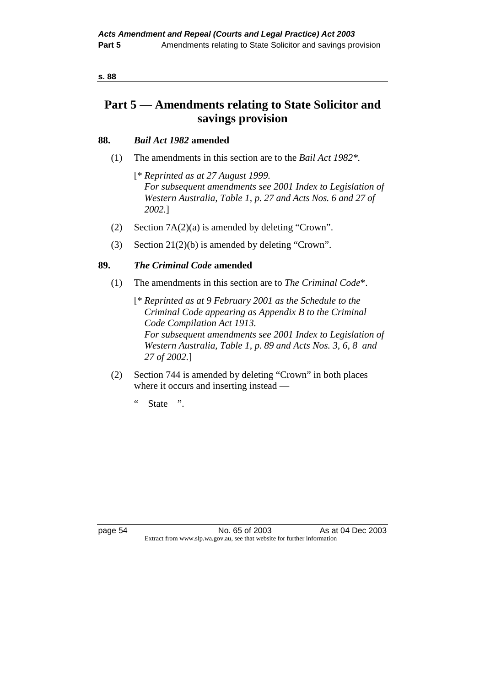| I<br>I<br>$\sim$<br>۰.<br>$-$<br>.,<br>۰. |  |
|-------------------------------------------|--|
|                                           |  |

# **Part 5 — Amendments relating to State Solicitor and savings provision**

## **88.** *Bail Act 1982* **amended**

- (1) The amendments in this section are to the *Bail Act 1982\*.*
	- [\* *Reprinted as at 27 August 1999. For subsequent amendments see 2001 Index to Legislation of Western Australia, Table 1, p. 27 and Acts Nos. 6 and 27 of 2002.*]
- (2) Section 7A(2)(a) is amended by deleting "Crown".
- (3) Section 21(2)(b) is amended by deleting "Crown".

# **89.** *The Criminal Code* **amended**

- (1) The amendments in this section are to *The Criminal Code*\*.
	- [\* *Reprinted as at 9 February 2001 as the Schedule to the Criminal Code appearing as Appendix B to the Criminal Code Compilation Act 1913. For subsequent amendments see 2001 Index to Legislation of Western Australia, Table 1, p. 89 and Acts Nos. 3, 6, 8 and 27 of 2002.*]
- (2) Section 744 is amended by deleting "Crown" in both places where it occurs and inserting instead —
	- " State ".

page 54 No. 65 of 2003 As at 04 Dec 2003 Extract from www.slp.wa.gov.au, see that website for further information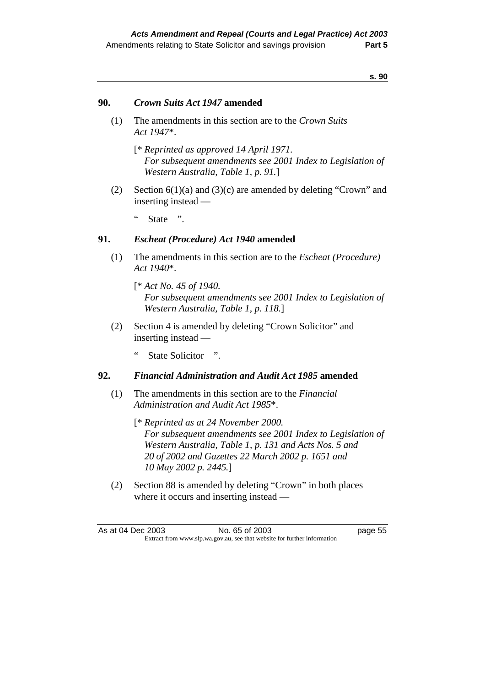## **90.** *Crown Suits Act 1947* **amended**

- (1) The amendments in this section are to the *Crown Suits Act 1947*\*.
	- [\* *Reprinted as approved 14 April 1971. For subsequent amendments see 2001 Index to Legislation of Western Australia, Table 1, p. 91.*]
- (2) Section 6(1)(a) and (3)(c) are amended by deleting "Crown" and inserting instead —
	- " State ".

## **91.** *Escheat (Procedure) Act 1940* **amended**

- (1) The amendments in this section are to the *Escheat (Procedure) Act 1940*\*.
	- [\* *Act No. 45 of 1940. For subsequent amendments see 2001 Index to Legislation of Western Australia, Table 1, p. 118.*]
- (2) Section 4 is amended by deleting "Crown Solicitor" and inserting instead —
	- " State Solicitor ".

## **92.** *Financial Administration and Audit Act 1985* **amended**

- (1) The amendments in this section are to the *Financial Administration and Audit Act 1985*\*.
	- [\* *Reprinted as at 24 November 2000. For subsequent amendments see 2001 Index to Legislation of Western Australia, Table 1, p. 131 and Acts Nos. 5 and 20 of 2002 and Gazettes 22 March 2002 p. 1651 and 10 May 2002 p. 2445.*]
- (2) Section 88 is amended by deleting "Crown" in both places where it occurs and inserting instead —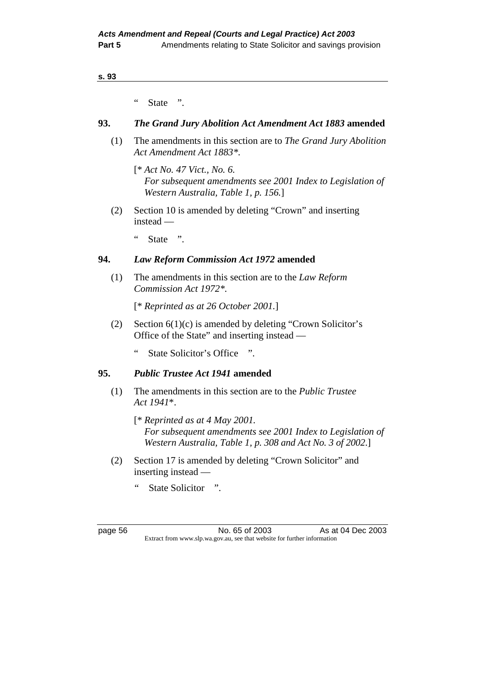" State ".

## **93.** *The Grand Jury Abolition Act Amendment Act 1883* **amended**

 (1) The amendments in this section are to *The Grand Jury Abolition Act Amendment Act 1883\*.* 

 [\* *Act No. 47 Vict., No. 6. For subsequent amendments see 2001 Index to Legislation of Western Australia, Table 1, p. 156.*]

- (2) Section 10 is amended by deleting "Crown" and inserting instead —
	- " State ".

## **94.** *Law Reform Commission Act 1972* **amended**

 (1) The amendments in this section are to the *Law Reform Commission Act 1972\*.*

[\* *Reprinted as at 26 October 2001.*]

- (2) Section  $6(1)(c)$  is amended by deleting "Crown Solicitor's Office of the State" and inserting instead —
	- " State Solicitor's Office ".

#### **95.** *Public Trustee Act 1941* **amended**

- (1) The amendments in this section are to the *Public Trustee Act 1941*\*.
	- [\* *Reprinted as at 4 May 2001. For subsequent amendments see 2001 Index to Legislation of Western Australia, Table 1, p. 308 and Act No. 3 of 2002*.]
- (2) Section 17 is amended by deleting "Crown Solicitor" and inserting instead —
	- " State Solicitor ".

page 56 No. 65 of 2003 As at 04 Dec 2003 Extract from www.slp.wa.gov.au, see that website for further information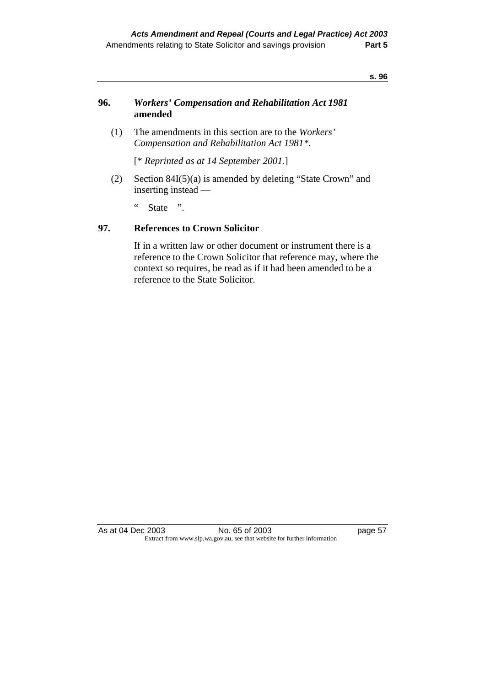## **96.** *Workers' Compensation and Rehabilitation Act 1981* **amended**

 (1) The amendments in this section are to the *Workers' Compensation and Rehabilitation Act 1981\*.* 

[\* *Reprinted as at 14 September 2001.*]

 (2) Section 84I(5)(a) is amended by deleting "State Crown" and inserting instead —

" State ".

## **97. References to Crown Solicitor**

 If in a written law or other document or instrument there is a reference to the Crown Solicitor that reference may, where the context so requires, be read as if it had been amended to be a reference to the State Solicitor.

As at 04 Dec 2003 No. 65 of 2003 page 57 Extract from www.slp.wa.gov.au, see that website for further information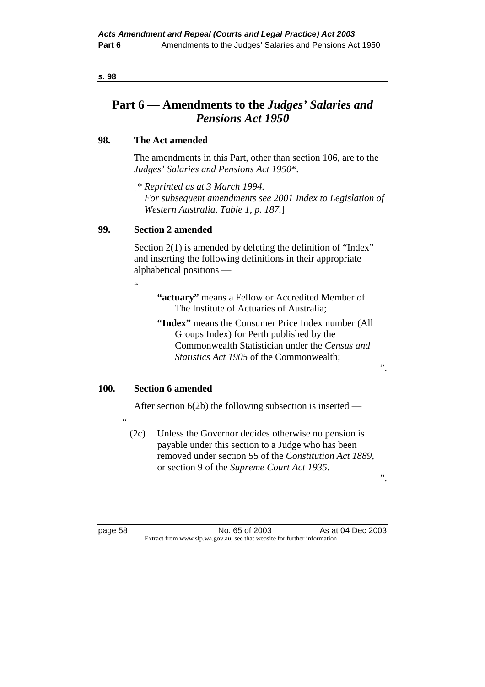| $\sim$ | ۰.<br>$\sim$<br>×<br>v |
|--------|------------------------|
|        |                        |

# **Part 6 — Amendments to the** *Judges' Salaries and Pensions Act 1950*

## **98. The Act amended**

 The amendments in this Part, other than section 106, are to the *Judges' Salaries and Pensions Act 1950*\*.

 [\* *Reprinted as at 3 March 1994. For subsequent amendments see 2001 Index to Legislation of Western Australia, Table 1, p. 187.*]

# **99. Section 2 amended**

Section 2(1) is amended by deleting the definition of "Index" and inserting the following definitions in their appropriate alphabetical positions —

.<br>"

- **"actuary"** means a Fellow or Accredited Member of The Institute of Actuaries of Australia;
- **"Index"** means the Consumer Price Index number (All Groups Index) for Perth published by the Commonwealth Statistician under the *Census and Statistics Act 1905* of the Commonwealth;

".

# **100. Section 6 amended**

After section 6(2b) the following subsection is inserted —

 (2c) Unless the Governor decides otherwise no pension is payable under this section to a Judge who has been removed under section 55 of the *Constitution Act 1889*, or section 9 of the *Supreme Court Act 1935*.

".

"

page 58 No. 65 of 2003 As at 04 Dec 2003 Extract from www.slp.wa.gov.au, see that website for further information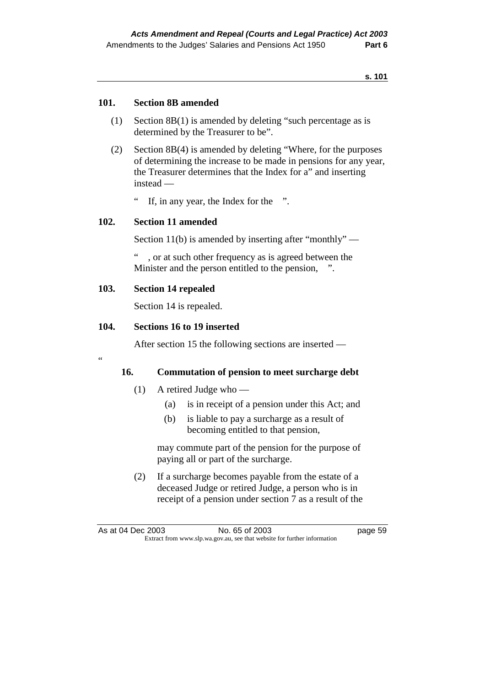## **101. Section 8B amended**

- (1) Section 8B(1) is amended by deleting "such percentage as is determined by the Treasurer to be".
- (2) Section 8B(4) is amended by deleting "Where, for the purposes of determining the increase to be made in pensions for any year, the Treasurer determines that the Index for a" and inserting instead —
	- " If, in any year, the Index for the ".

## **102. Section 11 amended**

Section 11(b) is amended by inserting after "monthly" —

, or at such other frequency as is agreed between the Minister and the person entitled to the pension, ".

## **103. Section 14 repealed**

 $\epsilon$ 

Section 14 is repealed.

## **104. Sections 16 to 19 inserted**

After section 15 the following sections are inserted —

## **16. Commutation of pension to meet surcharge debt**

- (1) A retired Judge who
	- (a) is in receipt of a pension under this Act; and
	- (b) is liable to pay a surcharge as a result of becoming entitled to that pension,

 may commute part of the pension for the purpose of paying all or part of the surcharge.

 (2) If a surcharge becomes payable from the estate of a deceased Judge or retired Judge, a person who is in receipt of a pension under section 7 as a result of the

As at 04 Dec 2003 No. 65 of 2003 had been appeared to the 2004 had been appeared to the 2003 Extract from www.slp.wa.gov.au, see that website for further information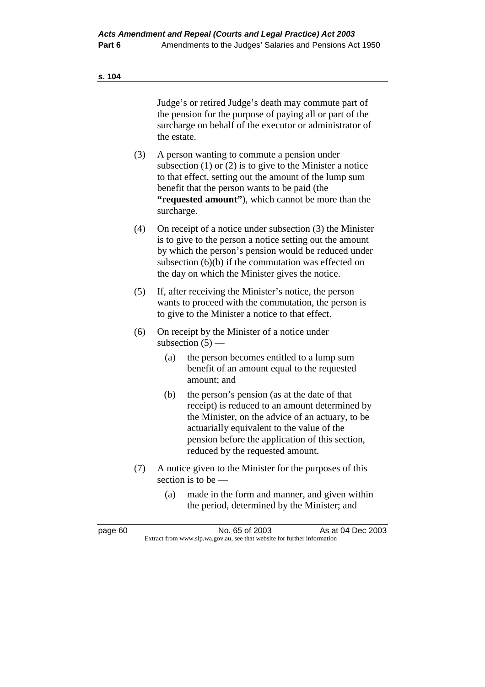Judge's or retired Judge's death may commute part of the pension for the purpose of paying all or part of the surcharge on behalf of the executor or administrator of the estate.

- (3) A person wanting to commute a pension under subsection (1) or (2) is to give to the Minister a notice to that effect, setting out the amount of the lump sum benefit that the person wants to be paid (the **"requested amount"**), which cannot be more than the surcharge.
- (4) On receipt of a notice under subsection (3) the Minister is to give to the person a notice setting out the amount by which the person's pension would be reduced under subsection (6)(b) if the commutation was effected on the day on which the Minister gives the notice.
- (5) If, after receiving the Minister's notice, the person wants to proceed with the commutation, the person is to give to the Minister a notice to that effect.
- (6) On receipt by the Minister of a notice under subsection  $(5)$  —
	- (a) the person becomes entitled to a lump sum benefit of an amount equal to the requested amount; and
	- (b) the person's pension (as at the date of that receipt) is reduced to an amount determined by the Minister, on the advice of an actuary, to be actuarially equivalent to the value of the pension before the application of this section, reduced by the requested amount.
- (7) A notice given to the Minister for the purposes of this section is to be —
	- (a) made in the form and manner, and given within the period, determined by the Minister; and

page 60 No. 65 of 2003 As at 04 Dec 2003 Extract from www.slp.wa.gov.au, see that website for further information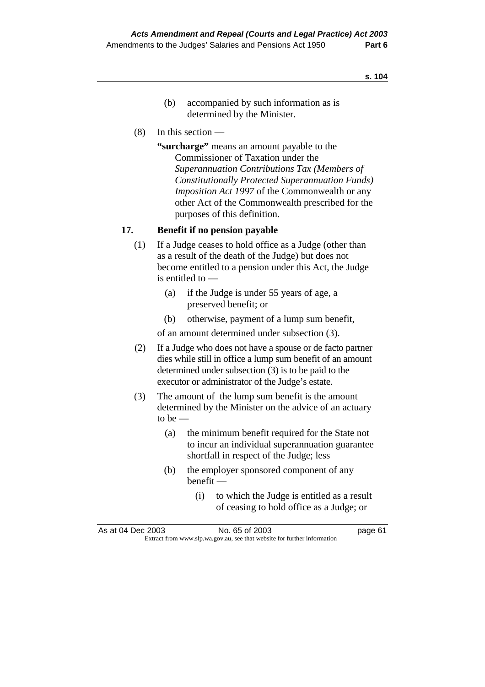- (b) accompanied by such information as is determined by the Minister.
- (8) In this section —

**"surcharge"** means an amount payable to the Commissioner of Taxation under the *Superannuation Contributions Tax (Members of Constitutionally Protected Superannuation Funds) Imposition Act 1997* of the Commonwealth or any other Act of the Commonwealth prescribed for the purposes of this definition.

## **17. Benefit if no pension payable**

- (1) If a Judge ceases to hold office as a Judge (other than as a result of the death of the Judge) but does not become entitled to a pension under this Act, the Judge is entitled to —
	- (a) if the Judge is under 55 years of age, a preserved benefit; or
	- (b) otherwise, payment of a lump sum benefit,

of an amount determined under subsection (3).

- (2) If a Judge who does not have a spouse or de facto partner dies while still in office a lump sum benefit of an amount determined under subsection (3) is to be paid to the executor or administrator of the Judge's estate.
- (3) The amount of the lump sum benefit is the amount determined by the Minister on the advice of an actuary to be  $-$ 
	- (a) the minimum benefit required for the State not to incur an individual superannuation guarantee shortfall in respect of the Judge; less
	- (b) the employer sponsored component of any benefit —
		- (i) to which the Judge is entitled as a result of ceasing to hold office as a Judge; or

| As at 04 Dec 2003 | No. 65 of 2003                                                           | page 61 |
|-------------------|--------------------------------------------------------------------------|---------|
|                   | Extract from www.slp.wa.gov.au, see that website for further information |         |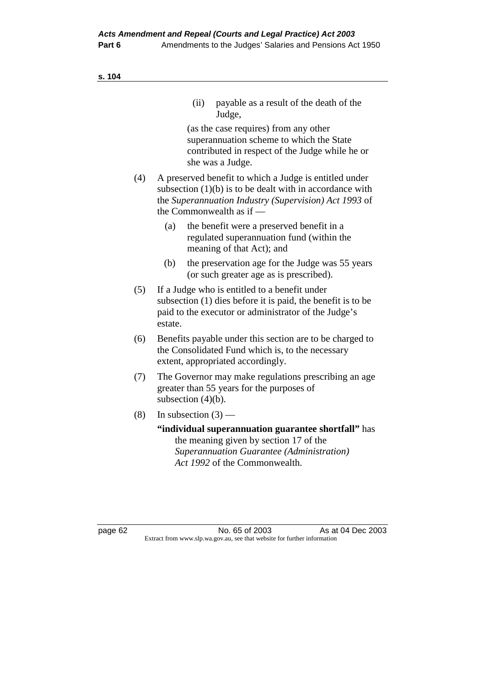|     | (ii)<br>payable as a result of the death of the<br>Judge,                                                                                                                                                 |
|-----|-----------------------------------------------------------------------------------------------------------------------------------------------------------------------------------------------------------|
|     | (as the case requires) from any other<br>superannuation scheme to which the State<br>contributed in respect of the Judge while he or<br>she was a Judge.                                                  |
| (4) | A preserved benefit to which a Judge is entitled under<br>subsection $(1)(b)$ is to be dealt with in accordance with<br>the Superannuation Industry (Supervision) Act 1993 of<br>the Commonwealth as if — |
|     | the benefit were a preserved benefit in a<br>(a)<br>regulated superannuation fund (within the<br>meaning of that Act); and                                                                                |
|     | the preservation age for the Judge was 55 years<br>(b)<br>(or such greater age as is prescribed).                                                                                                         |
| (5) | If a Judge who is entitled to a benefit under<br>subsection (1) dies before it is paid, the benefit is to be<br>paid to the executor or administrator of the Judge's<br>estate.                           |
| (6) | Benefits payable under this section are to be charged to<br>the Consolidated Fund which is, to the necessary<br>extent, appropriated accordingly.                                                         |
| (7) | The Governor may make regulations prescribing an age<br>greater than 55 years for the purposes of<br>subsection $(4)(b)$ .                                                                                |
| (8) | In subsection $(3)$ —                                                                                                                                                                                     |
|     | "individual superannuation guarantee shortfall" has<br>the meaning given by section 17 of the<br>Superannuation Guarantee (Administration)                                                                |

*Act 1992* of the Commonwealth.

page 62 **No. 65 of 2003** As at 04 Dec 2003 Extract from www.slp.wa.gov.au, see that website for further information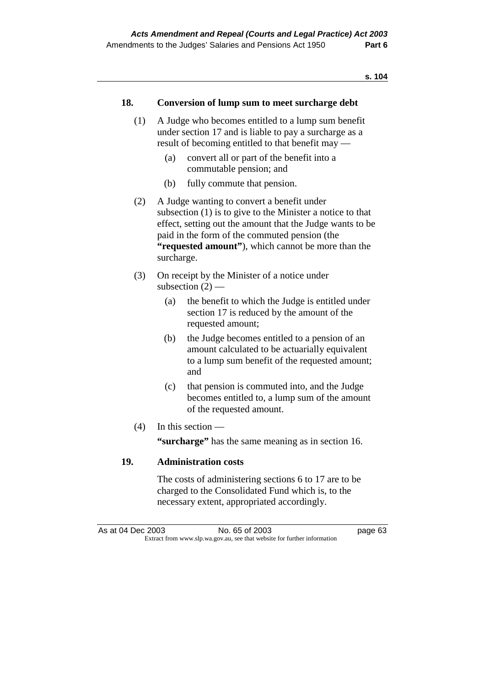## **18. Conversion of lump sum to meet surcharge debt**

- (1) A Judge who becomes entitled to a lump sum benefit under section 17 and is liable to pay a surcharge as a result of becoming entitled to that benefit may —
	- (a) convert all or part of the benefit into a commutable pension; and
	- (b) fully commute that pension.
- (2) A Judge wanting to convert a benefit under subsection (1) is to give to the Minister a notice to that effect, setting out the amount that the Judge wants to be paid in the form of the commuted pension (the **"requested amount"**), which cannot be more than the surcharge.
- (3) On receipt by the Minister of a notice under subsection  $(2)$  —
	- (a) the benefit to which the Judge is entitled under section 17 is reduced by the amount of the requested amount;
	- (b) the Judge becomes entitled to a pension of an amount calculated to be actuarially equivalent to a lump sum benefit of the requested amount; and
	- (c) that pension is commuted into, and the Judge becomes entitled to, a lump sum of the amount of the requested amount.
- (4) In this section —

**"surcharge"** has the same meaning as in section 16.

## **19. Administration costs**

 The costs of administering sections 6 to 17 are to be charged to the Consolidated Fund which is, to the necessary extent, appropriated accordingly.

As at 04 Dec 2003 No. 65 of 2003 has at 04 Dec 2003 Extract from www.slp.wa.gov.au, see that website for further information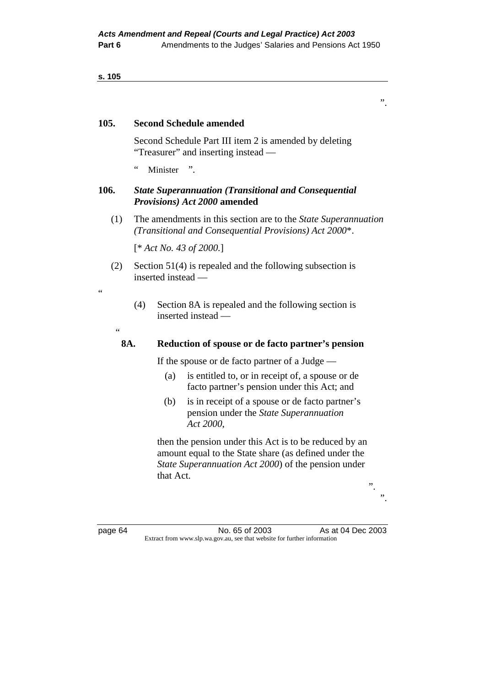## **105. Second Schedule amended**

 Second Schedule Part III item 2 is amended by deleting "Treasurer" and inserting instead —

" Minister ".

## **106.** *State Superannuation (Transitional and Consequential Provisions) Act 2000* **amended**

 (1) The amendments in this section are to the *State Superannuation (Transitional and Consequential Provisions) Act 2000*\*.

[\* *Act No. 43 of 2000.*]

 (2) Section 51(4) is repealed and the following subsection is inserted instead —

 (4) Section 8A is repealed and the following section is inserted instead —

.,

"

## **8A. Reduction of spouse or de facto partner's pension**

If the spouse or de facto partner of a Judge —

- (a) is entitled to, or in receipt of, a spouse or de facto partner's pension under this Act; and
- (b) is in receipt of a spouse or de facto partner's pension under the *State Superannuation Act 2000*,

 then the pension under this Act is to be reduced by an amount equal to the State share (as defined under the *State Superannuation Act 2000*) of the pension under that Act.

page 64 **No. 65 of 2003** As at 04 Dec 2003 Extract from www.slp.wa.gov.au, see that website for further information

".

 $\ddot{\hspace{1mm} \cdot}$ ".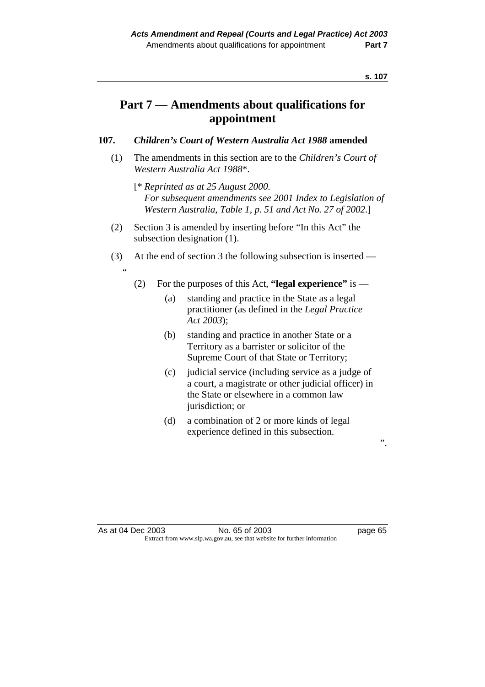# **Part 7 — Amendments about qualifications for appointment**

# **107.** *Children's Court of Western Australia Act 1988* **amended**

- (1) The amendments in this section are to the *Children's Court of Western Australia Act 1988*\*.
	- [\* *Reprinted as at 25 August 2000. For subsequent amendments see 2001 Index to Legislation of Western Australia, Table 1, p. 51 and Act No. 27 of 2002*.]
- (2) Section 3 is amended by inserting before "In this Act" the subsection designation (1).

"

- (3) At the end of section 3 the following subsection is inserted
	- (2) For the purposes of this Act, **"legal experience"** is
		- (a) standing and practice in the State as a legal practitioner (as defined in the *Legal Practice Act 2003*);
		- (b) standing and practice in another State or a Territory as a barrister or solicitor of the Supreme Court of that State or Territory;
		- (c) judicial service (including service as a judge of a court, a magistrate or other judicial officer) in the State or elsewhere in a common law jurisdiction; or
		- (d) a combination of 2 or more kinds of legal experience defined in this subsection.

".

#### As at 04 Dec 2003 No. 65 of 2003 page 65 Extract from www.slp.wa.gov.au, see that website for further information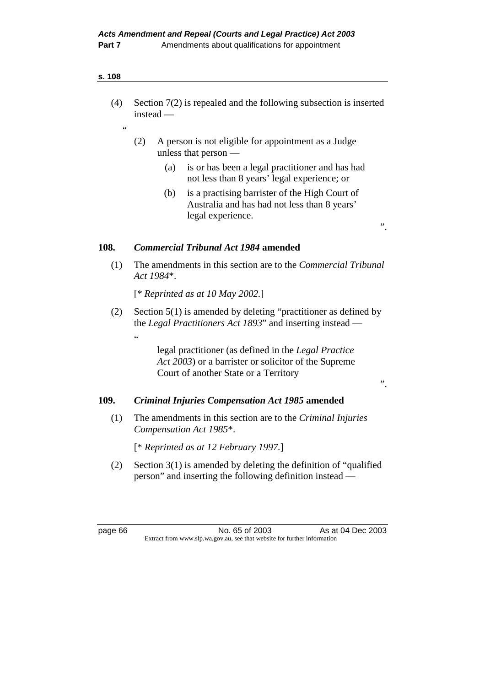$\overline{a}$ 

- (4) Section 7(2) is repealed and the following subsection is inserted instead —
	- (2) A person is not eligible for appointment as a Judge unless that person —
		- (a) is or has been a legal practitioner and has had not less than 8 years' legal experience; or
		- (b) is a practising barrister of the High Court of Australia and has had not less than 8 years' legal experience.

".

".

# **108.** *Commercial Tribunal Act 1984* **amended**

 (1) The amendments in this section are to the *Commercial Tribunal Act 1984*\*.

[\* *Reprinted as at 10 May 2002.*]

 (2) Section 5(1) is amended by deleting "practitioner as defined by the *Legal Practitioners Act 1893*" and inserting instead —

.<br>"

 legal practitioner (as defined in the *Legal Practice Act 2003*) or a barrister or solicitor of the Supreme Court of another State or a Territory

# **109.** *Criminal Injuries Compensation Act 1985* **amended**

 (1) The amendments in this section are to the *Criminal Injuries Compensation Act 1985*\*.

[\* *Reprinted as at 12 February 1997.*]

 (2) Section 3(1) is amended by deleting the definition of "qualified person" and inserting the following definition instead —

page 66 No. 65 of 2003 As at 04 Dec 2003 Extract from www.slp.wa.gov.au, see that website for further information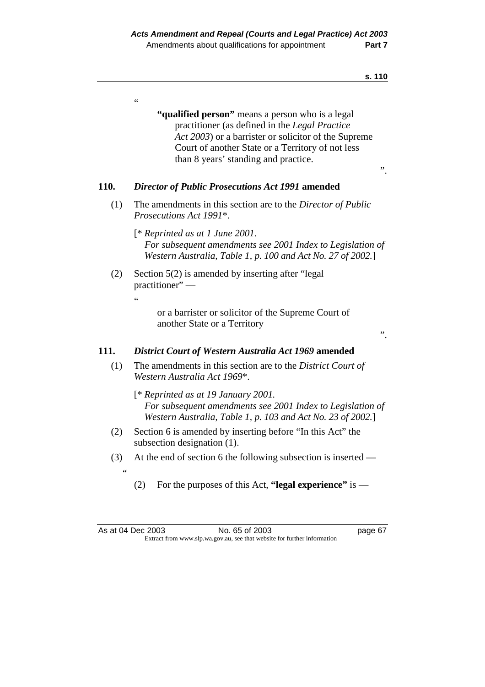.<br>.

 **"qualified person"** means a person who is a legal practitioner (as defined in the *Legal Practice Act 2003*) or a barrister or solicitor of the Supreme Court of another State or a Territory of not less than 8 years' standing and practice.

".

#### **110.** *Director of Public Prosecutions Act 1991* **amended**

- (1) The amendments in this section are to the *Director of Public Prosecutions Act 1991*\*.
	- [\* *Reprinted as at 1 June 2001. For subsequent amendments see 2001 Index to Legislation of Western Australia, Table 1, p. 100 and Act No. 27 of 2002.*]
- (2) Section 5(2) is amended by inserting after "legal practitioner" —
	- .<br>"

 or a barrister or solicitor of the Supreme Court of another State or a Territory

".

page 67

#### **111.** *District Court of Western Australia Act 1969* **amended**

- (1) The amendments in this section are to the *District Court of Western Australia Act 1969*\*.
	- [\* *Reprinted as at 19 January 2001. For subsequent amendments see 2001 Index to Legislation of Western Australia, Table 1, p. 103 and Act No. 23 of 2002.*]
- (2) Section 6 is amended by inserting before "In this Act" the subsection designation (1).
- (3) At the end of section 6 the following subsection is inserted  $\overline{a}$ 
	- (2) For the purposes of this Act, **"legal experience"** is —

| As at 04 Dec 2003 | No. 65 of 2003                                                           |
|-------------------|--------------------------------------------------------------------------|
|                   | Extract from www.slp.wa.gov.au, see that website for further information |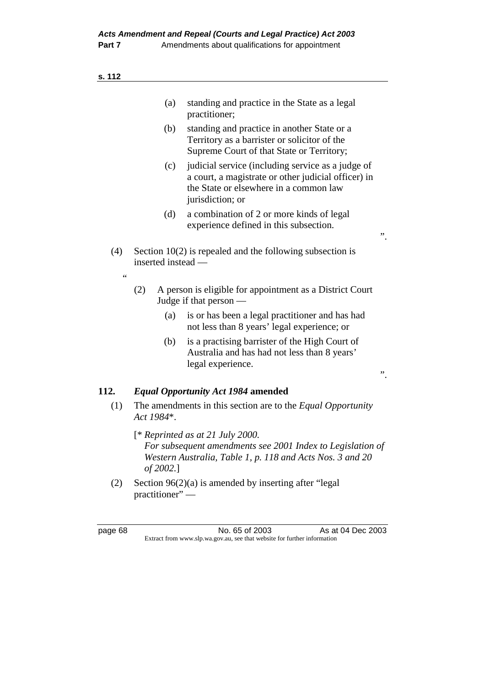| ۰. |  |  |
|----|--|--|
|----|--|--|

|           | (a)                | standing and practice in the State as a legal<br>practitioner;                                                                                                         |    |
|-----------|--------------------|------------------------------------------------------------------------------------------------------------------------------------------------------------------------|----|
|           | (b)                | standing and practice in another State or a<br>Territory as a barrister or solicitor of the<br>Supreme Court of that State or Territory;                               |    |
|           | (c)                | judicial service (including service as a judge of<br>a court, a magistrate or other judicial officer) in<br>the State or elsewhere in a common law<br>jurisdiction; or |    |
|           | (d)                | a combination of 2 or more kinds of legal<br>experience defined in this subsection.                                                                                    | ,, |
| (4)<br>66 | inserted instead — | Section $10(2)$ is repealed and the following subsection is                                                                                                            |    |
|           | (2)                | A person is eligible for appointment as a District Court<br>Judge if that person —                                                                                     |    |
|           | (a)                | is or has been a legal practitioner and has had<br>not less than 8 years' legal experience; or                                                                         |    |
|           | (b)                | is a practising barrister of the High Court of<br>Australia and has had not less than 8 years'<br>legal experience.                                                    | ,, |
| 112.      |                    | <b>Equal Opportunity Act 1984 amended</b>                                                                                                                              |    |
| (1)       | Act 1984*.         | The amendments in this section are to the <i>Equal Opportunity</i>                                                                                                     |    |
|           | of 2002.]          | $[$ * Reprinted as at 21 July 2000.<br>For subsequent amendments see 2001 Index to Legislation of<br>Western Australia, Table 1, p. 118 and Acts Nos. 3 and 20         |    |

 (2) Section 96(2)(a) is amended by inserting after "legal practitioner"-

page 68 No. 65 of 2003 As at 04 Dec 2003 Extract from www.slp.wa.gov.au, see that website for further information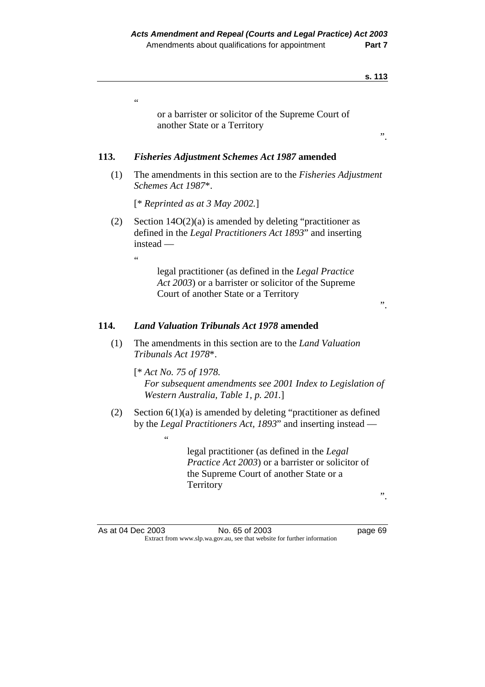$\overline{\phantom{0}}$ 

|      | S. 113                                                                                                                                                                 |
|------|------------------------------------------------------------------------------------------------------------------------------------------------------------------------|
|      | $\zeta$ $\zeta$<br>or a barrister or solicitor of the Supreme Court of<br>another State or a Territory<br>,,                                                           |
| 113. | <b>Fisheries Adjustment Schemes Act 1987 amended</b>                                                                                                                   |
| (1)  | The amendments in this section are to the <i>Fisheries Adjustment</i><br>Schemes Act 1987*.                                                                            |
|      | [* Reprinted as at 3 May 2002.]                                                                                                                                        |
| (2)  | Section $14O(2)(a)$ is amended by deleting "practitioner as<br>defined in the Legal Practitioners Act 1893" and inserting<br>$instead -$<br>$\zeta$ $\zeta$            |
|      | legal practitioner (as defined in the Legal Practice<br>Act 2003) or a barrister or solicitor of the Supreme<br>Court of another State or a Territory<br>"             |
| 114. | <b>Land Valuation Tribunals Act 1978 amended</b>                                                                                                                       |
| (1)  | The amendments in this section are to the <i>Land Valuation</i><br>Tribunals Act 1978*.                                                                                |
|      | $[*Act No. 75 of 1978.$<br>For subsequent amendments see 2001 Index to Legislation of<br>Western Australia, Table 1, p. 201.]                                          |
| (2)  | Section $6(1)(a)$ is amended by deleting "practitioner as defined<br>by the Legal Practitioners Act, 1893" and inserting instead —<br>$\zeta$ $\zeta$                  |
|      | legal practitioner (as defined in the Legal<br><i>Practice Act 2003</i> ) or a barrister or solicitor of<br>the Supreme Court of another State or a<br>Territory<br>,, |
|      |                                                                                                                                                                        |
|      | As at 04 Dec 2003<br>No. 65 of 2003<br>page 69                                                                                                                         |

Extract from www.slp.wa.gov.au, see that website for further information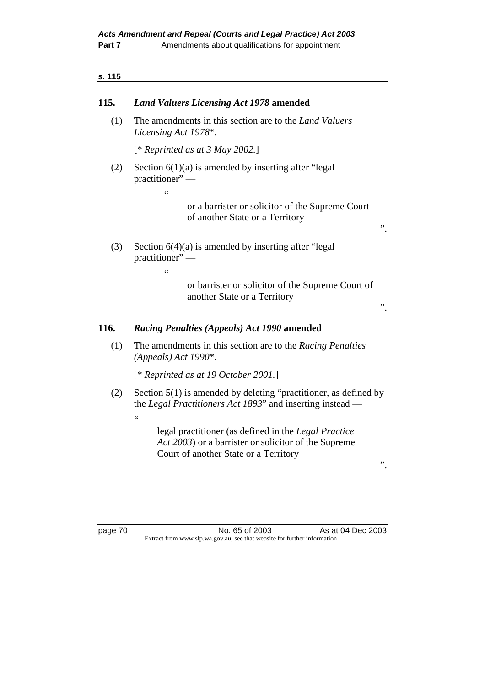# **115.** *Land Valuers Licensing Act 1978* **amended**

 (1) The amendments in this section are to the *Land Valuers Licensing Act 1978*\*.

[\* *Reprinted as at 3 May 2002.*]

"

 $\epsilon$ 

(2) Section  $6(1)(a)$  is amended by inserting after "legal" practitioner" —

> or a barrister or solicitor of the Supreme Court of another State or a Territory

 (3) Section 6(4)(a) is amended by inserting after "legal practitioner" —

> or barrister or solicitor of the Supreme Court of another State or a Territory

# **116.** *Racing Penalties (Appeals) Act 1990* **amended**

 (1) The amendments in this section are to the *Racing Penalties (Appeals) Act 1990*\*.

[\* *Reprinted as at 19 October 2001.*]

 (2) Section 5(1) is amended by deleting "practitioner, as defined by the *Legal Practitioners Act 1893*" and inserting instead —

 $\epsilon$ 

 legal practitioner (as defined in the *Legal Practice Act 2003*) or a barrister or solicitor of the Supreme Court of another State or a Territory

".

".

".

page 70 No. 65 of 2003 As at 04 Dec 2003 Extract from www.slp.wa.gov.au, see that website for further information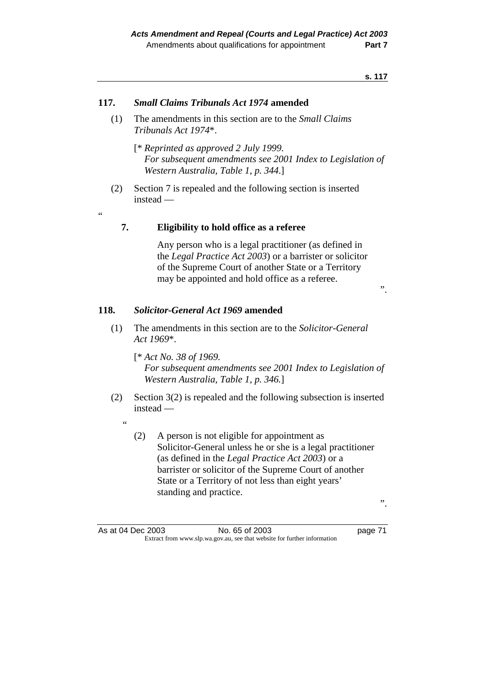#### **117.** *Small Claims Tribunals Act 1974* **amended**

- (1) The amendments in this section are to the *Small Claims Tribunals Act 1974*\*.
	- [\* *Reprinted as approved 2 July 1999. For subsequent amendments see 2001 Index to Legislation of Western Australia, Table 1, p. 344*.]
- (2) Section 7 is repealed and the following section is inserted instead —

**7. Eligibility to hold office as a referee** 

 Any person who is a legal practitioner (as defined in the *Legal Practice Act 2003*) or a barrister or solicitor of the Supreme Court of another State or a Territory may be appointed and hold office as a referee.

".

#### **118.** *Solicitor-General Act 1969* **amended**

 (1) The amendments in this section are to the *Solicitor-General Act 1969*\*.

 [\* *Act No. 38 of 1969. For subsequent amendments see 2001 Index to Legislation of Western Australia, Table 1, p. 346.*]

- (2) Section 3(2) is repealed and the following subsection is inserted instead —
	- $\epsilon$

"

 (2) A person is not eligible for appointment as Solicitor-General unless he or she is a legal practitioner (as defined in the *Legal Practice Act 2003*) or a barrister or solicitor of the Supreme Court of another State or a Territory of not less than eight years' standing and practice.

".

As at 04 Dec 2003 No. 65 of 2003 page 71 Extract from www.slp.wa.gov.au, see that website for further information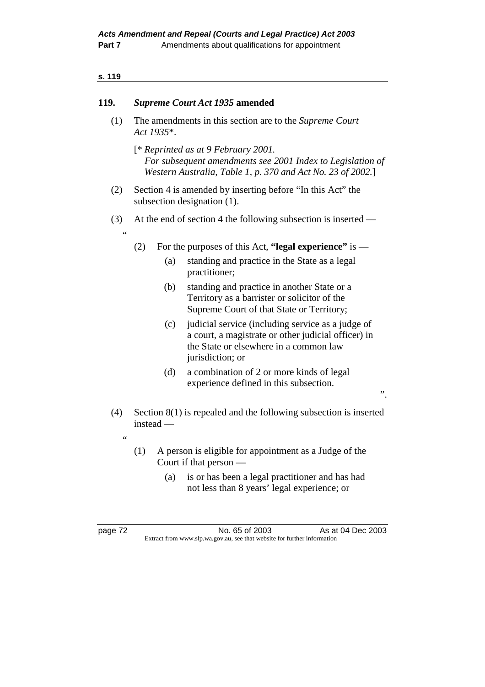| 119.              | <b>Supreme Court Act 1935 amended</b>                                                     |                                                                                                                                                                                      |  |
|-------------------|-------------------------------------------------------------------------------------------|--------------------------------------------------------------------------------------------------------------------------------------------------------------------------------------|--|
| (1)               | The amendments in this section are to the Supreme Court<br>Act 1935*.                     |                                                                                                                                                                                      |  |
|                   |                                                                                           | [* Reprinted as at 9 February 2001.<br>For subsequent amendments see 2001 Index to Legislation of<br>Western Australia, Table 1, p. 370 and Act No. 23 of 2002.]                     |  |
| (2)               | Section 4 is amended by inserting before "In this Act" the<br>subsection designation (1). |                                                                                                                                                                                      |  |
| (3)<br>66         | At the end of section 4 the following subsection is inserted —                            |                                                                                                                                                                                      |  |
|                   | (2)                                                                                       | For the purposes of this Act, "legal experience" is $-$                                                                                                                              |  |
|                   | (a)                                                                                       | standing and practice in the State as a legal<br>practitioner;                                                                                                                       |  |
|                   | (b)                                                                                       | standing and practice in another State or a<br>Territory as a barrister or solicitor of the<br>Supreme Court of that State or Territory;                                             |  |
|                   | (c)                                                                                       | judicial service (including service as a judge of<br>a court, a magistrate or other judicial officer) in<br>the State or elsewhere in a common law<br>jurisdiction; or               |  |
|                   | (d)                                                                                       | a combination of 2 or more kinds of legal<br>experience defined in this subsection.<br>$, \cdot$                                                                                     |  |
| (4)<br>$\epsilon$ | instead —                                                                                 | Section $8(1)$ is repealed and the following subsection is inserted                                                                                                                  |  |
|                   | (1)<br>(a)                                                                                | A person is eligible for appointment as a Judge of the<br>Court if that person $-$<br>is or has been a legal practitioner and has had<br>not less than 8 years' legal experience; or |  |
|                   |                                                                                           |                                                                                                                                                                                      |  |

page 72 **No. 65 of 2003** As at 04 Dec 2003 Extract from www.slp.wa.gov.au, see that website for further information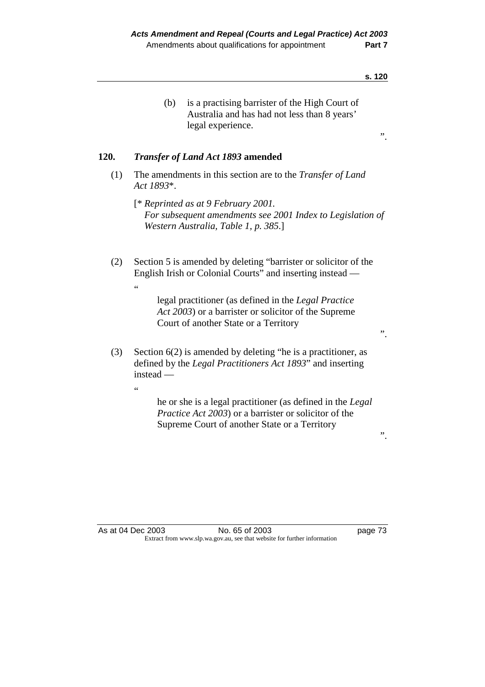|      | is a practising barrister of the High Court of<br>(b)<br>Australia and has had not less than 8 years'<br>legal experience.                                                                                                                                                                               | ,, |
|------|----------------------------------------------------------------------------------------------------------------------------------------------------------------------------------------------------------------------------------------------------------------------------------------------------------|----|
| 120. | <b>Transfer of Land Act 1893 amended</b>                                                                                                                                                                                                                                                                 |    |
| (1)  | The amendments in this section are to the <i>Transfer of Land</i><br>Act 1893*.                                                                                                                                                                                                                          |    |
|      | $[$ * Reprinted as at 9 February 2001.<br>For subsequent amendments see 2001 Index to Legislation of<br>Western Australia, Table 1, p. 385.]                                                                                                                                                             |    |
| (2)  | Section 5 is amended by deleting "barrister or solicitor of the<br>English Irish or Colonial Courts" and inserting instead —<br>$\zeta$ $\zeta$<br>legal practitioner (as defined in the Legal Practice<br>Act 2003) or a barrister or solicitor of the Supreme<br>Court of another State or a Territory | ,, |
| (3)  | Section $6(2)$ is amended by deleting "he is a practitioner, as<br>defined by the <i>Legal Practitioners Act 1893</i> " and inserting<br>instead $-$<br>66                                                                                                                                               |    |
|      | he or she is a legal practitioner (as defined in the Legal<br>Practice Act 2003) or a barrister or solicitor of the<br>Supreme Court of another State or a Territory                                                                                                                                     | ,, |

As at 04 Dec 2003 No. 65 of 2003 page 73 Extract from www.slp.wa.gov.au, see that website for further information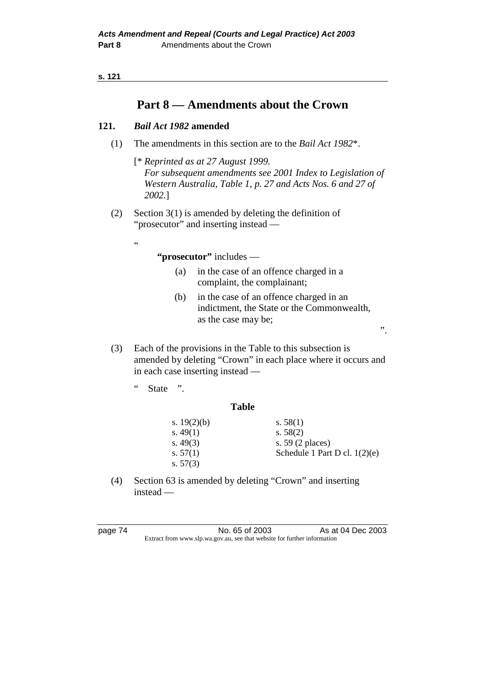```
s. 121
```
# **Part 8 — Amendments about the Crown**

# **121.** *Bail Act 1982* **amended**

(1) The amendments in this section are to the *Bail Act 1982*\*.

 [\* *Reprinted as at 27 August 1999. For subsequent amendments see 2001 Index to Legislation of Western Australia, Table 1, p. 27 and Acts Nos. 6 and 27 of 2002.*]

 (2) Section 3(1) is amended by deleting the definition of "prosecutor" and inserting instead —

# **"prosecutor"** includes —

- (a) in the case of an offence charged in a complaint, the complainant;
- (b) in the case of an offence charged in an indictment, the State or the Commonwealth, as the case may be;

".

- (3) Each of the provisions in the Table to this subsection is amended by deleting "Crown" in each place where it occurs and in each case inserting instead —
	- " State ".

"

# **Table**

| s. $19(2)(b)$ | s. $58(1)$                      |
|---------------|---------------------------------|
| s. $49(1)$    | s. $58(2)$                      |
| s. $49(3)$    | s. $59(2)$ places)              |
| s. $57(1)$    | Schedule 1 Part D cl. $1(2)(e)$ |
| s. $57(3)$    |                                 |

 (4) Section 63 is amended by deleting "Crown" and inserting instead —

page 74 No. 65 of 2003 As at 04 Dec 2003 Extract from www.slp.wa.gov.au, see that website for further information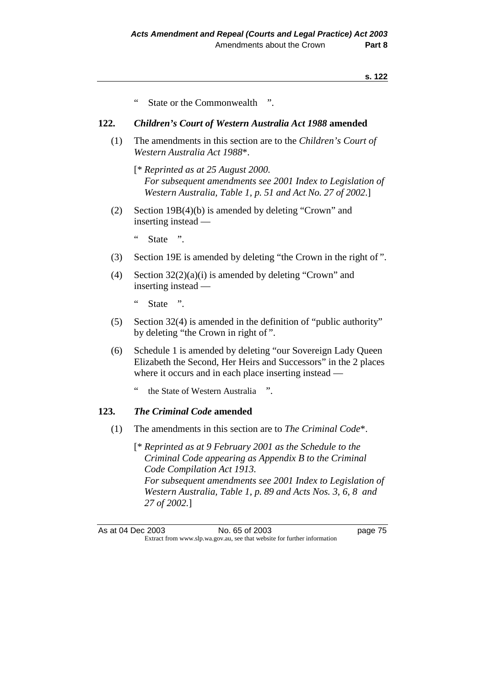State or the Commonwealth ".

# **122.** *Children's Court of Western Australia Act 1988* **amended**

- (1) The amendments in this section are to the *Children's Court of Western Australia Act 1988*\*.
	- [\* *Reprinted as at 25 August 2000. For subsequent amendments see 2001 Index to Legislation of Western Australia, Table 1, p. 51 and Act No. 27 of 2002*.]
- (2) Section 19B(4)(b) is amended by deleting "Crown" and inserting instead —
	- " State ".
- (3) Section 19E is amended by deleting "the Crown in the right of ".
- (4) Section 32(2)(a)(i) is amended by deleting "Crown" and inserting instead —
	- " State ".
- (5) Section 32(4) is amended in the definition of "public authority" by deleting "the Crown in right of ".
- (6) Schedule 1 is amended by deleting "our Sovereign Lady Queen Elizabeth the Second, Her Heirs and Successors" in the 2 places where it occurs and in each place inserting instead
	- the State of Western Australia ".

# **123.** *The Criminal Code* **amended**

- (1) The amendments in this section are to *The Criminal Code*\*.
	- [\* *Reprinted as at 9 February 2001 as the Schedule to the Criminal Code appearing as Appendix B to the Criminal Code Compilation Act 1913. For subsequent amendments see 2001 Index to Legislation of Western Australia, Table 1, p. 89 and Acts Nos. 3, 6, 8 and 27 of 2002.*]

As at 04 Dec 2003 No. 65 of 2003 page 75 Extract from www.slp.wa.gov.au, see that website for further information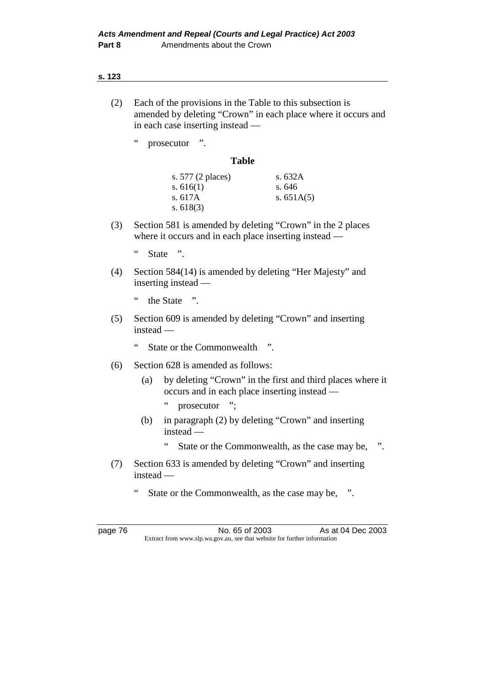- (2) Each of the provisions in the Table to this subsection is amended by deleting "Crown" in each place where it occurs and in each case inserting instead —
	- " prosecutor ".

#### **Table**

| s. 577 (2 places) | s. $632A$    |
|-------------------|--------------|
| s. $616(1)$       | s.646        |
| s. $617A$         | s. $651A(5)$ |
| s. $618(3)$       |              |

- (3) Section 581 is amended by deleting "Crown" in the 2 places where it occurs and in each place inserting instead —
	- " State ".
- (4) Section 584(14) is amended by deleting "Her Majesty" and inserting instead —
	- " the State ".
- (5) Section 609 is amended by deleting "Crown" and inserting instead —
	- " State or the Commonwealth ".
- (6) Section 628 is amended as follows:
	- (a) by deleting "Crown" in the first and third places where it occurs and in each place inserting instead —
		- " prosecutor ";
	- (b) in paragraph (2) by deleting "Crown" and inserting instead —
		- " State or the Commonwealth, as the case may be, ".
- (7) Section 633 is amended by deleting "Crown" and inserting instead —
	- " State or the Commonwealth, as the case may be, ".

page 76 No. 65 of 2003 As at 04 Dec 2003 Extract from www.slp.wa.gov.au, see that website for further information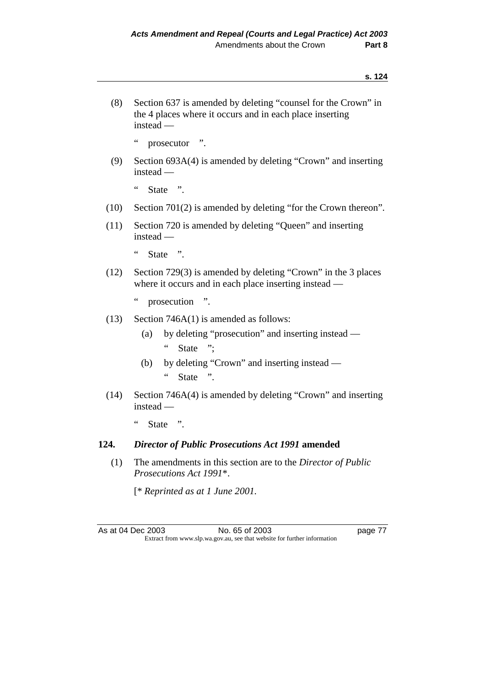(8) Section 637 is amended by deleting "counsel for the Crown" in the 4 places where it occurs and in each place inserting instead —

" prosecutor ".

 (9) Section 693A(4) is amended by deleting "Crown" and inserting instead —

" State ".

- (10) Section 701(2) is amended by deleting "for the Crown thereon".
- (11) Section 720 is amended by deleting "Queen" and inserting instead —

" State ".

 (12) Section 729(3) is amended by deleting "Crown" in the 3 places where it occurs and in each place inserting instead —

" prosecution ".

- (13) Section 746A(1) is amended as follows:
	- (a) by deleting "prosecution" and inserting instead " State ";
	- (b) by deleting "Crown" and inserting instead " State ".
- (14) Section 746A(4) is amended by deleting "Crown" and inserting instead —
	- " State ".

#### **124.** *Director of Public Prosecutions Act 1991* **amended**

 (1) The amendments in this section are to the *Director of Public Prosecutions Act 1991*\*.

[\* *Reprinted as at 1 June 2001.* 

As at 04 Dec 2003 No. 65 of 2003 page 77 Extract from www.slp.wa.gov.au, see that website for further information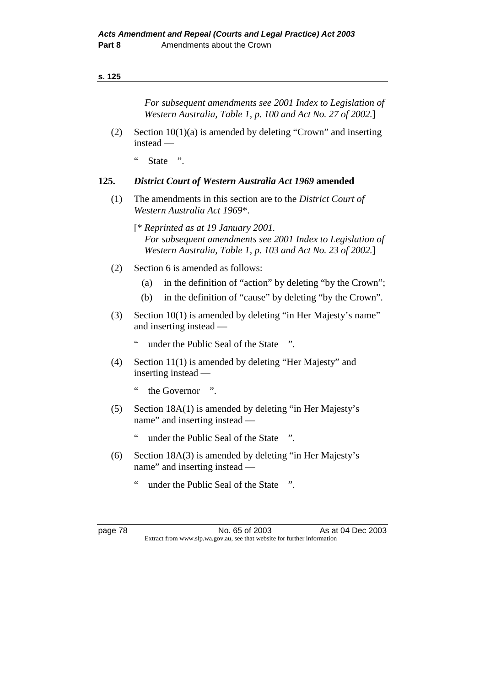*For subsequent amendments see 2001 Index to Legislation of Western Australia, Table 1, p. 100 and Act No. 27 of 2002.*]

- (2) Section 10(1)(a) is amended by deleting "Crown" and inserting instead —
	- " State ".

# **125.** *District Court of Western Australia Act 1969* **amended**

- (1) The amendments in this section are to the *District Court of Western Australia Act 1969*\*.
	- [\* *Reprinted as at 19 January 2001. For subsequent amendments see 2001 Index to Legislation of Western Australia, Table 1, p. 103 and Act No. 23 of 2002.*]
- (2) Section 6 is amended as follows:
	- (a) in the definition of "action" by deleting "by the Crown";
	- (b) in the definition of "cause" by deleting "by the Crown".
- (3) Section 10(1) is amended by deleting "in Her Majesty's name" and inserting instead —
	- " under the Public Seal of the State ".
- (4) Section 11(1) is amended by deleting "Her Majesty" and inserting instead —
	- " the Governor ".
- (5) Section 18A(1) is amended by deleting "in Her Majesty's name" and inserting instead —
	- " under the Public Seal of the State ".
- (6) Section 18A(3) is amended by deleting "in Her Majesty's name" and inserting instead
	- under the Public Seal of the State ".

page 78 No. 65 of 2003 As at 04 Dec 2003 Extract from www.slp.wa.gov.au, see that website for further information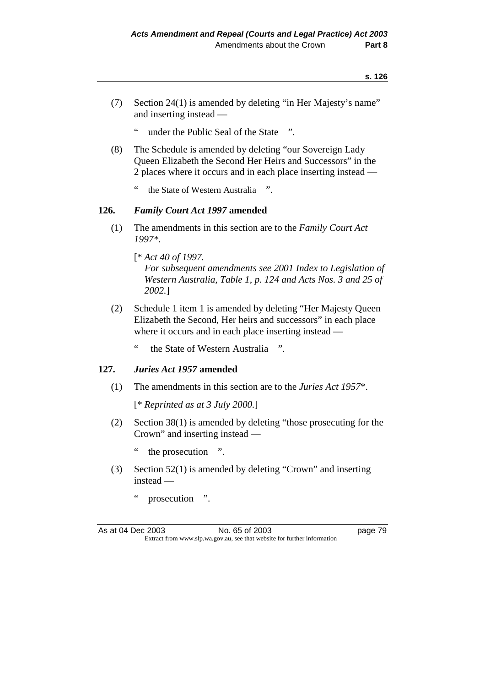- (7) Section 24(1) is amended by deleting "in Her Majesty's name" and inserting instead —
	- " under the Public Seal of the State ".
- (8) The Schedule is amended by deleting "our Sovereign Lady Queen Elizabeth the Second Her Heirs and Successors" in the 2 places where it occurs and in each place inserting instead
	- the State of Western Australia ".

# **126.** *Family Court Act 1997* **amended**

 (1) The amendments in this section are to the *Family Court Act 1997\**.

 [\* *Act 40 of 1997. For subsequent amendments see 2001 Index to Legislation of Western Australia, Table 1, p. 124 and Acts Nos. 3 and 25 of 2002.*]

- (2) Schedule 1 item 1 is amended by deleting "Her Majesty Queen Elizabeth the Second, Her heirs and successors" in each place where it occurs and in each place inserting instead —
	- " the State of Western Australia ".

#### **127.** *Juries Act 1957* **amended**

(1) The amendments in this section are to the *Juries Act 1957*\*.

[\* *Reprinted as at 3 July 2000.*]

- (2) Section 38(1) is amended by deleting "those prosecuting for the Crown" and inserting instead —
	- " the prosecution ".
- (3) Section 52(1) is amended by deleting "Crown" and inserting instead —
	- " prosecution ".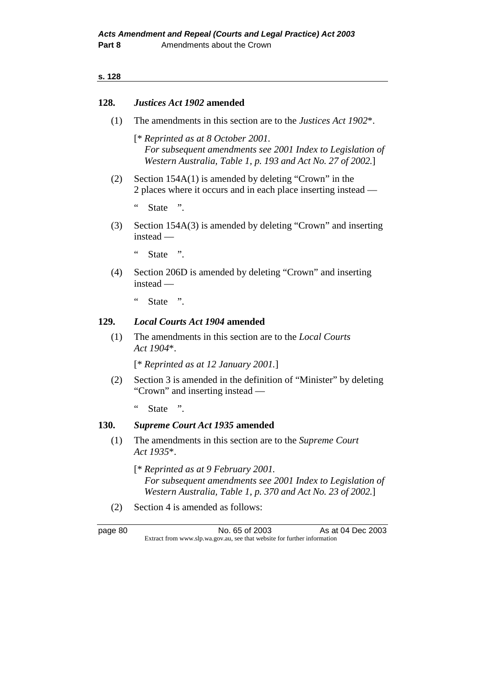#### **128.** *Justices Act 1902* **amended**

(1) The amendments in this section are to the *Justices Act 1902*\*.

 [\* *Reprinted as at 8 October 2001. For subsequent amendments see 2001 Index to Legislation of Western Australia, Table 1, p. 193 and Act No. 27 of 2002.*]

 (2) Section 154A(1) is amended by deleting "Crown" in the 2 places where it occurs and in each place inserting instead —

" State ".

 (3) Section 154A(3) is amended by deleting "Crown" and inserting instead —

" State ".

- (4) Section 206D is amended by deleting "Crown" and inserting instead —
	- " State ".

### **129.** *Local Courts Act 1904* **amended**

 (1) The amendments in this section are to the *Local Courts Act 1904*\*.

[\* *Reprinted as at 12 January 2001.*]

 (2) Section 3 is amended in the definition of "Minister" by deleting "Crown" and inserting instead —

" State ".

# **130.** *Supreme Court Act 1935* **amended**

 (1) The amendments in this section are to the *Supreme Court Act 1935*\*.

 [\* *Reprinted as at 9 February 2001. For subsequent amendments see 2001 Index to Legislation of Western Australia, Table 1, p. 370 and Act No. 23 of 2002.*]

(2) Section 4 is amended as follows:

page 80 No. 65 of 2003 As at 04 Dec 2003 Extract from www.slp.wa.gov.au, see that website for further information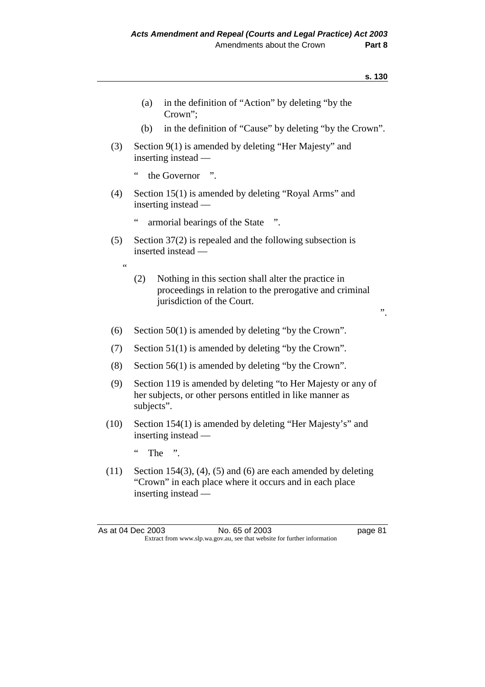|                 | in the definition of "Action" by deleting "by the<br>(a)<br>Crown";                                                                                 |    |
|-----------------|-----------------------------------------------------------------------------------------------------------------------------------------------------|----|
|                 | in the definition of "Cause" by deleting "by the Crown".<br>(b)                                                                                     |    |
| (3)             | Section 9(1) is amended by deleting "Her Majesty" and<br>inserting instead —                                                                        |    |
|                 | $\zeta$ $\zeta$<br>the Governor ".                                                                                                                  |    |
| (4)             | Section 15(1) is amended by deleting "Royal Arms" and<br>inserting instead —                                                                        |    |
|                 | $\zeta$<br>armorial bearings of the State<br>$\ddot{\phantom{1}}$                                                                                   |    |
| (5)             | Section $37(2)$ is repealed and the following subsection is<br>inserted instead —                                                                   |    |
| $\zeta$ $\zeta$ | Nothing in this section shall alter the practice in<br>(2)<br>proceedings in relation to the prerogative and criminal<br>jurisdiction of the Court. | ,, |
| (6)             | Section 50(1) is amended by deleting "by the Crown".                                                                                                |    |
| (7)             | Section $51(1)$ is amended by deleting "by the Crown".                                                                                              |    |
| (8)             | Section $56(1)$ is amended by deleting "by the Crown".                                                                                              |    |
| (9)             | Section 119 is amended by deleting "to Her Majesty or any of<br>her subjects, or other persons entitled in like manner as<br>subjects".             |    |
| (10)            | Section 154(1) is amended by deleting "Her Majesty's" and<br>inserting instead —                                                                    |    |

" The ".

(11) Section 154(3), (4), (5) and (6) are each amended by deleting "Crown" in each place where it occurs and in each place inserting instead —